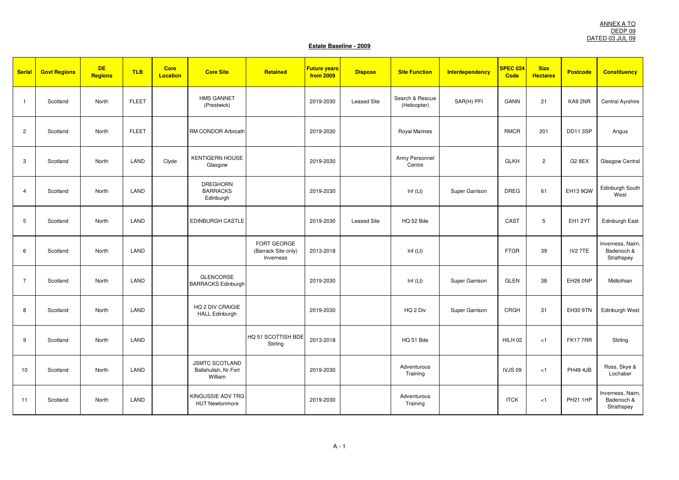| <b>Serial</b>  | <b>Govt Regions</b> | <b>DE</b><br><b>Regions</b> | <b>TLB</b>   | <b>Core</b><br><b>Location</b> | <b>Core Site</b>                                         | Retained                                        | <b>Future years</b><br>from 2009 | <b>Dispose</b>     | <b>Site Function</b>            | <b>Interdependency</b> | SPEC 024<br><b>Code</b> | <b>Size</b><br><b>Hectares</b> | <b>Postcode</b>     | <b>Constituency</b>                           |
|----------------|---------------------|-----------------------------|--------------|--------------------------------|----------------------------------------------------------|-------------------------------------------------|----------------------------------|--------------------|---------------------------------|------------------------|-------------------------|--------------------------------|---------------------|-----------------------------------------------|
| $\overline{1}$ | Scotland            | North                       | <b>FLEET</b> |                                | <b>HMS GANNET</b><br>(Prestwick)                         |                                                 | 2019-2030                        | <b>Leased Site</b> | Search & Rescue<br>(Helicopter) | SAR(H) PFI             | <b>GANN</b>             | 21                             | KA9 2NR             | Central Ayrshire                              |
| $\overline{c}$ | Scotland            | North                       | <b>FLEET</b> |                                | RM CONDOR Arbroath                                       |                                                 | 2019-2030                        |                    | <b>Royal Marines</b>            |                        | <b>RMCR</b>             | 201                            | DD11 3SP            | Angus                                         |
| 3              | Scotland            | North                       | LAND         | Clyde                          | <b>KENTIGERN HOUSE</b><br>Glasgow                        |                                                 | 2019-2030                        |                    | Army Personnel<br>Centre        |                        | <b>GLKH</b>             | $\overline{2}$                 | G2 8EX              | Glasgow Central                               |
| $\overline{4}$ | Scotland            | North                       | LAND         |                                | <b>DREGHORN</b><br><b>BARRACKS</b><br>Edinburgh          |                                                 | 2019-2030                        |                    | Inf $(Lt)$                      | Super Garrison         | <b>DREG</b>             | 61                             | EH13 9QW            | Edinburgh South<br>West                       |
| 5              | Scotland            | North                       | LAND         |                                | EDINBURGH CASTLE                                         |                                                 | 2019-2030                        | <b>Leased Site</b> | HQ 52 Bde                       |                        | CAST                    | 5                              | EH1 2YT             | Edinburgh East                                |
| 6              | Scotland            | North                       | LAND         |                                |                                                          | FORT GEORGE<br>(Barrack Site only)<br>Inverness | 2013-2018                        |                    | Inf $(Lt)$                      |                        | <b>FTGR</b>             | 39                             | IV <sub>2</sub> 7TE | Inverness, Nairn,<br>Badenoch &<br>Strathspey |
| $\overline{7}$ | Scotland            | North                       | LAND         |                                | <b>GLENCORSE</b><br><b>BARRACKS Edinburgh</b>            |                                                 | 2019-2030                        |                    | Inf $(Lt)$                      | Super Garrison         | <b>GLEN</b>             | 38                             | EH26 0NP            | Midlothian                                    |
| 8              | Scotland            | North                       | LAND         |                                | HQ 2 DIV CRAIGIE<br><b>HALL Edinburgh</b>                |                                                 | 2019-2030                        |                    | HQ 2 Div                        | Super Garrison         | CRGH                    | 31                             | <b>EH30 9TN</b>     | Edinburgh West                                |
| 9              | Scotland            | North                       | LAND         |                                |                                                          | HQ 51 SCOTTISH BDE<br>Stirling                  | 2013-2018                        |                    | HQ 51 Bde                       |                        | HILH <sub>02</sub>      | < 1                            | <b>FK177RR</b>      | Stirling                                      |
| 10             | Scotland            | North                       | LAND         |                                | <b>JSMTC SCOTLAND</b><br>Ballahulish, Nr Fort<br>William |                                                 | 2019-2030                        |                    | Adventurous<br>Training         |                        | <b>IVJS09</b>           | < 1                            | <b>PH49 4JB</b>     | Ross, Skye &<br>Lochaber                      |
| 11             | Scotland            | North                       | LAND         |                                | KINGUSSIE ADV TRG<br><b>HUT Newtonmore</b>               |                                                 | 2019-2030                        |                    | Adventurous<br>Training         |                        | <b>ITCK</b>             | < 1                            | <b>PH21 1HP</b>     | Inverness, Nairn,<br>Badenoch &<br>Strathspey |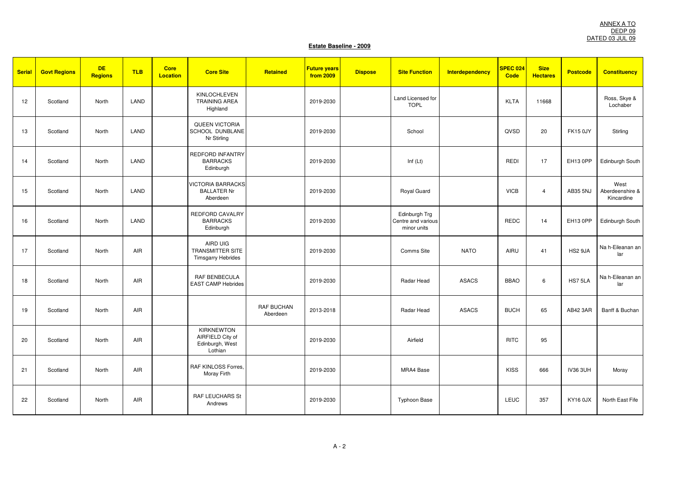| <b>Serial</b> | <b>Govt Regions</b> | <b>DE</b><br><b>Regions</b> | <b>TLB</b> | <b>Core</b><br><b>Location</b> | <b>Core Site</b>                                                    | Retained                      | <b>Future years</b><br>from 2009 | <b>Dispose</b> | <b>Site Function</b>                               | <b>Interdependency</b> | SPEC 024<br>Code | <b>Size</b><br><b>Hectares</b> | <b>Postcode</b> | <b>Constituency</b>                   |
|---------------|---------------------|-----------------------------|------------|--------------------------------|---------------------------------------------------------------------|-------------------------------|----------------------------------|----------------|----------------------------------------------------|------------------------|------------------|--------------------------------|-----------------|---------------------------------------|
| 12            | Scotland            | North                       | LAND       |                                | <b>KINLOCHLEVEN</b><br><b>TRAINING AREA</b><br>Highland             |                               | 2019-2030                        |                | Land Licensed for<br><b>TOPL</b>                   |                        | <b>KLTA</b>      | 11668                          |                 | Ross, Skye &<br>Lochaber              |
| 13            | Scotland            | North                       | LAND       |                                | QUEEN VICTORIA<br>SCHOOL DUNBLANE<br>Nr Stirling                    |                               | 2019-2030                        |                | School                                             |                        | QVSD             | 20                             | <b>FK15 0JY</b> | Stirling                              |
| 14            | Scotland            | North                       | LAND       |                                | <b>REDFORD INFANTRY</b><br><b>BARRACKS</b><br>Edinburgh             |                               | 2019-2030                        |                | Inf $(Lt)$                                         |                        | <b>REDI</b>      | 17                             | EH13 0PP        | Edinburgh South                       |
| 15            | Scotland            | North                       | LAND       |                                | <b>VICTORIA BARRACKS</b><br><b>BALLATER Nr</b><br>Aberdeen          |                               | 2019-2030                        |                | Royal Guard                                        |                        | <b>VICB</b>      | $\overline{4}$                 | AB35 5NJ        | West<br>Aberdeenshire &<br>Kincardine |
| 16            | Scotland            | North                       | LAND       |                                | REDFORD CAVALRY<br><b>BARRACKS</b><br>Edinburgh                     |                               | 2019-2030                        |                | Edinburgh Trg<br>Centre and various<br>minor units |                        | <b>REDC</b>      | 14                             | EH13 0PP        | Edinburgh South                       |
| 17            | Scotland            | North                       | AIR        |                                | AIRD UIG<br>TRANSMITTER SITE<br><b>Timsgarry Hebrides</b>           |                               | 2019-2030                        |                | Comms Site                                         | <b>NATO</b>            | AIRU             | 41                             | HS2 9JA         | Na h-Eileanan an<br>lar               |
| 18            | Scotland            | North                       | AIR        |                                | <b>RAF BENBECULA</b><br><b>EAST CAMP Hebrides</b>                   |                               | 2019-2030                        |                | Radar Head                                         | <b>ASACS</b>           | <b>BBAO</b>      | 6                              | HS75LA          | Na h-Eileanan an<br>lar               |
| 19            | Scotland            | North                       | AIR        |                                |                                                                     | <b>RAF BUCHAN</b><br>Aberdeen | 2013-2018                        |                | Radar Head                                         | <b>ASACS</b>           | <b>BUCH</b>      | 65                             | AB42 3AR        | Banff & Buchan                        |
| 20            | Scotland            | North                       | AIR        |                                | <b>KIRKNEWTON</b><br>AIRFIELD City of<br>Edinburgh, West<br>Lothian |                               | 2019-2030                        |                | Airfield                                           |                        | <b>RITC</b>      | 95                             |                 |                                       |
| 21            | Scotland            | North                       | AIR        |                                | RAF KINLOSS Forres,<br>Moray Firth                                  |                               | 2019-2030                        |                | MRA4 Base                                          |                        | <b>KISS</b>      | 666                            | <b>IV36 3UH</b> | Moray                                 |
| 22            | Scotland            | North                       | AIR        |                                | <b>RAF LEUCHARS St</b><br>Andrews                                   |                               | 2019-2030                        |                | <b>Typhoon Base</b>                                |                        | <b>LEUC</b>      | 357                            | KY16 0JX        | North East Fife                       |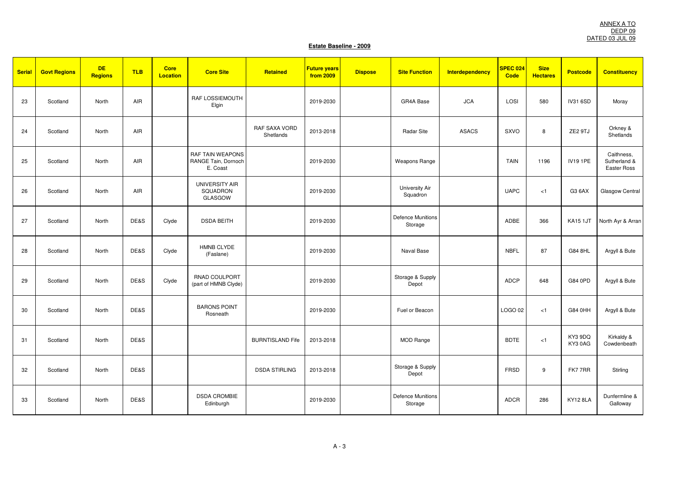| <b>Serial</b> | <b>Govt Regions</b> | <b>DE</b><br><b>Regions</b> | <b>TLB</b> | <b>Core</b><br><b>Location</b> | <b>Core Site</b>                                           | Retained                   | <b>Future years</b><br>from 2009 | <b>Dispose</b> | <b>Site Function</b>                | <b>Interdependency</b> | SPEC 024<br><b>Code</b> | <b>Size</b><br><b>Hectares</b> | <b>Postcode</b>   | <b>Constituency</b>                       |
|---------------|---------------------|-----------------------------|------------|--------------------------------|------------------------------------------------------------|----------------------------|----------------------------------|----------------|-------------------------------------|------------------------|-------------------------|--------------------------------|-------------------|-------------------------------------------|
| 23            | Scotland            | North                       | AIR        |                                | RAF LOSSIEMOUTH<br>Elgin                                   |                            | 2019-2030                        |                | GR4A Base                           | <b>JCA</b>             | LOSI                    | 580                            | <b>IV31 6SD</b>   | Moray                                     |
| 24            | Scotland            | North                       | AIR        |                                |                                                            | RAF SAXA VORD<br>Shetlands | 2013-2018                        |                | <b>Radar Site</b>                   | <b>ASACS</b>           | SXVO                    | 8                              | ZE2 9TJ           | Orkney &<br>Shetlands                     |
| 25            | Scotland            | North                       | AIR        |                                | <b>RAF TAIN WEAPONS</b><br>RANGE Tain, Dornoch<br>E. Coast |                            | 2019-2030                        |                | <b>Weapons Range</b>                |                        | <b>TAIN</b>             | 1196                           | <b>IV19 1PE</b>   | Caithness,<br>Sutherland &<br>Easter Ross |
| 26            | Scotland            | North                       | AIR        |                                | UNIVERSITY AIR<br>SQUADRON<br>GLASGOW                      |                            | 2019-2030                        |                | University Air<br>Squadron          |                        | <b>UAPC</b>             | < 1                            | G3 6AX            | Glasgow Central                           |
| 27            | Scotland            | North                       | DE&S       | Clyde                          | <b>DSDA BEITH</b>                                          |                            | 2019-2030                        |                | <b>Defence Munitions</b><br>Storage |                        | ADBE                    | 366                            | KA15 1JT          | North Ayr & Arran                         |
| 28            | Scotland            | North                       | DE&S       | Clyde                          | HMNB CLYDE<br>(Faslane)                                    |                            | 2019-2030                        |                | Naval Base                          |                        | <b>NBFL</b>             | 87                             | G84 8HL           | Argyll & Bute                             |
| 29            | Scotland            | North                       | DE&S       | Clyde                          | RNAD COULPORT<br>(part of HMNB Clyde)                      |                            | 2019-2030                        |                | Storage & Supply<br>Depot           |                        | ADCP                    | 648                            | G84 0PD           | Argyll & Bute                             |
| 30            | Scotland            | North                       | DE&S       |                                | <b>BARONS POINT</b><br>Rosneath                            |                            | 2019-2030                        |                | Fuel or Beacon                      |                        | LOGO 02                 | < 1                            | G84 0HH           | Argyll & Bute                             |
| 31            | Scotland            | North                       | DE&S       |                                |                                                            | <b>BURNTISLAND Fife</b>    | 2013-2018                        |                | <b>MOD Range</b>                    |                        | <b>BDTE</b>             | < 1                            | KY3 9DQ<br>KY30AG | Kirkaldy &<br>Cowdenbeath                 |
| 32            | Scotland            | North                       | DE&S       |                                |                                                            | <b>DSDA STIRLING</b>       | 2013-2018                        |                | Storage & Supply<br>Depot           |                        | FRSD                    | 9                              | FK77RR            | Stirling                                  |
| 33            | Scotland            | North                       | DE&S       |                                | <b>DSDA CROMBIE</b><br>Edinburgh                           |                            | 2019-2030                        |                | <b>Defence Munitions</b><br>Storage |                        | ADCR                    | 286                            | KY12 8LA          | Dunfermline &<br>Galloway                 |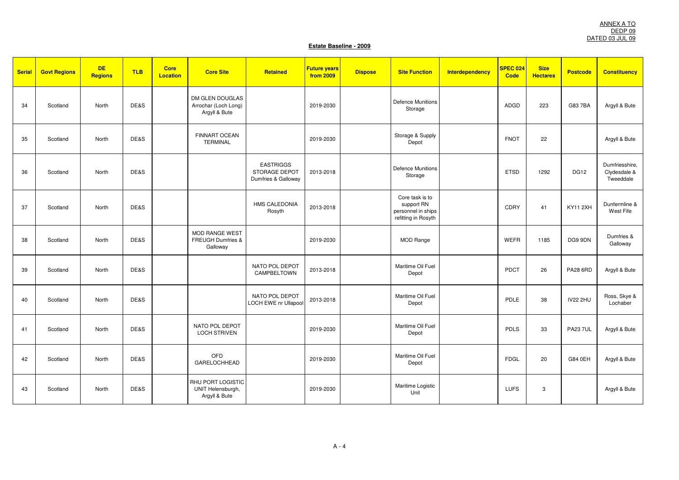| <b>Serial</b> | <b>Govt Regions</b> | <b>DE</b><br><b>Regions</b> | <b>TLB</b> | <b>Core</b><br><b>Location</b> | <b>Core Site</b>                                         | Retained                                                 | <b>Future years</b><br>from 2009 | <b>Dispose</b> | <b>Site Function</b>                                                       | Interdependency | <b>SPEC 024</b><br>Code | <b>Size</b><br><b>Hectares</b> | <b>Postcode</b> | <b>Constituency</b>                         |
|---------------|---------------------|-----------------------------|------------|--------------------------------|----------------------------------------------------------|----------------------------------------------------------|----------------------------------|----------------|----------------------------------------------------------------------------|-----------------|-------------------------|--------------------------------|-----------------|---------------------------------------------|
| 34            | Scotland            | North                       | DE&S       |                                | DM GLEN DOUGLAS<br>Arrochar (Loch Long)<br>Argyll & Bute |                                                          | 2019-2030                        |                | <b>Defence Munitions</b><br>Storage                                        |                 | ADGD                    | 223                            | G83 7BA         | Argyll & Bute                               |
| 35            | Scotland            | North                       | DE&S       |                                | <b>FINNART OCEAN</b><br><b>TERMINAL</b>                  |                                                          | 2019-2030                        |                | Storage & Supply<br>Depot                                                  |                 | <b>FNOT</b>             | 22                             |                 | Argyll & Bute                               |
| 36            | Scotland            | North                       | DE&S       |                                |                                                          | <b>EASTRIGGS</b><br>STORAGE DEPOT<br>Dumfries & Galloway | 2013-2018                        |                | <b>Defence Munitions</b><br>Storage                                        |                 | <b>ETSD</b>             | 1292                           | <b>DG12</b>     | Dumfriesshire,<br>Clydesdale &<br>Tweeddale |
| 37            | Scotland            | North                       | DE&S       |                                |                                                          | <b>HMS CALEDONIA</b><br>Rosyth                           | 2013-2018                        |                | Core task is to<br>support RN<br>personnel in ships<br>refitting in Rosyth |                 | CDRY                    | 41                             | <b>KY11 2XH</b> | Dunfermline &<br>West Fife                  |
| 38            | Scotland            | North                       | DE&S       |                                | MOD RANGE WEST<br>FREUGH Dumfries &<br>Galloway          |                                                          | 2019-2030                        |                | MOD Range                                                                  |                 | <b>WEFR</b>             | 1185                           | DG9 9DN         | Dumfries &<br>Galloway                      |
| 39            | Scotland            | North                       | DE&S       |                                |                                                          | NATO POL DEPOT<br>CAMPBELTOWN                            | 2013-2018                        |                | Maritime Oil Fuel<br>Depot                                                 |                 | PDCT                    | 26                             | <b>PA28 6RD</b> | Argyll & Bute                               |
| 40            | Scotland            | North                       | DE&S       |                                |                                                          | NATO POL DEPOT<br><b>LOCH EWE nr Ullapool</b>            | 2013-2018                        |                | Maritime Oil Fuel<br>Depot                                                 |                 | PDLE                    | 38                             | <b>IV22 2HU</b> | Ross, Skye &<br>Lochaber                    |
| 41            | Scotland            | North                       | DE&S       |                                | NATO POL DEPOT<br><b>LOCH STRIVEN</b>                    |                                                          | 2019-2030                        |                | Maritime Oil Fuel<br>Depot                                                 |                 | <b>PDLS</b>             | 33                             | <b>PA23 7UL</b> | Argyll & Bute                               |
| 42            | Scotland            | North                       | DE&S       |                                | OFD<br>GARELOCHHEAD                                      |                                                          | 2019-2030                        |                | Maritime Oil Fuel<br>Depot                                                 |                 | <b>FDGL</b>             | 20                             | G84 0EH         | Argyll & Bute                               |
| 43            | Scotland            | North                       | DE&S       |                                | RHU PORT LOGISTIC<br>UNIT Helensburgh,<br>Argyll & Bute  |                                                          | 2019-2030                        |                | Maritime Logistic<br>Unit                                                  |                 | <b>LUFS</b>             | 3                              |                 | Argyll & Bute                               |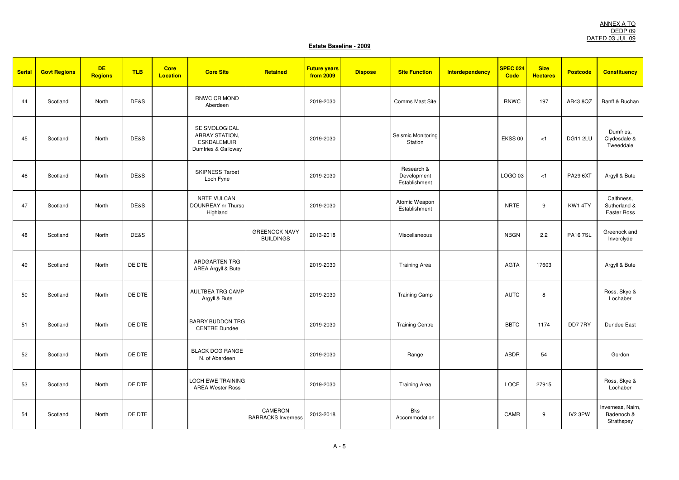| <b>Serial</b> | <b>Govt Regions</b> | <b>DE</b><br><b>Regions</b> | <b>TLB</b> | <b>Core</b><br><b>Location</b> | <b>Core Site</b>                                                             | Retained                                 | <b>Future years</b><br>from 2009 | <b>Dispose</b> | <b>Site Function</b>                       | Interdependency | SPEC 024<br><b>Code</b> | <b>Size</b><br><b>Hectares</b> | <b>Postcode</b> | <b>Constituency</b>                           |
|---------------|---------------------|-----------------------------|------------|--------------------------------|------------------------------------------------------------------------------|------------------------------------------|----------------------------------|----------------|--------------------------------------------|-----------------|-------------------------|--------------------------------|-----------------|-----------------------------------------------|
| 44            | Scotland            | North                       | DE&S       |                                | <b>RNWC CRIMOND</b><br>Aberdeen                                              |                                          | 2019-2030                        |                | Comms Mast Site                            |                 | <b>RNWC</b>             | 197                            | AB43 8QZ        | Banff & Buchan                                |
| 45            | Scotland            | North                       | DE&S       |                                | SEISMOLOGICAL<br>ARRAY STATION,<br><b>ESKDALEMUIR</b><br>Dumfries & Galloway |                                          | 2019-2030                        |                | Seismic Monitoring<br>Station              |                 | EKSS 00                 | < 1                            | DG11 2LU        | Dumfries,<br>Clydesdale &<br>Tweeddale        |
| 46            | Scotland            | North                       | DE&S       |                                | <b>SKIPNESS Tarbet</b><br>Loch Fyne                                          |                                          | 2019-2030                        |                | Research &<br>Development<br>Establishment |                 | LOGO 03                 | < 1                            | PA29 6XT        | Argyll & Bute                                 |
| 47            | Scotland            | North                       | DE&S       |                                | NRTE VULCAN,<br>DOUNREAY nr Thurso<br>Highland                               |                                          | 2019-2030                        |                | Atomic Weapon<br>Establishment             |                 | <b>NRTE</b>             | 9                              | KW1 4TY         | Caithness,<br>Sutherland &<br>Easter Ross     |
| 48            | Scotland            | North                       | DE&S       |                                |                                                                              | <b>GREENOCK NAVY</b><br><b>BUILDINGS</b> | 2013-2018                        |                | Miscellaneous                              |                 | <b>NBGN</b>             | 2.2                            | <b>PA167SL</b>  | Greenock and<br>Inverclyde                    |
| 49            | Scotland            | North                       | DE DTE     |                                | <b>ARDGARTEN TRG</b><br>AREA Argyll & Bute                                   |                                          | 2019-2030                        |                | <b>Training Area</b>                       |                 | <b>AGTA</b>             | 17603                          |                 | Argyll & Bute                                 |
| 50            | Scotland            | North                       | DE DTE     |                                | <b>AULTBEA TRG CAMP</b><br>Argyll & Bute                                     |                                          | 2019-2030                        |                | <b>Training Camp</b>                       |                 | <b>AUTC</b>             | 8                              |                 | Ross, Skye &<br>Lochaber                      |
| 51            | Scotland            | North                       | DE DTE     |                                | <b>BARRY BUDDON TRG</b><br><b>CENTRE Dundee</b>                              |                                          | 2019-2030                        |                | <b>Training Centre</b>                     |                 | <b>BBTC</b>             | 1174                           | DD77RY          | <b>Dundee East</b>                            |
| 52            | Scotland            | North                       | DE DTE     |                                | <b>BLACK DOG RANGE</b><br>N. of Aberdeen                                     |                                          | 2019-2030                        |                | Range                                      |                 | ABDR                    | 54                             |                 | Gordon                                        |
| 53            | Scotland            | North                       | DE DTE     |                                | <b>LOCH EWE TRAINING</b><br><b>AREA Wester Ross</b>                          |                                          | 2019-2030                        |                | <b>Training Area</b>                       |                 | LOCE                    | 27915                          |                 | Ross, Skye &<br>Lochaber                      |
| 54            | Scotland            | North                       | DE DTE     |                                |                                                                              | CAMERON<br><b>BARRACKS Inverness</b>     | 2013-2018                        |                | Bks<br>Accommodation                       |                 | CAMR                    | 9                              | IV2 3PW         | Inverness, Nairn,<br>Badenoch &<br>Strathspey |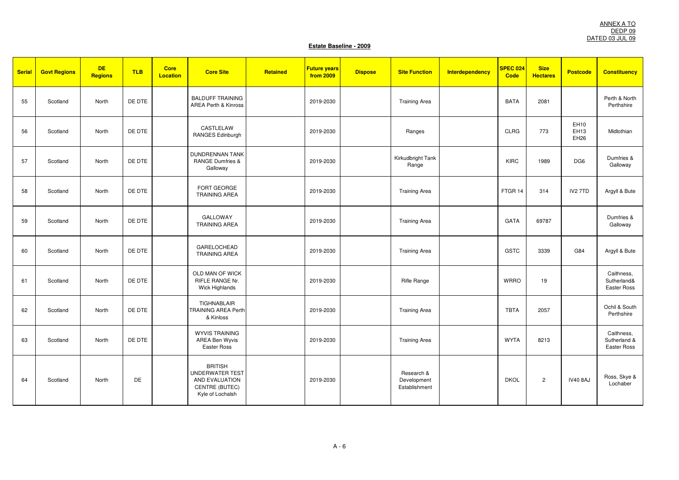| <b>Serial</b> | <b>Govt Regions</b> | <b>DE</b><br>Regions | <b>TLB</b> | <b>Core</b><br><b>Location</b> | <b>Core Site</b>                                                                                 | Retained | <b>Future years</b><br>from 2009 | <b>Dispose</b> | <b>Site Function</b>                       | <b>Interdependency</b> | SPEC 024<br><b>Code</b> | <b>Size</b><br><b>Hectares</b> | <b>Postcode</b>             | <b>Constituency</b>                       |
|---------------|---------------------|----------------------|------------|--------------------------------|--------------------------------------------------------------------------------------------------|----------|----------------------------------|----------------|--------------------------------------------|------------------------|-------------------------|--------------------------------|-----------------------------|-------------------------------------------|
| 55            | Scotland            | North                | DE DTE     |                                | <b>BALDUFF TRAINING</b><br><b>AREA Perth &amp; Kinross</b>                                       |          | 2019-2030                        |                | <b>Training Area</b>                       |                        | <b>BATA</b>             | 2081                           |                             | Perth & North<br>Perthshire               |
| 56            | Scotland            | North                | DE DTE     |                                | CASTLELAW<br><b>RANGES Edinburgh</b>                                                             |          | 2019-2030                        |                | Ranges                                     |                        | <b>CLRG</b>             | 773                            | EH10<br>EH13<br><b>EH26</b> | Midlothian                                |
| 57            | Scotland            | North                | DE DTE     |                                | <b>DUNDRENNAN TANK</b><br><b>RANGE Dumfries &amp;</b><br>Galloway                                |          | 2019-2030                        |                | Kirkudbright Tank<br>Range                 |                        | <b>KIRC</b>             | 1989                           | DG6                         | Dumfries &<br>Galloway                    |
| 58            | Scotland            | North                | DE DTE     |                                | FORT GEORGE<br>TRAINING AREA                                                                     |          | 2019-2030                        |                | <b>Training Area</b>                       |                        | FTGR <sub>14</sub>      | 314                            | IV <sub>2</sub> 7TD         | Argyll & Bute                             |
| 59            | Scotland            | North                | DE DTE     |                                | <b>GALLOWAY</b><br><b>TRAINING AREA</b>                                                          |          | 2019-2030                        |                | <b>Training Area</b>                       |                        | <b>GATA</b>             | 69787                          |                             | Dumfries &<br>Galloway                    |
| 60            | Scotland            | North                | DE DTE     |                                | <b>GARELOCHEAD</b><br><b>TRAINING AREA</b>                                                       |          | 2019-2030                        |                | <b>Training Area</b>                       |                        | <b>GSTC</b>             | 3339                           | G84                         | Argyll & Bute                             |
| 61            | Scotland            | North                | DE DTE     |                                | OLD MAN OF WICK<br>RIFLE RANGE Nr.<br>Wick Highlands                                             |          | 2019-2030                        |                | <b>Rifle Range</b>                         |                        | <b>WRRO</b>             | 19                             |                             | Caithness,<br>Sutherland&<br>Easter Ross  |
| 62            | Scotland            | North                | DE DTE     |                                | TIGHNABLAIR<br><b>TRAINING AREA Perth</b><br>& Kinloss                                           |          | 2019-2030                        |                | <b>Training Area</b>                       |                        | <b>TBTA</b>             | 2057                           |                             | Ochil & South<br>Perthshire               |
| 63            | Scotland            | North                | DE DTE     |                                | <b>WYVIS TRAINING</b><br>AREA Ben Wyvis<br>Easter Ross                                           |          | 2019-2030                        |                | <b>Training Area</b>                       |                        | <b>WYTA</b>             | 8213                           |                             | Caithness,<br>Sutherland &<br>Easter Ross |
| 64            | Scotland            | North                | DE         |                                | <b>BRITISH</b><br><b>UNDERWATER TEST</b><br>AND EVALUATION<br>CENTRE (BUTEC)<br>Kyle of Lochalsh |          | 2019-2030                        |                | Research &<br>Development<br>Establishment |                        | <b>DKOL</b>             | $\overline{c}$                 | <b>IV40 8AJ</b>             | Ross, Skye &<br>Lochaber                  |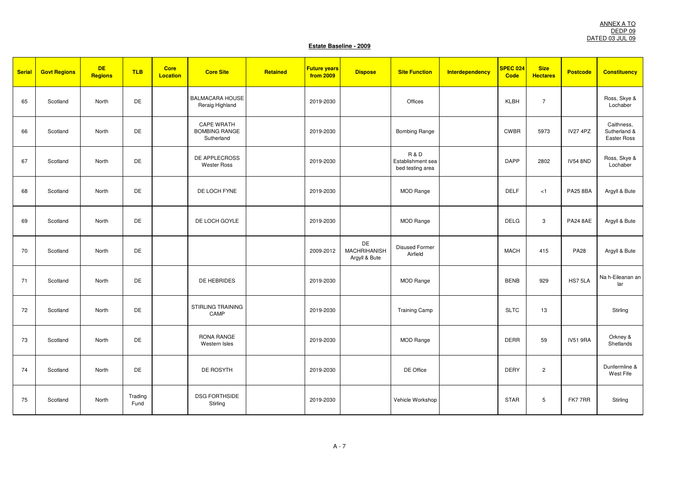| <b>Serial</b> | <b>Govt Regions</b> | <b>DE</b><br><b>Regions</b> | <b>TLB</b>      | <b>Core</b><br><b>Location</b> | <b>Core Site</b>                                        | Retained | <b>Future years</b><br>from 2009 | <b>Dispose</b>                             | <b>Site Function</b>                                    | <b>Interdependency</b> | <b>SPEC 024</b><br>Code | <b>Size</b><br><b>Hectares</b> | <b>Postcode</b> | <b>Constituency</b>                       |
|---------------|---------------------|-----------------------------|-----------------|--------------------------------|---------------------------------------------------------|----------|----------------------------------|--------------------------------------------|---------------------------------------------------------|------------------------|-------------------------|--------------------------------|-----------------|-------------------------------------------|
| 65            | Scotland            | North                       | DE              |                                | <b>BALMACARA HOUSE</b><br>Reraig Highland               |          | 2019-2030                        |                                            | Offices                                                 |                        | KLBH                    | $\overline{7}$                 |                 | Ross, Skye &<br>Lochaber                  |
| 66            | Scotland            | North                       | DE              |                                | <b>CAPE WRATH</b><br><b>BOMBING RANGE</b><br>Sutherland |          | 2019-2030                        |                                            | <b>Bombing Range</b>                                    |                        | <b>CWBR</b>             | 5973                           | <b>IV27 4PZ</b> | Caithness,<br>Sutherland &<br>Easter Ross |
| 67            | Scotland            | North                       | DE              |                                | DE APPLECROSS<br><b>Wester Ross</b>                     |          | 2019-2030                        |                                            | <b>R&amp;D</b><br>Establishment sea<br>bed testing area |                        | <b>DAPP</b>             | 2802                           | <b>IV54 8ND</b> | Ross, Skye &<br>Lochaber                  |
| 68            | Scotland            | North                       | DE              |                                | DE LOCH FYNE                                            |          | 2019-2030                        |                                            | <b>MOD Range</b>                                        |                        | <b>DELF</b>             | < 1                            | <b>PA25 8BA</b> | Argyll & Bute                             |
| 69            | Scotland            | North                       | DE              |                                | DE LOCH GOYLE                                           |          | 2019-2030                        |                                            | <b>MOD Range</b>                                        |                        | <b>DELG</b>             | 3                              | <b>PA24 8AE</b> | Argyll & Bute                             |
| 70            | Scotland            | North                       | DE              |                                |                                                         |          | 2009-2012                        | DE<br><b>MACHRIHANISH</b><br>Argyll & Bute | <b>Disused Former</b><br>Airfield                       |                        | <b>MACH</b>             | 415                            | <b>PA28</b>     | Argyll & Bute                             |
| 71            | Scotland            | North                       | DE              |                                | DE HEBRIDES                                             |          | 2019-2030                        |                                            | MOD Range                                               |                        | <b>BENB</b>             | 929                            | HS75LA          | Na h-Eileanan an<br>lar                   |
| 72            | Scotland            | North                       | DE              |                                | STIRLING TRAINING<br>CAMP                               |          | 2019-2030                        |                                            | <b>Training Camp</b>                                    |                        | <b>SLTC</b>             | 13                             |                 | Stirling                                  |
| 73            | Scotland            | North                       | DE              |                                | RONA RANGE<br>Western Isles                             |          | 2019-2030                        |                                            | <b>MOD Range</b>                                        |                        | <b>DERR</b>             | 59                             | <b>IV51 9RA</b> | Orkney &<br>Shetlands                     |
| 74            | Scotland            | North                       | DE              |                                | DE ROSYTH                                               |          | 2019-2030                        |                                            | DE Office                                               |                        | <b>DERY</b>             | $\overline{c}$                 |                 | Dunfermline &<br>West Fife                |
| 75            | Scotland            | North                       | Trading<br>Fund |                                | <b>DSG FORTHSIDE</b><br>Stirling                        |          | 2019-2030                        |                                            | Vehicle Workshop                                        |                        | <b>STAR</b>             | 5                              | FK77RR          | Stirling                                  |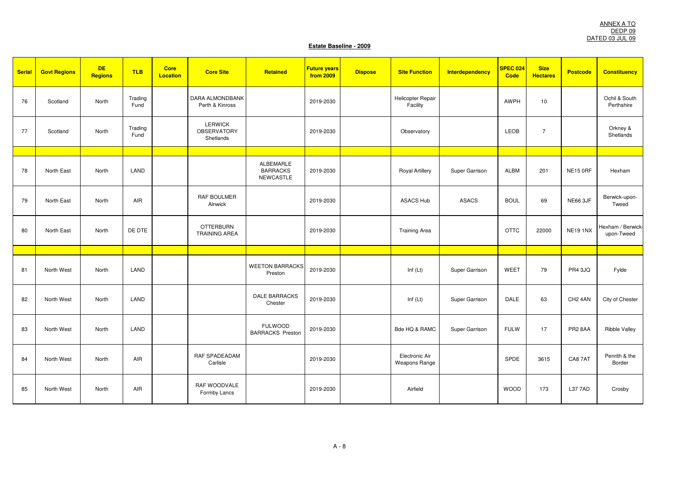| <b>Serial</b> | <b>Govt Regions</b> | <b>DE</b><br><b>Regions</b> | <b>TLB</b>      | Core<br><b>Location</b> | <b>Core Site</b>                                  | Retained                                  | <b>Future years</b><br>from 2009 | <b>Dispose</b> | <b>Site Function</b>            | Interdependency | <b>SPEC 024</b><br>Code | <b>Size</b><br><b>Hectares</b> | <b>Postcode</b>     | <b>Constituency</b>             |
|---------------|---------------------|-----------------------------|-----------------|-------------------------|---------------------------------------------------|-------------------------------------------|----------------------------------|----------------|---------------------------------|-----------------|-------------------------|--------------------------------|---------------------|---------------------------------|
| 76            | Scotland            | North                       | Trading<br>Fund |                         | DARA ALMONDBANK<br>Perth & Kinross                |                                           | 2019-2030                        |                | Helicopter Repair<br>Facility   |                 | <b>AWPH</b>             | 10                             |                     | Ochil & South<br>Perthshire     |
| 77            | Scotland            | North                       | Trading<br>Fund |                         | <b>LERWICK</b><br><b>OBSERVATORY</b><br>Shetlands |                                           | 2019-2030                        |                | Observatory                     |                 | LEOB                    | $\overline{7}$                 |                     | Orkney &<br>Shetlands           |
|               |                     |                             |                 |                         |                                                   |                                           |                                  |                |                                 |                 |                         |                                |                     |                                 |
| 78            | North East          | North                       | LAND            |                         |                                                   | ALBEMARLE<br><b>BARRACKS</b><br>NEWCASTLE | 2019-2030                        |                | <b>Royal Artillery</b>          | Super Garrison  | <b>ALBM</b>             | 201                            | <b>NE15 0RF</b>     | Hexham                          |
| 79            | North East          | North                       | AIR             |                         | RAF BOULMER<br>Alnwick                            |                                           | 2019-2030                        |                | <b>ASACS Hub</b>                | <b>ASACS</b>    | <b>BOUL</b>             | 69                             | <b>NE66 3JF</b>     | Berwick-upon-<br>Tweed          |
| 80            | North East          | North                       | DE DTE          |                         | <b>OTTERBURN</b><br><b>TRAINING AREA</b>          |                                           | 2019-2030                        |                | <b>Training Area</b>            |                 | <b>OTTC</b>             | 22000                          | <b>NE19 1NX</b>     | Hexham / Berwick-<br>upon-Tweed |
|               |                     |                             |                 |                         |                                                   |                                           |                                  |                |                                 |                 |                         |                                |                     |                                 |
| 81            | North West          | North                       | LAND            |                         |                                                   | <b>WEETON BARRACKS</b><br>Preston         | 2019-2030                        |                | Inf $(Lt)$                      | Super Garrison  | WEET                    | 79                             | <b>PR4 3JQ</b>      | Fylde                           |
| 82            | North West          | North                       | LAND            |                         |                                                   | <b>DALE BARRACKS</b><br>Chester           | 2019-2030                        |                | Inf $(Lt)$                      | Super Garrison  | <b>DALE</b>             | 63                             | CH <sub>2</sub> 4AN | City of Chester                 |
| 83            | North West          | North                       | LAND            |                         |                                                   | <b>FULWOOD</b><br><b>BARRACKS Preston</b> | 2019-2030                        |                | Bde HQ & RAMC                   | Super Garrison  | <b>FULW</b>             | 17                             | PR2 8AA             | <b>Ribble Valley</b>            |
| 84            | North West          | North                       | AIR             |                         | RAF SPADEADAM<br>Carlisle                         |                                           | 2019-2030                        |                | Electronic Air<br>Weapons Range |                 | SPDE                    | 3615                           | CA87AT              | Penrith & the<br>Border         |
| 85            | North West          | North                       | AIR             |                         | RAF WOODVALE<br>Formby Lancs                      |                                           | 2019-2030                        |                | Airfield                        |                 | <b>WOOD</b>             | 173                            | <b>L37 7AD</b>      | Crosby                          |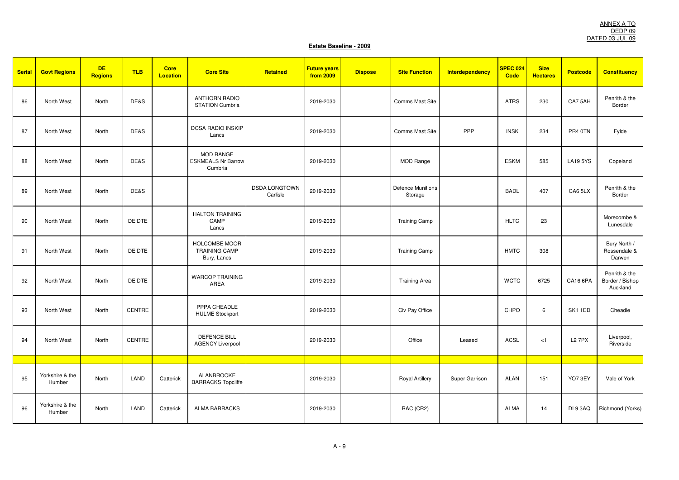| <b>Serial</b> | <b>Govt Regions</b>       | <b>DE</b><br><b>Regions</b> | <b>TLB</b>    | <b>Core</b><br><b>Location</b> | <b>Core Site</b>                                     | Retained                         | <b>Future years</b><br>from 2009 | <b>Dispose</b> | <b>Site Function</b>                | Interdependency | SPEC 024<br><b>Code</b> | <b>Size</b><br><b>Hectares</b> | <b>Postcode</b> | <b>Constituency</b>                          |
|---------------|---------------------------|-----------------------------|---------------|--------------------------------|------------------------------------------------------|----------------------------------|----------------------------------|----------------|-------------------------------------|-----------------|-------------------------|--------------------------------|-----------------|----------------------------------------------|
| 86            | North West                | North                       | DE&S          |                                | <b>ANTHORN RADIO</b><br><b>STATION Cumbria</b>       |                                  | 2019-2030                        |                | Comms Mast Site                     |                 | <b>ATRS</b>             | 230                            | CA75AH          | Penrith & the<br>Border                      |
| 87            | North West                | North                       | DE&S          |                                | DCSA RADIO INSKIP<br>Lancs                           |                                  | 2019-2030                        |                | Comms Mast Site                     | PPP             | <b>INSK</b>             | 234                            | PR4 0TN         | Fylde                                        |
| 88            | North West                | North                       | DE&S          |                                | MOD RANGE<br><b>ESKMEALS Nr Barrow</b><br>Cumbria    |                                  | 2019-2030                        |                | MOD Range                           |                 | <b>ESKM</b>             | 585                            | <b>LA195YS</b>  | Copeland                                     |
| 89            | North West                | North                       | DE&S          |                                |                                                      | <b>DSDA LONGTOWN</b><br>Carlisle | 2019-2030                        |                | <b>Defence Munitions</b><br>Storage |                 | <b>BADL</b>             | 407                            | CA6 5LX         | Penrith & the<br>Border                      |
| 90            | North West                | North                       | DE DTE        |                                | <b>HALTON TRAINING</b><br>CAMP<br>Lancs              |                                  | 2019-2030                        |                | <b>Training Camp</b>                |                 | <b>HLTC</b>             | 23                             |                 | Morecombe &<br>Lunesdale                     |
| 91            | North West                | North                       | DE DTE        |                                | HOLCOMBE MOOR<br><b>TRAINING CAMP</b><br>Bury, Lancs |                                  | 2019-2030                        |                | <b>Training Camp</b>                |                 | <b>HMTC</b>             | 308                            |                 | Bury North /<br>Rossendale &<br>Darwen       |
| 92            | North West                | North                       | DE DTE        |                                | <b>WARCOP TRAINING</b><br>AREA                       |                                  | 2019-2030                        |                | <b>Training Area</b>                |                 | <b>WCTC</b>             | 6725                           | CA16 6PA        | Penrith & the<br>Border / Bishop<br>Auckland |
| 93            | North West                | North                       | <b>CENTRE</b> |                                | PPPA CHEADLE<br><b>HULME Stockport</b>               |                                  | 2019-2030                        |                | Civ Pay Office                      |                 | CHPO                    | 6                              | SK11ED          | Cheadle                                      |
| 94            | North West                | North                       | <b>CENTRE</b> |                                | <b>DEFENCE BILL</b><br><b>AGENCY Liverpool</b>       |                                  | 2019-2030                        |                | Office                              | Leased          | <b>ACSL</b>             | < 1                            | <b>L27PX</b>    | Liverpool,<br>Riverside                      |
|               |                           |                             |               |                                |                                                      |                                  |                                  |                |                                     |                 |                         |                                |                 |                                              |
| 95            | Yorkshire & the<br>Humber | North                       | LAND          | Catterick                      | ALANBROOKE<br><b>BARRACKS Topcliffe</b>              |                                  | 2019-2030                        |                | <b>Royal Artillery</b>              | Super Garrison  | <b>ALAN</b>             | 151                            | YO7 3EY         | Vale of York                                 |
| 96            | Yorkshire & the<br>Humber | North                       | LAND          | Catterick                      | <b>ALMA BARRACKS</b>                                 |                                  | 2019-2030                        |                | RAC (CR2)                           |                 | <b>ALMA</b>             | 14                             | DL9 3AQ         | Richmond (Yorks)                             |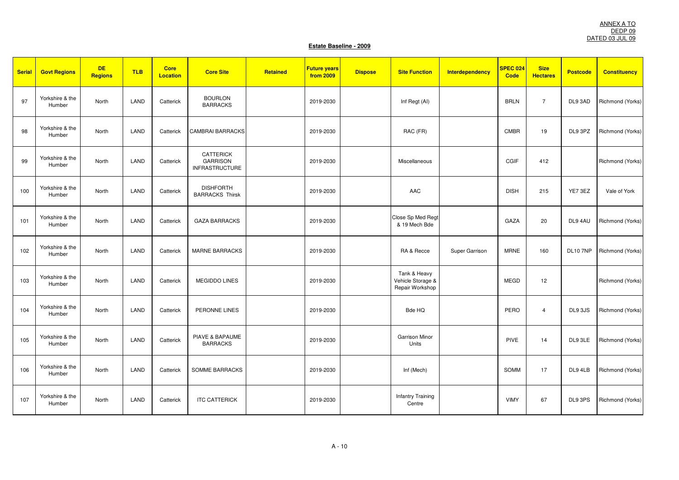| <b>Serial</b> | <b>Govt Regions</b>       | <b>DE</b><br>Regions | <b>TLB</b> | <b>Core</b><br><b>Location</b> | <b>Core Site</b>                                      | Retained | <b>Future years</b><br>from 2009 | <b>Dispose</b> | <b>Site Function</b>                                 | <b>Interdependency</b> | <b>SPEC 024</b><br><b>Code</b> | <b>Size</b><br><b>Hectares</b> | <b>Postcode</b> | <b>Constituency</b> |
|---------------|---------------------------|----------------------|------------|--------------------------------|-------------------------------------------------------|----------|----------------------------------|----------------|------------------------------------------------------|------------------------|--------------------------------|--------------------------------|-----------------|---------------------|
| 97            | Yorkshire & the<br>Humber | North                | LAND       | Catterick                      | <b>BOURLON</b><br><b>BARRACKS</b>                     |          | 2019-2030                        |                | Inf Regt (AI)                                        |                        | <b>BRLN</b>                    | $\overline{7}$                 | DL9 3AD         | Richmond (Yorks)    |
| 98            | Yorkshire & the<br>Humber | North                | LAND       | Catterick                      | <b>CAMBRAI BARRACKS</b>                               |          | 2019-2030                        |                | RAC (FR)                                             |                        | <b>CMBR</b>                    | 19                             | DL9 3PZ         | Richmond (Yorks)    |
| 99            | Yorkshire & the<br>Humber | North                | LAND       | Catterick                      | CATTERICK<br><b>GARRISON</b><br><b>INFRASTRUCTURE</b> |          | 2019-2030                        |                | Miscellaneous                                        |                        | CGIF                           | 412                            |                 | Richmond (Yorks)    |
| 100           | Yorkshire & the<br>Humber | North                | LAND       | Catterick                      | <b>DISHFORTH</b><br><b>BARRACKS Thirsk</b>            |          | 2019-2030                        |                | AAC                                                  |                        | <b>DISH</b>                    | 215                            | YE7 3EZ         | Vale of York        |
| 101           | Yorkshire & the<br>Humber | North                | LAND       | Catterick                      | <b>GAZA BARRACKS</b>                                  |          | 2019-2030                        |                | Close Sp Med Regt<br>& 19 Mech Bde                   |                        | GAZA                           | 20                             | DL9 4AU         | Richmond (Yorks)    |
| 102           | Yorkshire & the<br>Humber | North                | LAND       | Catterick                      | <b>MARNE BARRACKS</b>                                 |          | 2019-2030                        |                | RA & Recce                                           | Super Garrison         | <b>MRNE</b>                    | 160                            | <b>DL10 7NP</b> | Richmond (Yorks)    |
| 103           | Yorkshire & the<br>Humber | North                | LAND       | Catterick                      | <b>MEGIDDO LINES</b>                                  |          | 2019-2030                        |                | Tank & Heavy<br>Vehicle Storage &<br>Repair Workshop |                        | <b>MEGD</b>                    | 12                             |                 | Richmond (Yorks)    |
| 104           | Yorkshire & the<br>Humber | North                | LAND       | Catterick                      | PERONNE LINES                                         |          | 2019-2030                        |                | Bde HQ                                               |                        | PERO                           | $\overline{4}$                 | DL9 3JS         | Richmond (Yorks)    |
| 105           | Yorkshire & the<br>Humber | North                | LAND       | Catterick                      | PIAVE & BAPAUME<br><b>BARRACKS</b>                    |          | 2019-2030                        |                | Garrison Minor<br>Units                              |                        | <b>PIVE</b>                    | 14                             | DL9 3LE         | Richmond (Yorks)    |
| 106           | Yorkshire & the<br>Humber | North                | LAND       | Catterick                      | SOMME BARRACKS                                        |          | 2019-2030                        |                | Inf (Mech)                                           |                        | SOMM                           | 17                             | DL9 4LB         | Richmond (Yorks)    |
| 107           | Yorkshire & the<br>Humber | North                | LAND       | Catterick                      | <b>ITC CATTERICK</b>                                  |          | 2019-2030                        |                | <b>Infantry Training</b><br>Centre                   |                        | <b>VIMY</b>                    | 67                             | DL9 3PS         | Richmond (Yorks)    |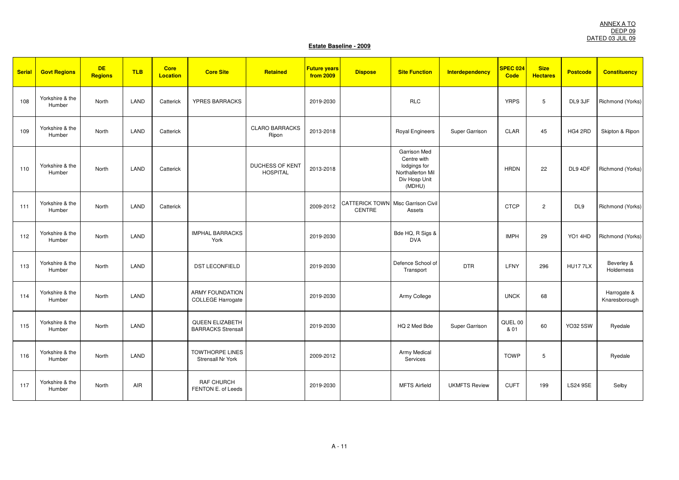| <b>Serial</b> | <b>Govt Regions</b>       | <b>DE</b><br><b>Regions</b> | <b>TLB</b> | <b>Core</b><br><b>Location</b> | <b>Core Site</b>                                    | Retained                                  | <b>Future years</b><br>from 2009 | <b>Dispose</b>                                             | <b>Site Function</b>                                                                               | <b>Interdependency</b> | <b>SPEC 024</b><br><b>Code</b> | <b>Size</b><br><b>Hectares</b> | <b>Postcode</b> | <b>Constituency</b>          |
|---------------|---------------------------|-----------------------------|------------|--------------------------------|-----------------------------------------------------|-------------------------------------------|----------------------------------|------------------------------------------------------------|----------------------------------------------------------------------------------------------------|------------------------|--------------------------------|--------------------------------|-----------------|------------------------------|
| 108           | Yorkshire & the<br>Humber | North                       | LAND       | Catterick                      | YPRES BARRACKS                                      |                                           | 2019-2030                        |                                                            | <b>RLC</b>                                                                                         |                        | <b>YRPS</b>                    | 5                              | DL9 3JF         | Richmond (Yorks)             |
| 109           | Yorkshire & the<br>Humber | North                       | LAND       | Catterick                      |                                                     | <b>CLARO BARRACKS</b><br>Ripon            | 2013-2018                        |                                                            | <b>Royal Engineers</b>                                                                             | Super Garrison         | <b>CLAR</b>                    | 45                             | HG4 2RD         | Skipton & Ripon              |
| 110           | Yorkshire & the<br>Humber | North                       | LAND       | Catterick                      |                                                     | <b>DUCHESS OF KENT</b><br><b>HOSPITAL</b> | 2013-2018                        |                                                            | <b>Garrison Med</b><br>Centre with<br>lodgings for<br>Northallerton Mil<br>Div Hosp Unit<br>(MDHU) |                        | <b>HRDN</b>                    | 22                             | DL9 4DF         | Richmond (Yorks)             |
| 111           | Yorkshire & the<br>Humber | North                       | LAND       | Catterick                      |                                                     |                                           | 2009-2012                        | <b>CATTERICK TOWN</b> Misc Garrison Civil<br><b>CENTRE</b> | Assets                                                                                             |                        | <b>CTCP</b>                    | $\overline{2}$                 | DL9             | Richmond (Yorks)             |
| 112           | Yorkshire & the<br>Humber | North                       | LAND       |                                | <b>IMPHAL BARRACKS</b><br>York                      |                                           | 2019-2030                        |                                                            | Bde HQ, R Sigs &<br><b>DVA</b>                                                                     |                        | <b>IMPH</b>                    | 29                             | <b>YO1 4HD</b>  | Richmond (Yorks)             |
| 113           | Yorkshire & the<br>Humber | North                       | LAND       |                                | <b>DST LECONFIELD</b>                               |                                           | 2019-2030                        |                                                            | Defence School of<br>Transport                                                                     | <b>DTR</b>             | LFNY                           | 296                            | <b>HU177LX</b>  | Beverley &<br>Holderness     |
| 114           | Yorkshire & the<br>Humber | North                       | LAND       |                                | <b>ARMY FOUNDATION</b><br><b>COLLEGE Harrogate</b>  |                                           | 2019-2030                        |                                                            | Army College                                                                                       |                        | <b>UNCK</b>                    | 68                             |                 | Harrogate &<br>Knaresborough |
| 115           | Yorkshire & the<br>Humber | North                       | LAND       |                                | <b>QUEEN ELIZABETH</b><br><b>BARRACKS Strensall</b> |                                           | 2019-2030                        |                                                            | HQ 2 Med Bde                                                                                       | Super Garrison         | QUEL 00<br>& 01                | 60                             | <b>YO32 5SW</b> | Ryedale                      |
| 116           | Yorkshire & the<br>Humber | North                       | LAND       |                                | <b>TOWTHORPE LINES</b><br>Strensall Nr York         |                                           | 2009-2012                        |                                                            | Army Medical<br>Services                                                                           |                        | <b>TOWP</b>                    | 5                              |                 | Ryedale                      |
| 117           | Yorkshire & the<br>Humber | North                       | AIR        |                                | <b>RAF CHURCH</b><br>FENTON E. of Leeds             |                                           | 2019-2030                        |                                                            | <b>MFTS Airfield</b>                                                                               | <b>UKMFTS Review</b>   | <b>CUFT</b>                    | 199                            | <b>LS24 9SE</b> | Selby                        |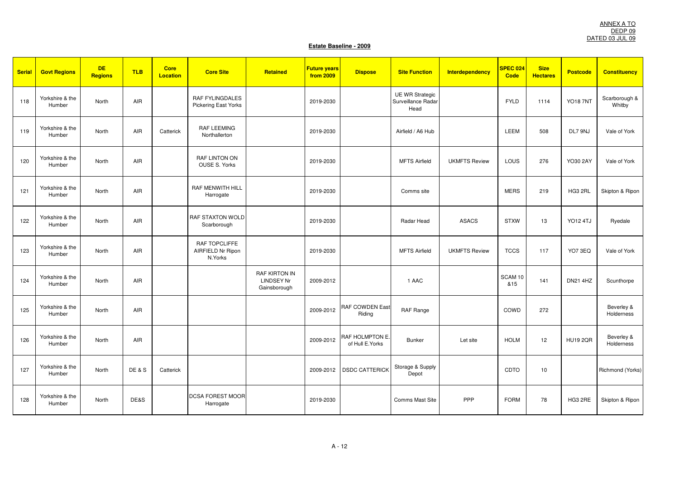| <b>Serial</b> | <b>Govt Regions</b>       | <b>DE</b><br><b>Regions</b> | <b>TLB</b>      | <b>Core</b><br>Location | <b>Core Site</b>                               | Retained                                                  | <b>Future years</b><br><b>from 2009</b> | <b>Dispose</b>                      | <b>Site Function</b>                                 | Interdependency      | SPEC 024<br>Code | <b>Size</b><br><b>Hectares</b> | <b>Postcode</b> | <b>Constituency</b>      |
|---------------|---------------------------|-----------------------------|-----------------|-------------------------|------------------------------------------------|-----------------------------------------------------------|-----------------------------------------|-------------------------------------|------------------------------------------------------|----------------------|------------------|--------------------------------|-----------------|--------------------------|
| 118           | Yorkshire & the<br>Humber | North                       | AIR             |                         | <b>RAF FYLINGDALES</b><br>Pickering East Yorks |                                                           | 2019-2030                               |                                     | <b>UE WR Strategic</b><br>Surveillance Radar<br>Head |                      | <b>FYLD</b>      | 1114                           | <b>YO18 7NT</b> | Scarborough &<br>Whitby  |
| 119           | Yorkshire & the<br>Humber | North                       | AIR             | Catterick               | <b>RAF LEEMING</b><br>Northallerton            |                                                           | 2019-2030                               |                                     | Airfield / A6 Hub                                    |                      | <b>LEEM</b>      | 508                            | DL7 9NJ         | Vale of York             |
| 120           | Yorkshire & the<br>Humber | North                       | AIR             |                         | RAF LINTON ON<br>OUSE S. Yorks                 |                                                           | 2019-2030                               |                                     | <b>MFTS Airfield</b>                                 | <b>UKMFTS Review</b> | LOUS             | 276                            | YO30 2AY        | Vale of York             |
| 121           | Yorkshire & the<br>Humber | North                       | AIR             |                         | <b>RAF MENWITH HILL</b><br>Harrogate           |                                                           | 2019-2030                               |                                     | Comms site                                           |                      | <b>MERS</b>      | 219                            | HG3 2RL         | Skipton & Ripon          |
| 122           | Yorkshire & the<br>Humber | North                       | <b>AIR</b>      |                         | <b>RAF STAXTON WOLD</b><br>Scarborough         |                                                           | 2019-2030                               |                                     | Radar Head                                           | <b>ASACS</b>         | <b>STXW</b>      | 13                             | <b>YO12 4TJ</b> | Ryedale                  |
| 123           | Yorkshire & the<br>Humber | North                       | AIR             |                         | RAF TOPCLIFFE<br>AIRFIELD Nr Ripon<br>N.Yorks  |                                                           | 2019-2030                               |                                     | <b>MFTS Airfield</b>                                 | <b>UKMFTS Review</b> | <b>TCCS</b>      | 117                            | YO7 3EQ         | Vale of York             |
| 124           | Yorkshire & the<br>Humber | North                       | AIR             |                         |                                                | <b>RAF KIRTON IN</b><br><b>LINDSEY Nr</b><br>Gainsborough | 2009-2012                               |                                     | 1 AAC                                                |                      | SCAM 10<br>&15   | 141                            | <b>DN21 4HZ</b> | Scunthorpe               |
| 125           | Yorkshire & the<br>Humber | North                       | AIR             |                         |                                                |                                                           | 2009-2012                               | <b>RAF COWDEN East</b><br>Riding    | RAF Range                                            |                      | COWD             | 272                            |                 | Beverley &<br>Holderness |
| 126           | Yorkshire & the<br>Humber | North                       | AIR             |                         |                                                |                                                           | 2009-2012                               | RAF HOLMPTON E.<br>of Hull E. Yorks | <b>Bunker</b>                                        | Let site             | <b>HOLM</b>      | 12                             | <b>HU19 2QR</b> | Beverley &<br>Holderness |
| 127           | Yorkshire & the<br>Humber | North                       | <b>DE&amp;S</b> | Catterick               |                                                |                                                           | 2009-2012                               | <b>DSDC CATTERICK</b>               | Storage & Supply<br>Depot                            |                      | CDTO             | 10                             |                 | Richmond (Yorks)         |
| 128           | Yorkshire & the<br>Humber | North                       | DE&S            |                         | <b>DCSA FOREST MOOR</b><br>Harrogate           |                                                           | 2019-2030                               |                                     | <b>Comms Mast Site</b>                               | PPP                  | <b>FORM</b>      | 78                             | HG3 2RE         | Skipton & Ripon          |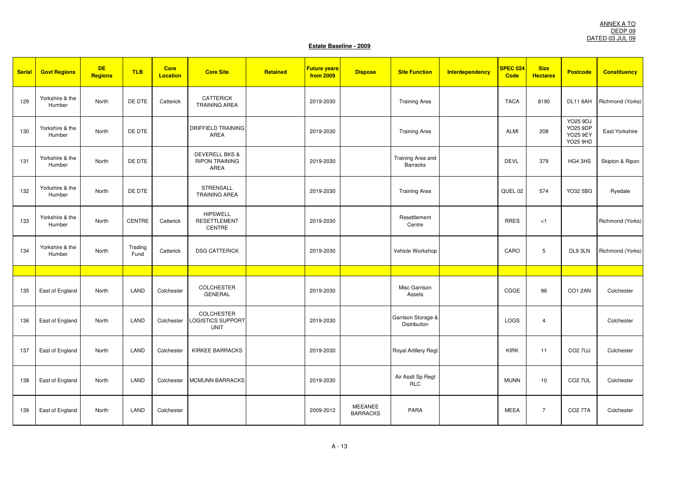| <b>Serial</b> | <b>Govt Regions</b>       | <b>DE</b><br><b>Regions</b> | <b>TLB</b>      | <b>Core</b><br><b>Location</b> | <b>Core Site</b>                                           | Retained | <b>Future years</b><br><b>from 2009</b> | <b>Dispose</b>             | <b>Site Function</b>                 | Interdependency | SPEC 024<br><b>Code</b> | <b>Size</b><br><b>Hectares</b> | <b>Postcode</b>                                                          | <b>Constituency</b> |
|---------------|---------------------------|-----------------------------|-----------------|--------------------------------|------------------------------------------------------------|----------|-----------------------------------------|----------------------------|--------------------------------------|-----------------|-------------------------|--------------------------------|--------------------------------------------------------------------------|---------------------|
| 129           | Yorkshire & the<br>Humber | North                       | DE DTE          | Catterick                      | <b>CATTERICK</b><br><b>TRAINING AREA</b>                   |          | 2019-2030                               |                            | <b>Training Area</b>                 |                 | <b>TACA</b>             | 8190                           | DL11 6AH                                                                 | Richmond (Yorks)    |
| 130           | Yorkshire & the<br>Humber | North                       | DE DTE          |                                | <b>DRIFFIELD TRAINING</b><br>AREA                          |          | 2019-2030                               |                            | <b>Training Area</b>                 |                 | <b>ALMI</b>             | 208                            | <b>YO25 9DJ</b><br><b>YO25 9DP</b><br><b>YO25 9EY</b><br><b>YO25 9HD</b> | East Yorkshire      |
| 131           | Yorkshire & the<br>Humber | North                       | DE DTE          |                                | <b>DEVERELL BKS &amp;</b><br><b>RIPON TRAINING</b><br>AREA |          | 2019-2030                               |                            | Training Area and<br><b>Barracks</b> |                 | <b>DEVL</b>             | 379                            | HG4 3HS                                                                  | Skipton & Ripon     |
| 132           | Yorkshire & the<br>Humber | North                       | DE DTE          |                                | <b>STRENSALL</b><br><b>TRAINING AREA</b>                   |          | 2019-2030                               |                            | <b>Training Area</b>                 |                 | QUEL 02                 | 574                            | YO32 5BG                                                                 | Ryedale             |
| 133           | Yorkshire & the<br>Humber | North                       | <b>CENTRE</b>   | Catterick                      | <b>HIPSWELL</b><br><b>RESETTLEMENT</b><br>CENTRE           |          | 2019-2030                               |                            | Resettlement<br>Centre               |                 | <b>RRES</b>             | < 1                            |                                                                          | Richmond (Yorks)    |
| 134           | Yorkshire & the<br>Humber | North                       | Trading<br>Fund | Catterick                      | <b>DSG CATTERICK</b>                                       |          | 2019-2030                               |                            | Vehicle Workshop                     |                 | CARO                    | 5                              | DL9 3LN                                                                  | Richmond (Yorks)    |
|               |                           |                             |                 |                                |                                                            |          |                                         |                            |                                      |                 |                         |                                |                                                                          |                     |
| 135           | East of England           | North                       | LAND            | Colchester                     | <b>COLCHESTER</b><br><b>GENERAL</b>                        |          | 2019-2030                               |                            | Misc Garrison<br>Assets              |                 | CGGE                    | 96                             | CO1 2AN                                                                  | Colchester          |
| 136           | East of England           | North                       | LAND            | Colchester                     | <b>COLCHESTER</b><br>LOGISTICS SUPPORT<br><b>UNIT</b>      |          | 2019-2030                               |                            | Garrison Storage &<br>Distribution   |                 | LOGS                    | $\overline{4}$                 |                                                                          | Colchester          |
| 137           | East of England           | North                       | LAND            | Colchester                     | <b>KIRKEE BARRACKS</b>                                     |          | 2019-2030                               |                            | Royal Artillery Regt                 |                 | <b>KIRK</b>             | 11                             | <b>CO2 7UJ</b>                                                           | Colchester          |
| 138           | East of England           | North                       | LAND            | Colchester                     | <b>MCMUNN BARRACKS</b>                                     |          | 2019-2030                               |                            | Air Asslt Sp Regt<br><b>RLC</b>      |                 | <b>MUNN</b>             | 10                             | <b>CO2 7UL</b>                                                           | Colchester          |
| 139           | East of England           | North                       | LAND            | Colchester                     |                                                            |          | 2009-2012                               | MEEANEE<br><b>BARRACKS</b> | PARA                                 |                 | <b>MEEA</b>             | $\overline{7}$                 | <b>CO2 7TA</b>                                                           | Colchester          |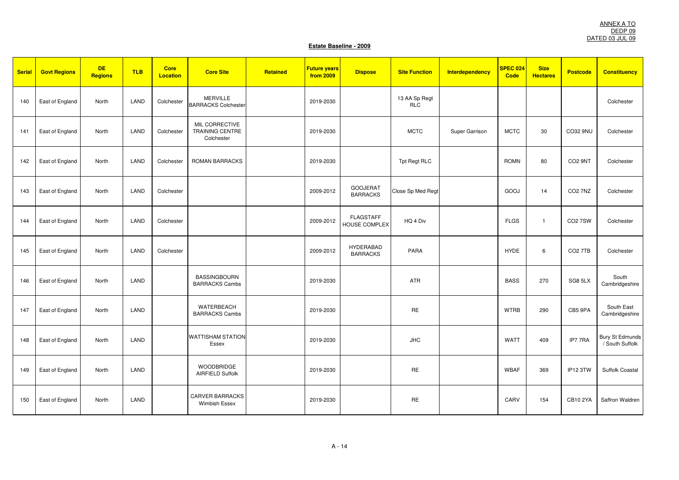| <b>Serial</b> | <b>Govt Regions</b> | <b>DE</b><br><b>Regions</b> | <b>TLB</b> | <b>Core</b><br><b>Location</b> | <b>Core Site</b>                                       | Retained | <b>Future years</b><br><b>from 2009</b> | <b>Dispose</b>                           | <b>Site Function</b>        | <b>Interdependency</b> | <b>SPEC 024</b><br>Code | <b>Size</b><br><b>Hectares</b> | <b>Postcode</b>     | <b>Constituency</b>                       |
|---------------|---------------------|-----------------------------|------------|--------------------------------|--------------------------------------------------------|----------|-----------------------------------------|------------------------------------------|-----------------------------|------------------------|-------------------------|--------------------------------|---------------------|-------------------------------------------|
| 140           | East of England     | North                       | LAND       | Colchester                     | <b>MERVILLE</b><br><b>BARRACKS Colchester</b>          |          | 2019-2030                               |                                          | 13 AA Sp Regt<br><b>RLC</b> |                        |                         |                                |                     | Colchester                                |
| 141           | East of England     | North                       | LAND       | Colchester                     | MIL CORRECTIVE<br><b>TRAINING CENTRE</b><br>Colchester |          | 2019-2030                               |                                          | <b>MCTC</b>                 | Super Garrison         | <b>MCTC</b>             | 30                             | CO32 9NU            | Colchester                                |
| 142           | East of England     | North                       | LAND       | Colchester                     | <b>ROMAN BARRACKS</b>                                  |          | 2019-2030                               |                                          | Tpt Regt RLC                |                        | <b>ROMN</b>             | 80                             | CO <sub>2</sub> 9NT | Colchester                                |
| 143           | East of England     | North                       | LAND       | Colchester                     |                                                        |          | 2009-2012                               | <b>GOOJERAT</b><br><b>BARRACKS</b>       | Close Sp Med Regt           |                        | GOOJ                    | 14                             | <b>CO2 7NZ</b>      | Colchester                                |
| 144           | East of England     | North                       | LAND       | Colchester                     |                                                        |          | 2009-2012                               | <b>FLAGSTAFF</b><br><b>HOUSE COMPLEX</b> | HQ 4 Div                    |                        | <b>FLGS</b>             | $\overline{1}$                 | <b>CO27SW</b>       | Colchester                                |
| 145           | East of England     | North                       | LAND       | Colchester                     |                                                        |          | 2009-2012                               | <b>HYDERABAD</b><br><b>BARRACKS</b>      | PARA                        |                        | <b>HYDE</b>             | 6                              | CO <sub>2</sub> 7TB | Colchester                                |
| 146           | East of England     | North                       | LAND       |                                | <b>BASSINGBOURN</b><br><b>BARRACKS Cambs</b>           |          | 2019-2030                               |                                          | ATR                         |                        | <b>BASS</b>             | 270                            | SG8 5LX             | South<br>Cambridgeshire                   |
| 147           | East of England     | North                       | LAND       |                                | WATERBEACH<br><b>BARRACKS Cambs</b>                    |          | 2019-2030                               |                                          | <b>RE</b>                   |                        | <b>WTRB</b>             | 290                            | CB5 9PA             | South East<br>Cambridgeshire              |
| 148           | East of England     | North                       | LAND       |                                | <b>WATTISHAM STATION</b><br>Essex                      |          | 2019-2030                               |                                          | <b>JHC</b>                  |                        | <b>WATT</b>             | 409                            | IP77RA              | <b>Bury St Edmunds</b><br>/ South Suffolk |
| 149           | East of England     | North                       | LAND       |                                | WOODBRIDGE<br>AIRFIELD Suffolk                         |          | 2019-2030                               |                                          | <b>RE</b>                   |                        | <b>WBAF</b>             | 369                            | IP12 3TW            | Suffolk Coastal                           |
| 150           | East of England     | North                       | LAND       |                                | <b>CARVER BARRACKS</b><br>Wimbish Essex                |          | 2019-2030                               |                                          | <b>RE</b>                   |                        | CARV                    | 154                            | <b>CB10 2YA</b>     | Saffron Waldren                           |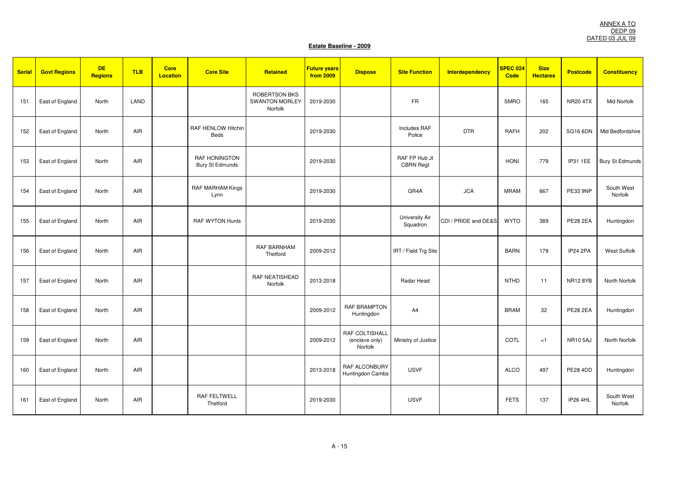| <b>Serial</b> | <b>Govt Regions</b> | <b>DE</b><br><b>Regions</b> | <b>TLB</b> | <b>Core</b><br><b>Location</b> | <b>Core Site</b>                        | Retained                                                 | <b>Future years</b><br>from 2009 | <b>Dispose</b>                              | <b>Site Function</b>              | <b>Interdependency</b> | SPEC 024<br>Code | <b>Size</b><br><b>Hectares</b> | <b>Postcode</b> | <b>Constituency</b>    |
|---------------|---------------------|-----------------------------|------------|--------------------------------|-----------------------------------------|----------------------------------------------------------|----------------------------------|---------------------------------------------|-----------------------------------|------------------------|------------------|--------------------------------|-----------------|------------------------|
| 151           | East of England     | North                       | LAND       |                                |                                         | <b>ROBERTSON BKS</b><br><b>SWANTON MORLEY</b><br>Norfolk | 2019-2030                        |                                             | <b>FR</b>                         |                        | <b>SMRO</b>      | 165                            | <b>NR20 4TX</b> | Mid Norfolk            |
| 152           | East of England     | North                       | AIR        |                                | RAF HENLOW Hitchin<br>Beds              |                                                          | 2019-2030                        |                                             | Includes RAF<br>Police            | <b>DTR</b>             | <b>RAFH</b>      | 202                            | <b>SG16 6DN</b> | Mid Bedfordshire       |
| 153           | East of England     | North                       | AIR        |                                | <b>RAF HONINGTON</b><br>Bury St Edmunds |                                                          | 2019-2030                        |                                             | RAF FP Hub Jt<br><b>CBRN Regt</b> |                        | <b>HONI</b>      | 779                            | IP31 1EE        | <b>Bury St Edmunds</b> |
| 154           | East of England     | North                       | AIR        |                                | RAF MARHAM Kings<br>Lynn                |                                                          | 2019-2030                        |                                             | GR4A                              | <b>JCA</b>             | <b>MRAM</b>      | 667                            | PE33 9NP        | South West<br>Norfolk  |
| 155           | East of England     | North                       | AIR        |                                | <b>RAF WYTON Hunts</b>                  |                                                          | 2019-2030                        |                                             | University Air<br>Squadron        | CDI / PRIDE and DE&S   | <b>WYTO</b>      | 369                            | <b>PE28 2EA</b> | Huntingdon             |
| 156           | East of England     | North                       | AIR        |                                |                                         | RAF BARNHAM<br>Thetford                                  | 2009-2012                        |                                             | IRT / Field Trg Site              |                        | <b>BARN</b>      | 179                            | <b>IP24 2PA</b> | <b>West Suffolk</b>    |
| 157           | East of England     | North                       | AIR        |                                |                                         | <b>RAF NEATISHEAD</b><br>Norfolk                         | 2013-2018                        |                                             | Radar Head                        |                        | <b>NTHD</b>      | 11                             | <b>NR12 8YB</b> | North Norfolk          |
| 158           | East of England     | North                       | <b>AIR</b> |                                |                                         |                                                          | 2009-2012                        | <b>RAF BRAMPTON</b><br>Huntingdon           | A4                                |                        | <b>BRAM</b>      | 32                             | <b>PE28 2EA</b> | Huntingdon             |
| 159           | East of England     | North                       | AIR        |                                |                                         |                                                          | 2009-2012                        | RAF COLTISHALL<br>(enclave only)<br>Norfolk | Ministry of Justice               |                        | COTL             | < 1                            | <b>NR10 5AJ</b> | North Norfolk          |
| 160           | East of England     | North                       | AIR        |                                |                                         |                                                          | 2013-2018                        | RAF ALCONBURY<br>Huntingdon Cambs           | <b>USVF</b>                       |                        | <b>ALCO</b>      | 497                            | <b>PE28 4DD</b> | Huntingdon             |
| 161           | East of England     | North                       | AIR        |                                | <b>RAF FELTWELL</b><br>Thetford         |                                                          | 2019-2030                        |                                             | <b>USVF</b>                       |                        | <b>FETS</b>      | 137                            | <b>IP26 4HL</b> | South West<br>Norfolk  |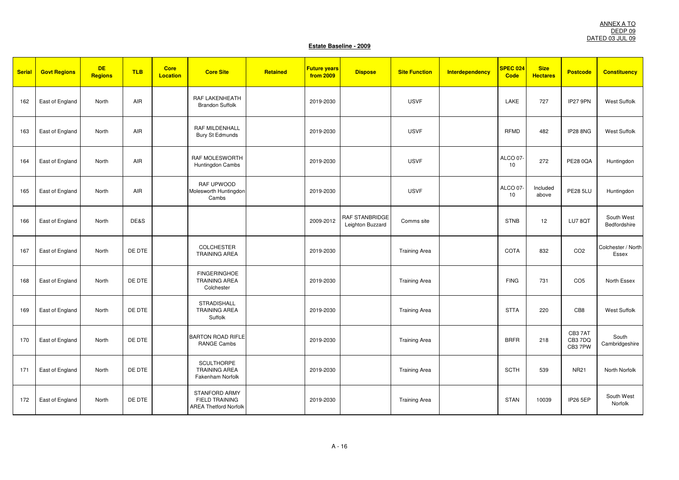| <b>Serial</b> | <b>Govt Regions</b> | <b>DE</b><br><b>Regions</b> | <b>TLB</b> | <b>Core</b><br><b>Location</b> | <b>Core Site</b>                                                              | Retained | <b>Future years</b><br>from 2009 | <b>Dispose</b>                            | <b>Site Function</b> | <b>Interdependency</b> | <b>SPEC 024</b><br><b>Code</b> | <b>Size</b><br><b>Hectares</b> | <b>Postcode</b>             | <b>Constituency</b>         |
|---------------|---------------------|-----------------------------|------------|--------------------------------|-------------------------------------------------------------------------------|----------|----------------------------------|-------------------------------------------|----------------------|------------------------|--------------------------------|--------------------------------|-----------------------------|-----------------------------|
| 162           | East of England     | North                       | AIR        |                                | RAF LAKENHEATH<br><b>Brandon Suffolk</b>                                      |          | 2019-2030                        |                                           | <b>USVF</b>          |                        | LAKE                           | 727                            | IP27 9PN                    | <b>West Suffolk</b>         |
| 163           | East of England     | North                       | AIR        |                                | <b>RAF MILDENHALL</b><br>Bury St Edmunds                                      |          | 2019-2030                        |                                           | <b>USVF</b>          |                        | <b>RFMD</b>                    | 482                            | IP28 8NG                    | West Suffolk                |
| 164           | East of England     | North                       | AIR        |                                | RAF MOLESWORTH<br>Huntingdon Cambs                                            |          | 2019-2030                        |                                           | <b>USVF</b>          |                        | ALCO 07-<br>10                 | 272                            | <b>PE28 0QA</b>             | Huntingdon                  |
| 165           | East of England     | North                       | AIR        |                                | RAF UPWOOD<br>Molesworth Huntingdon<br>Cambs                                  |          | 2019-2030                        |                                           | <b>USVF</b>          |                        | ALCO 07-<br>10                 | Included<br>above              | <b>PE28 5LU</b>             | Huntingdon                  |
| 166           | East of England     | North                       | DE&S       |                                |                                                                               |          | 2009-2012                        | <b>RAF STANBRIDGE</b><br>Leighton Buzzard | Comms site           |                        | <b>STNB</b>                    | 12                             | LU78QT                      | South West<br>Bedfordshire  |
| 167           | East of England     | North                       | DE DTE     |                                | <b>COLCHESTER</b><br><b>TRAINING AREA</b>                                     |          | 2019-2030                        |                                           | <b>Training Area</b> |                        | <b>COTA</b>                    | 832                            | CO <sub>2</sub>             | Colchester / North<br>Essex |
| 168           | East of England     | North                       | DE DTE     |                                | <b>FINGERINGHOE</b><br><b>TRAINING AREA</b><br>Colchester                     |          | 2019-2030                        |                                           | <b>Training Area</b> |                        | <b>FING</b>                    | 731                            | CO <sub>5</sub>             | North Essex                 |
| 169           | East of England     | North                       | DE DTE     |                                | <b>STRADISHALL</b><br><b>TRAINING AREA</b><br>Suffolk                         |          | 2019-2030                        |                                           | <b>Training Area</b> |                        | <b>STTA</b>                    | 220                            | CB8                         | <b>West Suffolk</b>         |
| 170           | East of England     | North                       | DE DTE     |                                | <b>BARTON ROAD RIFLE</b><br>RANGE Cambs                                       |          | 2019-2030                        |                                           | <b>Training Area</b> |                        | <b>BRFR</b>                    | 218                            | CB37AT<br>CB3 7DQ<br>CB37PW | South<br>Cambridgeshire     |
| 171           | East of England     | North                       | DE DTE     |                                | <b>SCULTHORPE</b><br><b>TRAINING AREA</b><br>Fakenham Norfolk                 |          | 2019-2030                        |                                           | <b>Training Area</b> |                        | <b>SCTH</b>                    | 539                            | <b>NR21</b>                 | North Norfolk               |
| 172           | East of England     | North                       | DE DTE     |                                | <b>STANFORD ARMY</b><br><b>FIELD TRAINING</b><br><b>AREA Thetford Norfolk</b> |          | 2019-2030                        |                                           | <b>Training Area</b> |                        | <b>STAN</b>                    | 10039                          | <b>IP26 5EP</b>             | South West<br>Norfolk       |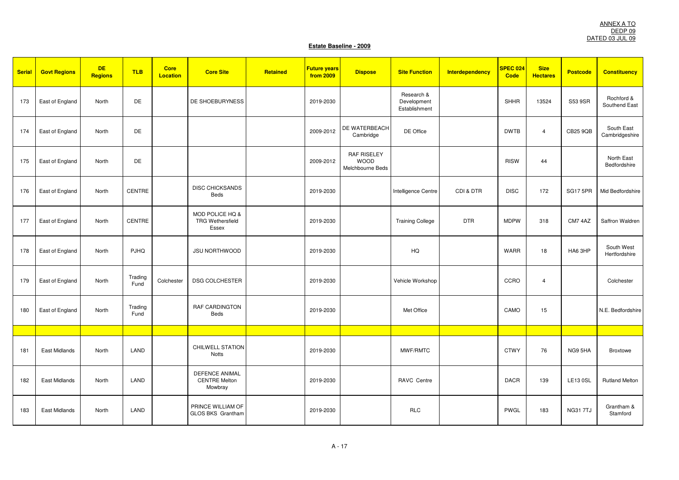| <b>Serial</b> | <b>Govt Regions</b>  | <b>DE</b><br><b>Regions</b> | <b>TLB</b>      | <b>Core</b><br><b>Location</b> | <b>Core Site</b>                                         | Retained | <b>Future years</b><br>from 2009 | <b>Dispose</b>                                        | <b>Site Function</b>                       | <b>Interdependency</b> | SPEC 024<br><b>Code</b> | <b>Size</b><br><b>Hectares</b> | <b>Postcode</b> | <b>Constituency</b>          |
|---------------|----------------------|-----------------------------|-----------------|--------------------------------|----------------------------------------------------------|----------|----------------------------------|-------------------------------------------------------|--------------------------------------------|------------------------|-------------------------|--------------------------------|-----------------|------------------------------|
| 173           | East of England      | North                       | DE              |                                | DE SHOEBURYNESS                                          |          | 2019-2030                        |                                                       | Research &<br>Development<br>Establishment |                        | <b>SHHR</b>             | 13524                          | S53 9SR         | Rochford &<br>Southend East  |
| 174           | East of England      | North                       | DE              |                                |                                                          |          | 2009-2012                        | DE WATERBEACH<br>Cambridge                            | DE Office                                  |                        | <b>DWTB</b>             | $\overline{4}$                 | <b>CB25 9QB</b> | South East<br>Cambridgeshire |
| 175           | East of England      | North                       | DE              |                                |                                                          |          | 2009-2012                        | <b>RAF RISELEY</b><br><b>WOOD</b><br>Melchbourne Beds |                                            |                        | <b>RISW</b>             | 44                             |                 | North East<br>Bedfordshire   |
| 176           | East of England      | North                       | CENTRE          |                                | <b>DISC CHICKSANDS</b><br>Beds                           |          | 2019-2030                        |                                                       | Intelligence Centre                        | CDI & DTR              | <b>DISC</b>             | 172                            | <b>SG17 5PR</b> | Mid Bedfordshire             |
| 177           | East of England      | North                       | CENTRE          |                                | MOD POLICE HQ &<br><b>TRG Wethersfield</b><br>Essex      |          | 2019-2030                        |                                                       | <b>Training College</b>                    | <b>DTR</b>             | <b>MDPW</b>             | 318                            | CM7 4AZ         | Saffron Waldren              |
| 178           | East of England      | North                       | <b>PJHQ</b>     |                                | <b>JSU NORTHWOOD</b>                                     |          | 2019-2030                        |                                                       | HQ                                         |                        | <b>WARR</b>             | 18                             | HA6 3HP         | South West<br>Hertfordshire  |
| 179           | East of England      | North                       | Trading<br>Fund | Colchester                     | <b>DSG COLCHESTER</b>                                    |          | 2019-2030                        |                                                       | Vehicle Workshop                           |                        | CCRO                    | $\overline{4}$                 |                 | Colchester                   |
| 180           | East of England      | North                       | Trading<br>Fund |                                | <b>RAF CARDINGTON</b><br>Beds                            |          | 2019-2030                        |                                                       | Met Office                                 |                        | CAMO                    | 15                             |                 | N.E. Bedfordshire            |
|               |                      |                             |                 |                                |                                                          |          |                                  |                                                       |                                            |                        |                         |                                |                 |                              |
| 181           | East Midlands        | North                       | LAND            |                                | CHILWELL STATION<br><b>Notts</b>                         |          | 2019-2030                        |                                                       | MWF/RMTC                                   |                        | <b>CTWY</b>             | 76                             | NG9 5HA         | <b>Broxtowe</b>              |
| 182           | East Midlands        | North                       | LAND            |                                | <b>DEFENCE ANIMAL</b><br><b>CENTRE Melton</b><br>Mowbray |          | 2019-2030                        |                                                       | RAVC Centre                                |                        | <b>DACR</b>             | 139                            | <b>LE13 0SL</b> | <b>Rutland Melton</b>        |
| 183           | <b>East Midlands</b> | North                       | LAND            |                                | PRINCE WILLIAM OF<br><b>GLOS BKS Grantham</b>            |          | 2019-2030                        |                                                       | <b>RLC</b>                                 |                        | PWGL                    | 183                            | <b>NG317TJ</b>  | Grantham &<br>Stamford       |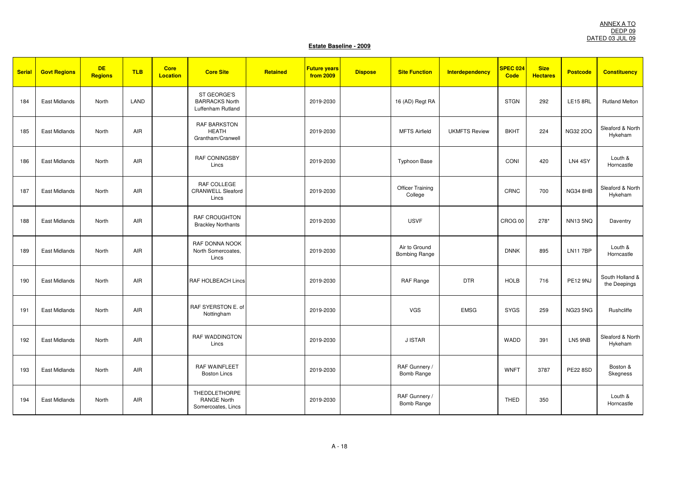| <b>Serial</b> | <b>Govt Regions</b> | <b>DE</b><br><b>Regions</b> | <b>TLB</b> | <b>Core</b><br><b>Location</b> | <b>Core Site</b>                                                 | Retained | <b>Future years</b><br>from 2009 | <b>Dispose</b> | <b>Site Function</b>                  | <b>Interdependency</b> | SPEC 024<br><b>Code</b> | <b>Size</b><br><b>Hectares</b> | <b>Postcode</b> | <b>Constituency</b>             |
|---------------|---------------------|-----------------------------|------------|--------------------------------|------------------------------------------------------------------|----------|----------------------------------|----------------|---------------------------------------|------------------------|-------------------------|--------------------------------|-----------------|---------------------------------|
| 184           | East Midlands       | North                       | LAND       |                                | ST GEORGE'S<br><b>BARRACKS North</b><br>Luffenham Rutland        |          | 2019-2030                        |                | 16 (AD) Regt RA                       |                        | <b>STGN</b>             | 292                            | <b>LE15 8RL</b> | <b>Rutland Melton</b>           |
| 185           | East Midlands       | North                       | <b>AIR</b> |                                | <b>RAF BARKSTON</b><br><b>HEATH</b><br>Grantham/Cranwell         |          | 2019-2030                        |                | <b>MFTS Airfield</b>                  | <b>UKMFTS Review</b>   | <b>BKHT</b>             | 224                            | <b>NG32 2DQ</b> | Sleaford & North<br>Hykeham     |
| 186           | East Midlands       | North                       | AIR        |                                | <b>RAF CONINGSBY</b><br>Lincs                                    |          | 2019-2030                        |                | <b>Typhoon Base</b>                   |                        | CONI                    | 420                            | LN4 4SY         | Louth &<br>Horncastle           |
| 187           | East Midlands       | North                       | <b>AIR</b> |                                | RAF COLLEGE<br><b>CRANWELL Sleaford</b><br>Lincs                 |          | 2019-2030                        |                | <b>Officer Training</b><br>College    |                        | CRNC                    | 700                            | NG34 8HB        | Sleaford & North<br>Hykeham     |
| 188           | East Midlands       | North                       | AIR        |                                | <b>RAF CROUGHTON</b><br><b>Brackley Northants</b>                |          | 2019-2030                        |                | <b>USVF</b>                           |                        | CROG 00                 | 278*                           | <b>NN135NQ</b>  | Daventry                        |
| 189           | East Midlands       | North                       | AIR        |                                | RAF DONNA NOOK<br>North Somercoates,<br>Lincs                    |          | 2019-2030                        |                | Air to Ground<br><b>Bombing Range</b> |                        | <b>DNNK</b>             | 895                            | <b>LN117BP</b>  | Louth &<br>Horncastle           |
| 190           | East Midlands       | North                       | AIR        |                                | RAF HOLBEACH Lincs                                               |          | 2019-2030                        |                | <b>RAF Range</b>                      | <b>DTR</b>             | <b>HOLB</b>             | 716                            | <b>PE12 9NJ</b> | South Holland &<br>the Deepings |
| 191           | East Midlands       | North                       | AIR        |                                | RAF SYERSTON E. of<br>Nottingham                                 |          | 2019-2030                        |                | <b>VGS</b>                            | <b>EMSG</b>            | <b>SYGS</b>             | 259                            | <b>NG23 5NG</b> | Rushcliffe                      |
| 192           | East Midlands       | North                       | <b>AIR</b> |                                | <b>RAF WADDINGTON</b><br>Lincs                                   |          | 2019-2030                        |                | <b>J ISTAR</b>                        |                        | WADD                    | 391                            | LN5 9NB         | Sleaford & North<br>Hykeham     |
| 193           | East Midlands       | North                       | AIR        |                                | <b>RAF WAINFLEET</b><br><b>Boston Lincs</b>                      |          | 2019-2030                        |                | RAF Gunnery /<br><b>Bomb Range</b>    |                        | <b>WNFT</b>             | 3787                           | <b>PE22 8SD</b> | Boston &<br>Skegness            |
| 194           | East Midlands       | North                       | <b>AIR</b> |                                | <b>THEDDLETHORPE</b><br><b>RANGE North</b><br>Somercoates, Lincs |          | 2019-2030                        |                | RAF Gunnery /<br><b>Bomb Range</b>    |                        | <b>THED</b>             | 350                            |                 | Louth &<br>Horncastle           |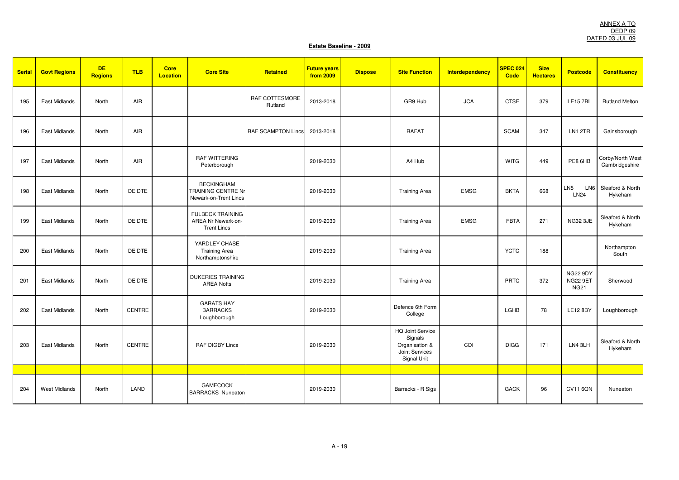| <b>Serial</b> | <b>Govt Regions</b>  | <b>DE</b><br><b>Regions</b> | <b>TLB</b>    | <b>Core</b><br><b>Location</b> | <b>Core Site</b>                                                        | Retained                  | <b>Future years</b><br>from 2009 | <b>Dispose</b> | <b>Site Function</b>                                                                  | <b>Interdependency</b> | SPEC 024<br><b>Code</b> | <b>Size</b><br><b>Hectares</b> | <b>Postcode</b>                                   | <b>Constituency</b>                |
|---------------|----------------------|-----------------------------|---------------|--------------------------------|-------------------------------------------------------------------------|---------------------------|----------------------------------|----------------|---------------------------------------------------------------------------------------|------------------------|-------------------------|--------------------------------|---------------------------------------------------|------------------------------------|
| 195           | East Midlands        | North                       | AIR           |                                |                                                                         | RAF COTTESMORE<br>Rutland | 2013-2018                        |                | GR9 Hub                                                                               | <b>JCA</b>             | <b>CTSE</b>             | 379                            | <b>LE157BL</b>                                    | <b>Rutland Melton</b>              |
| 196           | East Midlands        | North                       | AIR           |                                |                                                                         | <b>RAF SCAMPTON Lincs</b> | 2013-2018                        |                | <b>RAFAT</b>                                                                          |                        | <b>SCAM</b>             | 347                            | LN1 2TR                                           | Gainsborough                       |
| 197           | East Midlands        | North                       | AIR           |                                | <b>RAF WITTERING</b><br>Peterborough                                    |                           | 2019-2030                        |                | A4 Hub                                                                                |                        | <b>WITG</b>             | 449                            | PE8 6HB                                           | Corby/North West<br>Cambridgeshire |
| 198           | East Midlands        | North                       | DE DTE        |                                | <b>BECKINGHAM</b><br><b>TRAINING CENTRE Nr</b><br>Newark-on-Trent Lincs |                           | 2019-2030                        |                | <b>Training Area</b>                                                                  | <b>EMSG</b>            | <b>BKTA</b>             | 668                            | LN <sub>5</sub><br>LN <sub>6</sub><br><b>LN24</b> | Sleaford & North<br>Hykeham        |
| 199           | East Midlands        | North                       | DE DTE        |                                | <b>FULBECK TRAINING</b><br>AREA Nr Newark-on-<br><b>Trent Lincs</b>     |                           | 2019-2030                        |                | <b>Training Area</b>                                                                  | <b>EMSG</b>            | <b>FBTA</b>             | 271                            | <b>NG32 3JE</b>                                   | Sleaford & North<br>Hykeham        |
| 200           | East Midlands        | North                       | DE DTE        |                                | YARDLEY CHASE<br><b>Training Area</b><br>Northamptonshire               |                           | 2019-2030                        |                | <b>Training Area</b>                                                                  |                        | <b>YCTC</b>             | 188                            |                                                   | Northampton<br>South               |
| 201           | East Midlands        | North                       | DE DTE        |                                | <b>DUKERIES TRAINING</b><br><b>AREA Notts</b>                           |                           | 2019-2030                        |                | <b>Training Area</b>                                                                  |                        | PRTC                    | 372                            | <b>NG22 9DY</b><br><b>NG22 9ET</b><br><b>NG21</b> | Sherwood                           |
| 202           | East Midlands        | North                       | <b>CENTRE</b> |                                | <b>GARATS HAY</b><br><b>BARRACKS</b><br>Loughborough                    |                           | 2019-2030                        |                | Defence 6th Form<br>College                                                           |                        | LGHB                    | 78                             | <b>LE12 8BY</b>                                   | Loughborough                       |
| 203           | <b>East Midlands</b> | North                       | CENTRE        |                                | <b>RAF DIGBY Lincs</b>                                                  |                           | 2019-2030                        |                | <b>HQ Joint Service</b><br>Signals<br>Organisation &<br>Joint Services<br>Signal Unit | CDI                    | <b>DIGG</b>             | 171                            | LN4 3LH                                           | Sleaford & North<br>Hykeham        |
|               |                      |                             |               |                                |                                                                         |                           |                                  |                |                                                                                       |                        |                         |                                |                                                   |                                    |
| 204           | <b>West Midlands</b> | North                       | LAND          |                                | <b>GAMECOCK</b><br><b>BARRACKS Nuneaton</b>                             |                           | 2019-2030                        |                | Barracks - R Sigs                                                                     |                        | <b>GACK</b>             | 96                             | <b>CV11 6QN</b>                                   | Nuneaton                           |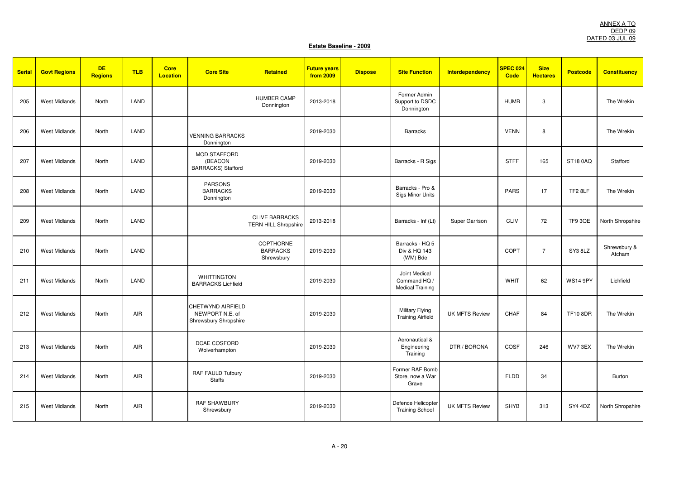| <b>Serial</b> | <b>Govt Regions</b>  | <b>DE</b><br><b>Regions</b> | <b>TLB</b> | <b>Core</b><br><b>Location</b> | <b>Core Site</b>                                              | Retained                                             | <b>Future years</b><br>from 2009 | <b>Dispose</b> | <b>Site Function</b>                                     | Interdependency       | <b>SPEC 024</b><br><b>Code</b> | <b>Size</b><br><b>Hectares</b> | <b>Postcode</b> | <b>Constituency</b>    |
|---------------|----------------------|-----------------------------|------------|--------------------------------|---------------------------------------------------------------|------------------------------------------------------|----------------------------------|----------------|----------------------------------------------------------|-----------------------|--------------------------------|--------------------------------|-----------------|------------------------|
| 205           | <b>West Midlands</b> | North                       | LAND       |                                |                                                               | <b>HUMBER CAMP</b><br>Donnington                     | 2013-2018                        |                | Former Admin<br>Support to DSDC<br>Donnington            |                       | <b>HUMB</b>                    | 3                              |                 | The Wrekin             |
| 206           | <b>West Midlands</b> | North                       | LAND       |                                | <b>VENNING BARRACKS</b><br>Donnington                         |                                                      | 2019-2030                        |                | <b>Barracks</b>                                          |                       | <b>VENN</b>                    | 8                              |                 | The Wrekin             |
| 207           | <b>West Midlands</b> | North                       | LAND       |                                | <b>MOD STAFFORD</b><br>(BEACON<br><b>BARRACKS)</b> Stafford   |                                                      | 2019-2030                        |                | Barracks - R Sigs                                        |                       | <b>STFF</b>                    | 165                            | <b>ST18 0AQ</b> | Stafford               |
| 208           | <b>West Midlands</b> | <b>North</b>                | LAND       |                                | <b>PARSONS</b><br><b>BARRACKS</b><br>Donnington               |                                                      | 2019-2030                        |                | Barracks - Pro &<br><b>Sigs Minor Units</b>              |                       | <b>PARS</b>                    | 17                             | TF2 8LF         | The Wrekin             |
| 209           | <b>West Midlands</b> | North                       | LAND       |                                |                                                               | <b>CLIVE BARRACKS</b><br><b>TERN HILL Shropshire</b> | 2013-2018                        |                | Barracks - Inf (Lt)                                      | Super Garrison        | <b>CLIV</b>                    | 72                             | TF9 3QE         | North Shropshire       |
| 210           | <b>West Midlands</b> | <b>North</b>                | LAND       |                                |                                                               | COPTHORNE<br><b>BARRACKS</b><br>Shrewsbury           | 2019-2030                        |                | Barracks - HQ 5<br>Div & HQ 143<br>(WM) Bde              |                       | COPT                           | $\overline{7}$                 | SY3 8LZ         | Shrewsbury &<br>Atcham |
| 211           | <b>West Midlands</b> | North                       | LAND       |                                | <b>WHITTINGTON</b><br><b>BARRACKS Lichfield</b>               |                                                      | 2019-2030                        |                | Joint Medical<br>Command HQ /<br><b>Medical Training</b> |                       | <b>WHIT</b>                    | 62                             | <b>WS14 9PY</b> | Lichfield              |
| 212           | <b>West Midlands</b> | North                       | AIR        |                                | CHETWYND AIRFIELD<br>NEWPORT N.E. of<br>Shrewsbury Shropshire |                                                      | 2019-2030                        |                | <b>Military Flying</b><br><b>Training Airfield</b>       | <b>UK MFTS Review</b> | CHAF                           | 84                             | <b>TF10 8DR</b> | The Wrekin             |
| 213           | <b>West Midlands</b> | North                       | <b>AIR</b> |                                | DCAE COSFORD<br>Wolverhampton                                 |                                                      | 2019-2030                        |                | Aeronautical &<br>Engineering<br>Training                | DTR / BORONA          | COSF                           | 246                            | WV73EX          | The Wrekin             |
| 214           | <b>West Midlands</b> | North                       | AIR        |                                | RAF FAULD Tutbury<br><b>Staffs</b>                            |                                                      | 2019-2030                        |                | Former RAF Bomb<br>Store, now a War<br>Grave             |                       | <b>FLDD</b>                    | 34                             |                 | Burton                 |
| 215           | <b>West Midlands</b> | <b>North</b>                | AIR        |                                | <b>RAF SHAWBURY</b><br>Shrewsbury                             |                                                      | 2019-2030                        |                | Defence Helicopter<br><b>Training School</b>             | <b>UK MFTS Review</b> | <b>SHYB</b>                    | 313                            | SY4 4DZ         | North Shropshire       |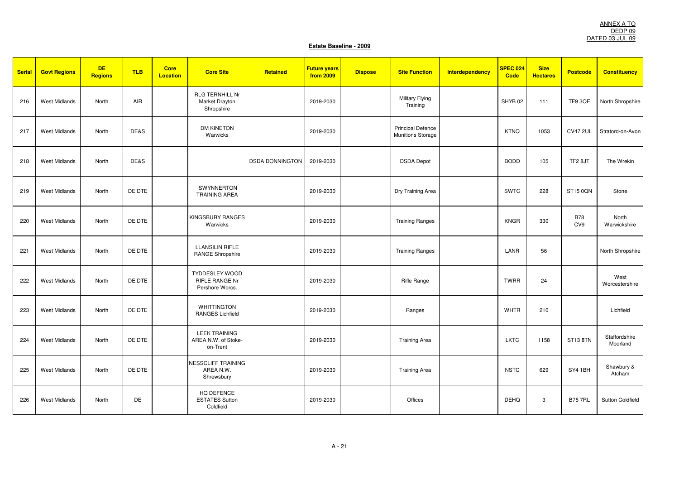| <b>Serial</b> | <b>Govt Regions</b>  | <b>DE</b><br><b>Regions</b> | <b>TLB</b> | <b>Core</b><br><b>Location</b> | <b>Core Site</b>                                                  | Retained               | <b>Future years</b><br>from 2009 | <b>Dispose</b> | <b>Site Function</b>                                 | <b>Interdependency</b> | <b>SPEC 024</b><br><b>Code</b> | <b>Size</b><br><b>Hectares</b> | <b>Postcode</b>   | <b>Constituency</b>       |
|---------------|----------------------|-----------------------------|------------|--------------------------------|-------------------------------------------------------------------|------------------------|----------------------------------|----------------|------------------------------------------------------|------------------------|--------------------------------|--------------------------------|-------------------|---------------------------|
| 216           | <b>West Midlands</b> | North                       | AIR        |                                | <b>RLG TERNHILL Nr</b><br>Market Drayton<br>Shropshire            |                        | 2019-2030                        |                | <b>Military Flying</b><br>Training                   |                        | SHYB <sub>02</sub>             | 111                            | TF9 3QE           | North Shropshire          |
| 217           | <b>West Midlands</b> | North                       | DE&S       |                                | <b>DM KINETON</b><br>Warwicks                                     |                        | 2019-2030                        |                | <b>Principal Defence</b><br><b>Munitions Storage</b> |                        | <b>KTNQ</b>                    | 1053                           | <b>CV47 2UL</b>   | Stratord-on-Avon          |
| 218           | <b>West Midlands</b> | North                       | DE&S       |                                |                                                                   | <b>DSDA DONNINGTON</b> | 2019-2030                        |                | <b>DSDA</b> Depot                                    |                        | <b>BODD</b>                    | 105                            | TF28JT            | The Wrekin                |
| 219           | <b>West Midlands</b> | North                       | DE DTE     |                                | SWYNNERTON<br><b>TRAINING AREA</b>                                |                        | 2019-2030                        |                | Dry Training Area                                    |                        | SWTC                           | 228                            | ST15 0QN          | Stone                     |
| 220           | <b>West Midlands</b> | North                       | DE DTE     |                                | <b>KINGSBURY RANGES</b><br>Warwicks                               |                        | 2019-2030                        |                | <b>Training Ranges</b>                               |                        | <b>KNGR</b>                    | 330                            | <b>B78</b><br>CV9 | North<br>Warwickshire     |
| 221           | <b>West Midlands</b> | North                       | DE DTE     |                                | <b>LLANSILIN RIFLE</b><br><b>RANGE Shropshire</b>                 |                        | 2019-2030                        |                | <b>Training Ranges</b>                               |                        | LANR                           | 56                             |                   | North Shropshire          |
| 222           | <b>West Midlands</b> | North                       | DE DTE     |                                | <b>TYDDESLEY WOOD</b><br><b>RIFLE RANGE Nr</b><br>Pershore Worcs. |                        | 2019-2030                        |                | Rifle Range                                          |                        | <b>TWRR</b>                    | 24                             |                   | West<br>Worcestershire    |
| 223           | <b>West Midlands</b> | North                       | DE DTE     |                                | <b>WHITTINGTON</b><br><b>RANGES Lichfield</b>                     |                        | 2019-2030                        |                | Ranges                                               |                        | <b>WHTR</b>                    | 210                            |                   | Lichfield                 |
| 224           | <b>West Midlands</b> | North                       | DE DTE     |                                | <b>LEEK TRAINING</b><br>AREA N.W. of Stoke-<br>on-Trent           |                        | 2019-2030                        |                | <b>Training Area</b>                                 |                        | <b>LKTC</b>                    | 1158                           | ST13 8TN          | Staffordshire<br>Moorland |
| 225           | <b>West Midlands</b> | North                       | DE DTE     |                                | <b>NESSCLIFF TRAINING</b><br>AREA N.W.<br>Shrewsbury              |                        | 2019-2030                        |                | <b>Training Area</b>                                 |                        | <b>NSTC</b>                    | 629                            | SY4 1BH           | Shawbury &<br>Atcham      |
| 226           | <b>West Midlands</b> | North                       | DE         |                                | HQ DEFENCE<br><b>ESTATES Sutton</b><br>Coldfield                  |                        | 2019-2030                        |                | Offices                                              |                        | <b>DEHQ</b>                    | 3                              | <b>B75 7RL</b>    | <b>Sutton Coldfield</b>   |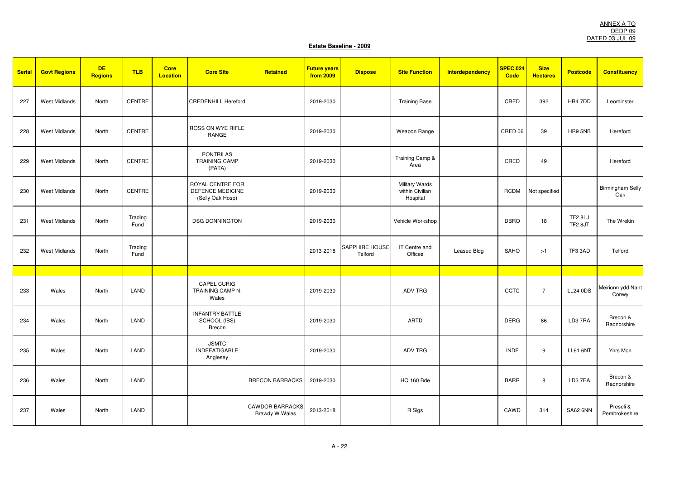| <b>Serial</b> | <b>Govt Regions</b>  | <b>DE</b><br><b>Regions</b> | <b>TLB</b>      | <b>Core</b><br><b>Location</b> | <b>Core Site</b>                                         | Retained                                 | <b>Future years</b><br>from 2009 | <b>Dispose</b>            | <b>Site Function</b>                                 | <b>Interdependency</b> | <b>SPEC 024</b><br>Code | <b>Size</b><br><b>Hectares</b> | <b>Postcode</b>    | <b>Constituency</b>            |
|---------------|----------------------|-----------------------------|-----------------|--------------------------------|----------------------------------------------------------|------------------------------------------|----------------------------------|---------------------------|------------------------------------------------------|------------------------|-------------------------|--------------------------------|--------------------|--------------------------------|
| 227           | West Midlands        | North                       | CENTRE          |                                | <b>CREDENHILL Hereford</b>                               |                                          | 2019-2030                        |                           | <b>Training Base</b>                                 |                        | CRED                    | 392                            | HR4 7DD            | Leominster                     |
| 228           | <b>West Midlands</b> | North                       | CENTRE          |                                | ROSS ON WYE RIFLE<br>RANGE                               |                                          | 2019-2030                        |                           | Weapon Range                                         |                        | CRED 06                 | 39                             | HR9 5NB            | Hereford                       |
| 229           | <b>West Midlands</b> | North                       | <b>CENTRE</b>   |                                | <b>PONTRILAS</b><br><b>TRAINING CAMP</b><br>(PATA)       |                                          | 2019-2030                        |                           | Training Camp &<br>Area                              |                        | CRED                    | 49                             |                    | Hereford                       |
| 230           | <b>West Midlands</b> | North                       | <b>CENTRE</b>   |                                | ROYAL CENTRE FOR<br>DEFENCE MEDICINE<br>(Selly Oak Hosp) |                                          | 2019-2030                        |                           | <b>Military Wards</b><br>within Civilian<br>Hospital |                        | <b>RCDM</b>             | Not specified                  |                    | <b>Birmingham Selly</b><br>Oak |
| 231           | <b>West Midlands</b> | North                       | Trading<br>Fund |                                | <b>DSG DONNINGTON</b>                                    |                                          | 2019-2030                        |                           | Vehicle Workshop                                     |                        | <b>DBRO</b>             | 18                             | TF2 8LJ<br>TF2 8JT | The Wrekin                     |
| 232           | <b>West Midlands</b> | North                       | Trading<br>Fund |                                |                                                          |                                          | 2013-2018                        | SAPPHIRE HOUSE<br>Telford | IT Centre and<br>Offices                             | Leased Bldg            | <b>SAHO</b>             | >1                             | TF3 3AD            | Telford                        |
|               |                      |                             |                 |                                |                                                          |                                          |                                  |                           |                                                      |                        |                         |                                |                    |                                |
| 233           | Wales                | North                       | LAND            |                                | CAPEL CURIG<br>TRAINING CAMP N.<br>Wales                 |                                          | 2019-2030                        |                           | <b>ADV TRG</b>                                       |                        | CCTC                    | $\overline{7}$                 | <b>LL24 0DS</b>    | Meirionn ydd Nant<br>Conwy     |
| 234           | Wales                | North                       | LAND            |                                | <b>INFANTRY BATTLE</b><br>SCHOOL (IBS)<br>Brecon         |                                          | 2019-2030                        |                           | <b>ARTD</b>                                          |                        | <b>DERG</b>             | 86                             | LD37RA             | Brecon &<br>Radnorshire        |
| 235           | Wales                | North                       | LAND            |                                | <b>JSMTC</b><br><b>INDEFATIGABLE</b><br>Anglesey         |                                          | 2019-2030                        |                           | ADV TRG                                              |                        | <b>INDF</b>             | 9                              | <b>LL61 6NT</b>    | Ynrs Mon                       |
| 236           | Wales                | North                       | LAND            |                                |                                                          | <b>BRECON BARRACKS</b>                   | 2019-2030                        |                           | <b>HQ 160 Bde</b>                                    |                        | <b>BARR</b>             | 8                              | LD37EA             | Brecon &<br>Radnorshire        |
| 237           | Wales                | North                       | LAND            |                                |                                                          | <b>CAWDOR BARRACKS</b><br>Brawdy W.Wales | 2013-2018                        |                           | R Sigs                                               |                        | CAWD                    | 314                            | <b>SA62 6NN</b>    | Preseli &<br>Pembrokeshire     |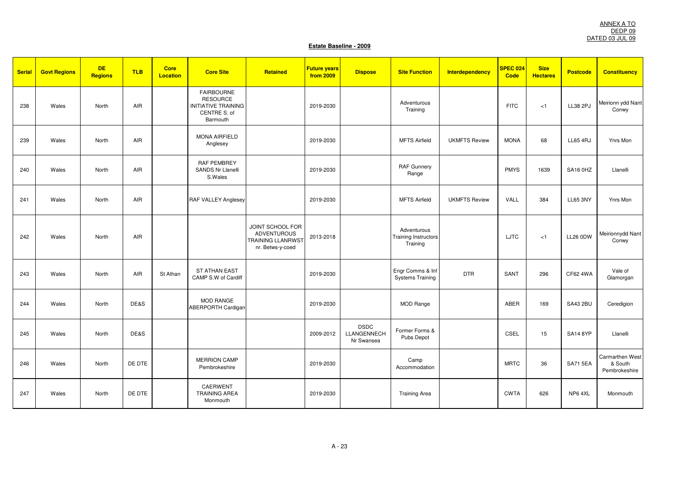| <b>Serial</b> | <b>Govt Regions</b> | <b>DE</b><br><b>Regions</b> | <b>TLB</b> | <b>Core</b><br><b>Location</b> | <b>Core Site</b>                                                                        | Retained                                                                                      | <b>Future years</b><br>from 2009 | <b>Dispose</b>                           | <b>Site Function</b>                            | <b>Interdependency</b> | <b>SPEC 024</b><br>Code | <b>Size</b><br><b>Hectares</b> | <b>Postcode</b> | <b>Constituency</b>                         |
|---------------|---------------------|-----------------------------|------------|--------------------------------|-----------------------------------------------------------------------------------------|-----------------------------------------------------------------------------------------------|----------------------------------|------------------------------------------|-------------------------------------------------|------------------------|-------------------------|--------------------------------|-----------------|---------------------------------------------|
| 238           | Wales               | North                       | AIR        |                                | <b>FAIRBOURNE</b><br><b>RESOURCE</b><br>INITIATIVE TRAINING<br>CENTRE S. of<br>Barmouth |                                                                                               | 2019-2030                        |                                          | Adventurous<br>Training                         |                        | <b>FITC</b>             | < 1                            | LL38 2PJ        | Meirionn ydd Nant<br>Conwy                  |
| 239           | Wales               | North                       | AIR        |                                | <b>MONA AIRFIELD</b><br>Anglesey                                                        |                                                                                               | 2019-2030                        |                                          | <b>MFTS Airfield</b>                            | <b>UKMFTS Review</b>   | <b>MONA</b>             | 68                             | <b>LL65 4RJ</b> | Ynrs Mon                                    |
| 240           | Wales               | North                       | AIR        |                                | <b>RAF PEMBREY</b><br><b>SANDS Nr Llanelli</b><br>S.Wales                               |                                                                                               | 2019-2030                        |                                          | <b>RAF Gunnery</b><br>Range                     |                        | <b>PMYS</b>             | 1639                           | <b>SA16 0HZ</b> | Llanelli                                    |
| 241           | Wales               | North                       | <b>AIR</b> |                                | <b>RAF VALLEY Anglesey</b>                                                              |                                                                                               | 2019-2030                        |                                          | <b>MFTS Airfield</b>                            | <b>UKMFTS Review</b>   | VALL                    | 384                            | <b>LL65 3NY</b> | Ynrs Mon                                    |
| 242           | Wales               | North                       | AIR        |                                |                                                                                         | <b>JOINT SCHOOL FOR</b><br><b>ADVENTUROUS</b><br><b>TRAINING LLANRWST</b><br>nr. Betws-y-coed | 2013-2018                        |                                          | Adventurous<br>Training Instructors<br>Training |                        | LJTC                    | < 1                            | <b>LL26 0DW</b> | Meirionnydd Nant<br>Conwy                   |
| 243           | Wales               | North                       | AIR        | St Athan                       | <b>ST ATHAN EAST</b><br>CAMP S.W of Cardiff                                             |                                                                                               | 2019-2030                        |                                          | Engr Comms & Inf<br><b>Systems Training</b>     | <b>DTR</b>             | SANT                    | 296                            | CF62 4WA        | Vale of<br>Glamorgan                        |
| 244           | Wales               | North                       | DE&S       |                                | MOD RANGE<br><b>ABERPORTH Cardigan</b>                                                  |                                                                                               | 2019-2030                        |                                          | <b>MOD Range</b>                                |                        | ABER                    | 169                            | <b>SA43 2BU</b> | Ceredigion                                  |
| 245           | Wales               | North                       | DE&S       |                                |                                                                                         |                                                                                               | 2009-2012                        | <b>DSDC</b><br>LLANGENNECH<br>Nr Swansea | Former Forms &<br>Pubs Depot                    |                        | CSEL                    | 15                             | <b>SA14 8YP</b> | Llanelli                                    |
| 246           | Wales               | North                       | DE DTE     |                                | <b>MERRION CAMP</b><br>Pembrokeshire                                                    |                                                                                               | 2019-2030                        |                                          | Camp<br>Accommodation                           |                        | <b>MRTC</b>             | 36                             | <b>SA71 5EA</b> | Carmarthen West<br>& South<br>Pembrokeshire |
| 247           | Wales               | North                       | DE DTE     |                                | CAERWENT<br><b>TRAINING AREA</b><br>Monmouth                                            |                                                                                               | 2019-2030                        |                                          | <b>Training Area</b>                            |                        | <b>CWTA</b>             | 626                            | NP64XL          | Monmouth                                    |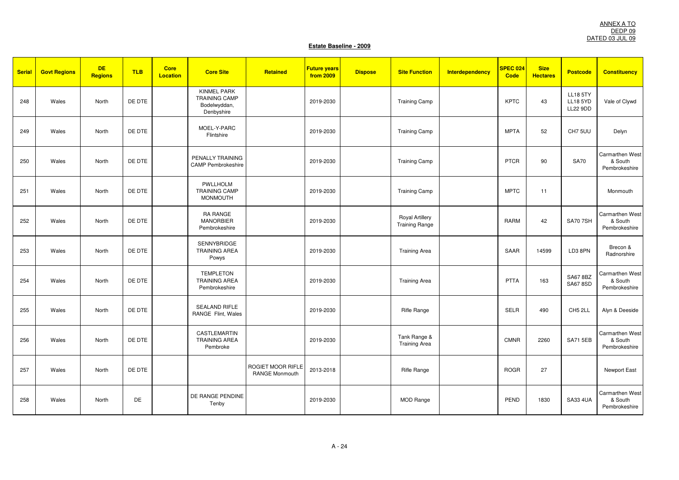| <b>Serial</b> | <b>Govt Regions</b> | <b>DE</b><br><b>Regions</b> | <b>TLB</b> | <b>Core</b><br><b>Location</b> | <b>Core Site</b>                                                         | Retained                                   | <b>Future years</b><br>from 2009 | <b>Dispose</b> | <b>Site Function</b>                            | <b>Interdependency</b> | <b>SPEC 024</b><br><b>Code</b> | <b>Size</b><br><b>Hectares</b> | <b>Postcode</b>                                       | <b>Constituency</b>                         |
|---------------|---------------------|-----------------------------|------------|--------------------------------|--------------------------------------------------------------------------|--------------------------------------------|----------------------------------|----------------|-------------------------------------------------|------------------------|--------------------------------|--------------------------------|-------------------------------------------------------|---------------------------------------------|
| 248           | Wales               | North                       | DE DTE     |                                | <b>KINMEL PARK</b><br><b>TRAINING CAMP</b><br>Bodelwyddan,<br>Denbyshire |                                            | 2019-2030                        |                | <b>Training Camp</b>                            |                        | <b>KPTC</b>                    | 43                             | <b>LL18 5TY</b><br><b>LL18 5YD</b><br><b>LL22 9DD</b> | Vale of Clywd                               |
| 249           | Wales               | North                       | DE DTE     |                                | MOEL-Y-PARC<br>Flintshire                                                |                                            | 2019-2030                        |                | <b>Training Camp</b>                            |                        | <b>MPTA</b>                    | 52                             | CH7 5UU                                               | Delyn                                       |
| 250           | Wales               | North                       | DE DTE     |                                | PENALLY TRAINING<br><b>CAMP Pembrokeshire</b>                            |                                            | 2019-2030                        |                | <b>Training Camp</b>                            |                        | <b>PTCR</b>                    | 90                             | <b>SA70</b>                                           | Carmarthen West<br>& South<br>Pembrokeshire |
| 251           | Wales               | North                       | DE DTE     |                                | PWLLHOLM<br><b>TRAINING CAMP</b><br><b>MONMOUTH</b>                      |                                            | 2019-2030                        |                | <b>Training Camp</b>                            |                        | <b>MPTC</b>                    | 11                             |                                                       | Monmouth                                    |
| 252           | Wales               | North                       | DE DTE     |                                | RA RANGE<br><b>MANORBIER</b><br>Pembrokeshire                            |                                            | 2019-2030                        |                | <b>Royal Artillery</b><br><b>Training Range</b> |                        | RARM                           | 42                             | <b>SA70 7SH</b>                                       | Carmarthen West<br>& South<br>Pembrokeshire |
| 253           | Wales               | North                       | DE DTE     |                                | <b>SENNYBRIDGE</b><br><b>TRAINING AREA</b><br>Powys                      |                                            | 2019-2030                        |                | <b>Training Area</b>                            |                        | SAAR                           | 14599                          | LD3 8PN                                               | Brecon &<br>Radnorshire                     |
| 254           | Wales               | North                       | DE DTE     |                                | <b>TEMPLETON</b><br><b>TRAINING AREA</b><br>Pembrokeshire                |                                            | 2019-2030                        |                | <b>Training Area</b>                            |                        | <b>PTTA</b>                    | 163                            | <b>SA67 8BZ</b><br><b>SA67 8SD</b>                    | Carmarthen West<br>& South<br>Pembrokeshire |
| 255           | Wales               | North                       | DE DTE     |                                | SEALAND RIFLE<br>RANGE Flint, Wales                                      |                                            | 2019-2030                        |                | Rifle Range                                     |                        | <b>SELR</b>                    | 490                            | CH5 2LL                                               | Alyn & Deeside                              |
| 256           | Wales               | North                       | DE DTE     |                                | CASTLEMARTIN<br><b>TRAINING AREA</b><br>Pembroke                         |                                            | 2019-2030                        |                | Tank Range &<br><b>Training Area</b>            |                        | <b>CMNR</b>                    | 2260                           | <b>SA71 5EB</b>                                       | Carmarthen West<br>& South<br>Pembrokeshire |
| 257           | Wales               | North                       | DE DTE     |                                |                                                                          | ROGIET MOOR RIFLE<br><b>RANGE Monmouth</b> | 2013-2018                        |                | Rifle Range                                     |                        | <b>ROGR</b>                    | 27                             |                                                       | Newport East                                |
| 258           | Wales               | North                       | DE         |                                | DE RANGE PENDINE<br>Tenby                                                |                                            | 2019-2030                        |                | <b>MOD Range</b>                                |                        | PEND                           | 1830                           | <b>SA33 4UA</b>                                       | Carmarthen West<br>& South<br>Pembrokeshire |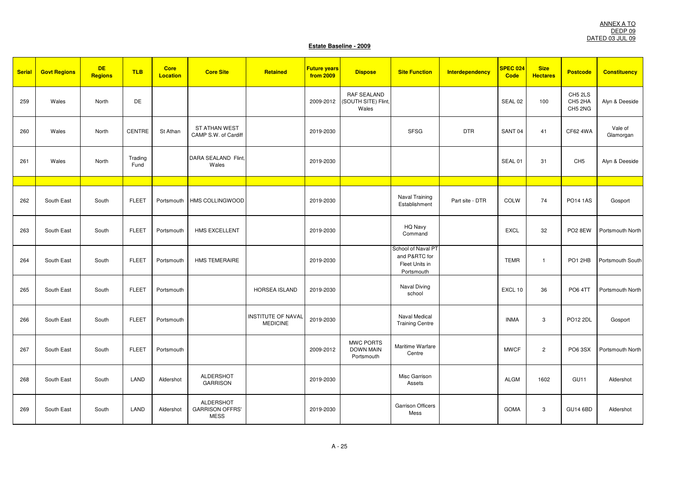| <b>Serial</b> | <b>Govt Regions</b> | <b>DE</b><br><b>Regions</b> | <b>TLB</b>      | <b>Core</b><br><b>Location</b> | <b>Core Site</b>                                          | Retained                                     | <b>Future years</b><br>from 2009 | <b>Dispose</b>                                     | <b>Site Function</b>                                                | <b>Interdependency</b> | <b>SPEC 024</b><br>Code | <b>Size</b><br><b>Hectares</b> | <b>Postcode</b>               | <b>Constituency</b>  |
|---------------|---------------------|-----------------------------|-----------------|--------------------------------|-----------------------------------------------------------|----------------------------------------------|----------------------------------|----------------------------------------------------|---------------------------------------------------------------------|------------------------|-------------------------|--------------------------------|-------------------------------|----------------------|
| 259           | Wales               | North                       | DE              |                                |                                                           |                                              | 2009-2012                        | <b>RAF SEALAND</b><br>(SOUTH SITE) Flint,<br>Wales |                                                                     |                        | SEAL 02                 | 100                            | CH5 2LS<br>CH5 2HA<br>CH5 2NG | Alyn & Deeside       |
| 260           | Wales               | North                       | CENTRE          | St Athan                       | <b>ST ATHAN WEST</b><br>CAMP S.W. of Cardiff              |                                              | 2019-2030                        |                                                    | <b>SFSG</b>                                                         | <b>DTR</b>             | SANT <sub>04</sub>      | 41                             | CF62 4WA                      | Vale of<br>Glamorgan |
| 261           | Wales               | North                       | Trading<br>Fund |                                | DARA SEALAND Flint,<br>Wales                              |                                              | 2019-2030                        |                                                    |                                                                     |                        | SEAL 01                 | 31                             | CH <sub>5</sub>               | Alyn & Deeside       |
|               |                     |                             |                 |                                |                                                           |                                              |                                  |                                                    |                                                                     |                        |                         |                                |                               |                      |
| 262           | South East          | South                       | <b>FLEET</b>    | Portsmouth                     | HMS COLLINGWOOD                                           |                                              | 2019-2030                        |                                                    | Naval Training<br>Establishment                                     | Part site - DTR        | <b>COLW</b>             | 74                             | <b>PO14 1AS</b>               | Gosport              |
| 263           | South East          | South                       | <b>FLEET</b>    | Portsmouth                     | HMS EXCELLENT                                             |                                              | 2019-2030                        |                                                    | HQ Navy<br>Command                                                  |                        | <b>EXCL</b>             | 32                             | PO <sub>2</sub> 8EW           | Portsmouth North     |
| 264           | South East          | South                       | <b>FLEET</b>    | Portsmouth                     | <b>HMS TEMERAIRE</b>                                      |                                              | 2019-2030                        |                                                    | School of Naval PT<br>and P&RTC for<br>Fleet Units in<br>Portsmouth |                        | <b>TEMR</b>             | $\mathbf{1}$                   | PO1 2HB                       | Portsmouth South     |
| 265           | South East          | South                       | <b>FLEET</b>    | Portsmouth                     |                                                           | <b>HORSEA ISLAND</b>                         | 2019-2030                        |                                                    | Naval Diving<br>school                                              |                        | EXCL 10                 | 36                             | <b>PO6 4TT</b>                | Portsmouth North     |
| 266           | South East          | South                       | <b>FLEET</b>    | Portsmouth                     |                                                           | <b>INSTITUTE OF NAVAL</b><br><b>MEDICINE</b> | 2019-2030                        |                                                    | Naval Medical<br><b>Training Centre</b>                             |                        | <b>INMA</b>             | 3                              | PO12 2DL                      | Gosport              |
| 267           | South East          | South                       | <b>FLEET</b>    | Portsmouth                     |                                                           |                                              | 2009-2012                        | MWC PORTS<br><b>DOWN MAIN</b><br>Portsmouth        | Maritime Warfare<br>Centre                                          |                        | <b>MWCF</b>             | $\overline{2}$                 | PO6 3SX                       | Portsmouth North     |
| 268           | South East          | South                       | LAND            | Aldershot                      | <b>ALDERSHOT</b><br><b>GARRISON</b>                       |                                              | 2019-2030                        |                                                    | Misc Garrison<br>Assets                                             |                        | <b>ALGM</b>             | 1602                           | GU11                          | Aldershot            |
| 269           | South East          | South                       | LAND            | Aldershot                      | <b>ALDERSHOT</b><br><b>GARRISON OFFRS'</b><br><b>MESS</b> |                                              | 2019-2030                        |                                                    | <b>Garrison Officers</b><br>Mess                                    |                        | <b>GOMA</b>             | 3                              | <b>GU14 6BD</b>               | Aldershot            |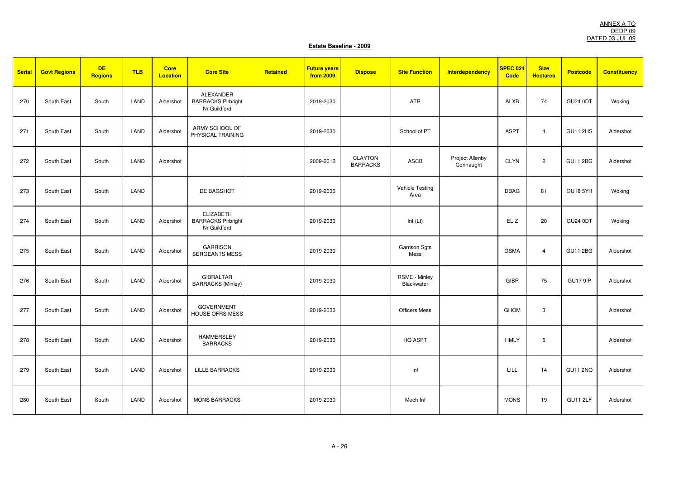| <b>Serial</b> | <b>Govt Regions</b> | <b>DE</b><br><b>Regions</b> | <b>TLB</b> | <b>Core</b><br><b>Location</b> | <b>Core Site</b>                                              | Retained | <b>Future years</b><br>from 2009 | <b>Dispose</b>                    | <b>Site Function</b>           | <b>Interdependency</b>       | SPEC 024<br><b>Code</b> | <b>Size</b><br><b>Hectares</b> | <b>Postcode</b> | <b>Constituency</b> |
|---------------|---------------------|-----------------------------|------------|--------------------------------|---------------------------------------------------------------|----------|----------------------------------|-----------------------------------|--------------------------------|------------------------------|-------------------------|--------------------------------|-----------------|---------------------|
| 270           | South East          | South                       | LAND       | Aldershot                      | ALEXANDER<br><b>BARRACKS Pirbright</b><br>Nr Guildford        |          | 2019-2030                        |                                   | ATR                            |                              | <b>ALXB</b>             | 74                             | <b>GU24 0DT</b> | Woking              |
| 271           | South East          | South                       | LAND       | Aldershot                      | ARMY SCHOOL OF<br>PHYSICAL TRAINING                           |          | 2019-2030                        |                                   | School of PT                   |                              | <b>ASPT</b>             | $\overline{4}$                 | <b>GU11 2HS</b> | Aldershot           |
| 272           | South East          | South                       | LAND       | Aldershot                      |                                                               |          | 2009-2012                        | <b>CLAYTON</b><br><b>BARRACKS</b> | ASCB                           | Project Allenby<br>Connaught | <b>CLYN</b>             | $\overline{2}$                 | <b>GU11 2BG</b> | Aldershot           |
| 273           | South East          | South                       | LAND       |                                | DE BAGSHOT                                                    |          | 2019-2030                        |                                   | <b>Vehicle Testing</b><br>Area |                              | <b>DBAG</b>             | 81                             | GU18 5YH        | Woking              |
| 274           | South East          | South                       | LAND       | Aldershot                      | <b>ELIZABETH</b><br><b>BARRACKS Pirbright</b><br>Nr Guildford |          | 2019-2030                        |                                   | Inf $(Lt)$                     |                              | <b>ELIZ</b>             | 20                             | <b>GU24 0DT</b> | Woking              |
| 275           | South East          | South                       | LAND       | Aldershot                      | <b>GARRISON</b><br><b>SERGEANTS MESS</b>                      |          | 2019-2030                        |                                   | <b>Garrison Sgts</b><br>Mess   |                              | <b>GSMA</b>             | $\overline{4}$                 | <b>GU11 2BG</b> | Aldershot           |
| 276           | South East          | South                       | LAND       | Aldershot                      | <b>GIBRALTAR</b><br><b>BARRACKS (Minley)</b>                  |          | 2019-2030                        |                                   | RSME - Minley<br>Blackwater    |                              | <b>GIBR</b>             | 75                             | <b>GU17 9IP</b> | Aldershot           |
| 277           | South East          | South                       | LAND       | Aldershot                      | <b>GOVERNMENT</b><br><b>HOUSE OFRS MESS</b>                   |          | 2019-2030                        |                                   | <b>Officers Mess</b>           |                              | <b>GHOM</b>             | 3                              |                 | Aldershot           |
| 278           | South East          | South                       | LAND       | Aldershot                      | <b>HAMMERSLEY</b><br><b>BARRACKS</b>                          |          | 2019-2030                        |                                   | HQ ASPT                        |                              | <b>HMLY</b>             | 5                              |                 | Aldershot           |
| 279           | South East          | South                       | LAND       | Aldershot                      | <b>LILLE BARRACKS</b>                                         |          | 2019-2030                        |                                   | Inf                            |                              | LILL                    | 14                             | <b>GU11 2NQ</b> | Aldershot           |
| 280           | South East          | South                       | LAND       | Aldershot                      | <b>MONS BARRACKS</b>                                          |          | 2019-2030                        |                                   | Mech Inf                       |                              | <b>MONS</b>             | 19                             | GU11 2LF        | Aldershot           |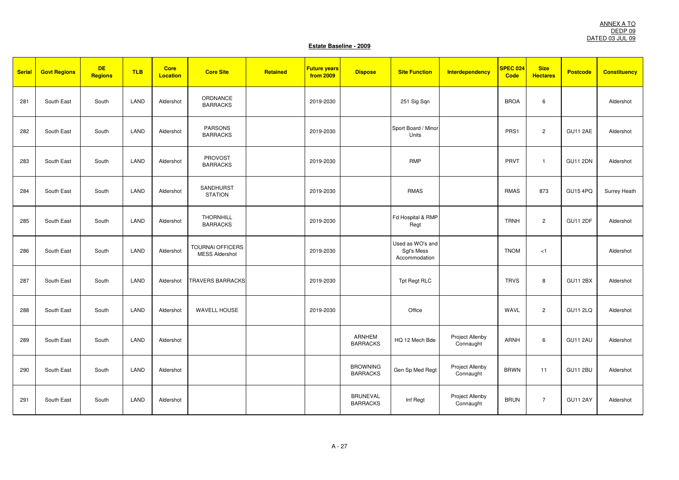| <b>Serial</b> | <b>Govt Regions</b> | <b>DE</b><br><b>Regions</b> | <b>TLB</b> | <b>Core</b><br><b>Location</b> | <b>Core Site</b>                                 | Retained | <b>Future years</b><br><b>from 2009</b> | <b>Dispose</b>                     | <b>Site Function</b>                            | <b>Interdependency</b>       | SPEC 024<br><b>Code</b> | <b>Size</b><br><b>Hectares</b> | <b>Postcode</b> | <b>Constituency</b> |
|---------------|---------------------|-----------------------------|------------|--------------------------------|--------------------------------------------------|----------|-----------------------------------------|------------------------------------|-------------------------------------------------|------------------------------|-------------------------|--------------------------------|-----------------|---------------------|
| 281           | South East          | South                       | LAND       | Aldershot                      | ORDNANCE<br><b>BARRACKS</b>                      |          | 2019-2030                               |                                    | 251 Sig Sqn                                     |                              | <b>BROA</b>             | 6                              |                 | Aldershot           |
| 282           | South East          | South                       | LAND       | Aldershot                      | <b>PARSONS</b><br><b>BARRACKS</b>                |          | 2019-2030                               |                                    | Sport Board / Minor<br>Units                    |                              | PRS1                    | $\overline{c}$                 | <b>GU11 2AE</b> | Aldershot           |
| 283           | South East          | South                       | LAND       | Aldershot                      | <b>PROVOST</b><br><b>BARRACKS</b>                |          | 2019-2030                               |                                    | <b>RMP</b>                                      |                              | PRVT                    | $\overline{1}$                 | <b>GU11 2DN</b> | Aldershot           |
| 284           | South East          | South                       | LAND       | Aldershot                      | SANDHURST<br><b>STATION</b>                      |          | 2019-2030                               |                                    | <b>RMAS</b>                                     |                              | <b>RMAS</b>             | 873                            | <b>GU15 4PQ</b> | Surrey Heath        |
| 285           | South East          | South                       | LAND       | Aldershot                      | <b>THORNHILL</b><br><b>BARRACKS</b>              |          | 2019-2030                               |                                    | Fd Hospital & RMP<br>Regt                       |                              | <b>TRNH</b>             | $\overline{c}$                 | <b>GU11 2DF</b> | Aldershot           |
| 286           | South East          | South                       | LAND       | Aldershot                      | <b>TOURNAI OFFICERS</b><br><b>MESS Aldershot</b> |          | 2019-2030                               |                                    | Used as WO's and<br>Sgt's Mess<br>Accommodation |                              | <b>TNOM</b>             | < 1                            |                 | Aldershot           |
| 287           | South East          | South                       | LAND       | Aldershot                      | <b>TRAVERS BARRACKS</b>                          |          | 2019-2030                               |                                    | <b>Tpt Regt RLC</b>                             |                              | <b>TRVS</b>             | 8                              | <b>GU11 2BX</b> | Aldershot           |
| 288           | South East          | South                       | LAND       | Aldershot                      | <b>WAVELL HOUSE</b>                              |          | 2019-2030                               |                                    | Office                                          |                              | WAVL                    | $\overline{c}$                 | <b>GU11 2LQ</b> | Aldershot           |
| 289           | South East          | South                       | LAND       | Aldershot                      |                                                  |          |                                         | <b>ARNHEM</b><br><b>BARRACKS</b>   | HQ 12 Mech Bde                                  | Project Allenby<br>Connaught | <b>ARNH</b>             | 6                              | GU11 2AU        | Aldershot           |
| 290           | South East          | South                       | LAND       | Aldershot                      |                                                  |          |                                         | <b>BROWNING</b><br><b>BARRACKS</b> | Gen Sp Med Regt                                 | Project Allenby<br>Connaught | <b>BRWN</b>             | 11                             | <b>GU11 2BU</b> | Aldershot           |
| 291           | South East          | South                       | LAND       | Aldershot                      |                                                  |          |                                         | <b>BRUNEVAL</b><br><b>BARRACKS</b> | Inf Regt                                        | Project Allenby<br>Connaught | <b>BRUN</b>             | $\overline{7}$                 | <b>GU11 2AY</b> | Aldershot           |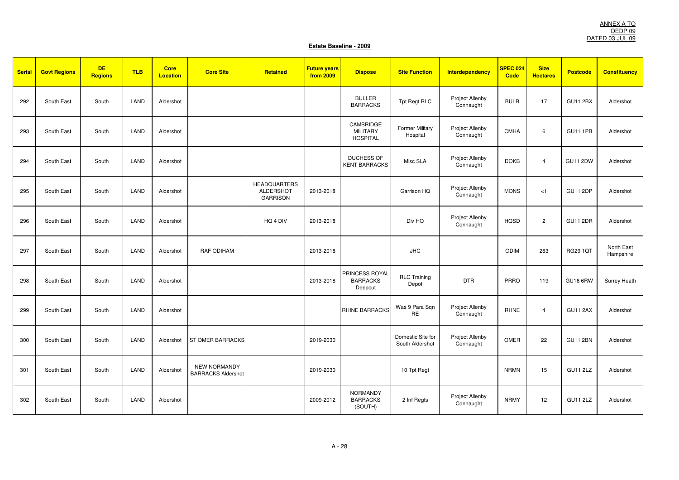| <b>Serial</b> | <b>Govt Regions</b> | <b>DE</b><br><b>Regions</b> | <b>TLB</b> | <b>Core</b><br><b>Location</b> | <b>Core Site</b>                                 | Retained                                                   | <b>Future years</b><br>from 2009 | <b>Dispose</b>                                  | <b>Site Function</b>                 | <b>Interdependency</b>              | SPEC 024<br><b>Code</b> | <b>Size</b><br><b>Hectares</b> | <b>Postcode</b> | <b>Constituency</b>     |
|---------------|---------------------|-----------------------------|------------|--------------------------------|--------------------------------------------------|------------------------------------------------------------|----------------------------------|-------------------------------------------------|--------------------------------------|-------------------------------------|-------------------------|--------------------------------|-----------------|-------------------------|
| 292           | South East          | South                       | LAND       | Aldershot                      |                                                  |                                                            |                                  | <b>BULLER</b><br><b>BARRACKS</b>                | Tpt Regt RLC                         | <b>Project Allenby</b><br>Connaught | <b>BULR</b>             | 17                             | <b>GU11 2BX</b> | Aldershot               |
| 293           | South East          | South                       | LAND       | Aldershot                      |                                                  |                                                            |                                  | CAMBRIDGE<br><b>MILITARY</b><br><b>HOSPITAL</b> | <b>Former Military</b><br>Hospital   | Project Allenby<br>Connaught        | <b>CMHA</b>             | 6                              | <b>GU11 1PB</b> | Aldershot               |
| 294           | South East          | South                       | LAND       | Aldershot                      |                                                  |                                                            |                                  | <b>DUCHESS OF</b><br><b>KENT BARRACKS</b>       | Misc SLA                             | Project Allenby<br>Connaught        | <b>DOKB</b>             | $\overline{4}$                 | <b>GU11 2DW</b> | Aldershot               |
| 295           | South East          | South                       | LAND       | Aldershot                      |                                                  | <b>HEADQUARTERS</b><br><b>ALDERSHOT</b><br><b>GARRISON</b> | 2013-2018                        |                                                 | Garrison HQ                          | Project Allenby<br>Connaught        | <b>MONS</b>             | < 1                            | <b>GU11 2DP</b> | Aldershot               |
| 296           | South East          | South                       | LAND       | Aldershot                      |                                                  | HQ 4 DIV                                                   | 2013-2018                        |                                                 | Div HQ                               | Project Allenby<br>Connaught        | <b>HQSD</b>             | $\overline{c}$                 | <b>GU11 2DR</b> | Aldershot               |
| 297           | South East          | South                       | LAND       | Aldershot                      | RAF ODIHAM                                       |                                                            | 2013-2018                        |                                                 | <b>JHC</b>                           |                                     | <b>ODIM</b>             | 263                            | <b>RG29 1QT</b> | North East<br>Hampshire |
| 298           | South East          | South                       | LAND       | Aldershot                      |                                                  |                                                            | 2013-2018                        | PRINCESS ROYAL<br><b>BARRACKS</b><br>Deepcut    | <b>RLC Training</b><br>Depot         | <b>DTR</b>                          | <b>PRRO</b>             | 119                            | <b>GU16 6RW</b> | Surrey Heath            |
| 299           | South East          | South                       | LAND       | Aldershot                      |                                                  |                                                            |                                  | <b>RHINE BARRACKS</b>                           | Was 9 Para Sqn<br><b>RE</b>          | Project Allenby<br>Connaught        | <b>RHNE</b>             | $\overline{4}$                 | <b>GU11 2AX</b> | Aldershot               |
| 300           | South East          | South                       | LAND       | Aldershot                      | <b>ST OMER BARRACKS</b>                          |                                                            | 2019-2030                        |                                                 | Domestic Site for<br>South Aldershot | Project Allenby<br>Connaught        | <b>OMER</b>             | 22                             | <b>GU11 2BN</b> | Aldershot               |
| 301           | South East          | South                       | LAND       | Aldershot                      | <b>NEW NORMANDY</b><br><b>BARRACKS Aldershot</b> |                                                            | 2019-2030                        |                                                 | 10 Tpt Regt                          |                                     | <b>NRMN</b>             | 15                             | <b>GU11 2LZ</b> | Aldershot               |
| 302           | South East          | South                       | LAND       | Aldershot                      |                                                  |                                                            | 2009-2012                        | <b>NORMANDY</b><br><b>BARRACKS</b><br>(SOUTH)   | 2 Inf Regts                          | Project Allenby<br>Connaught        | <b>NRMY</b>             | 12                             | <b>GU11 2LZ</b> | Aldershot               |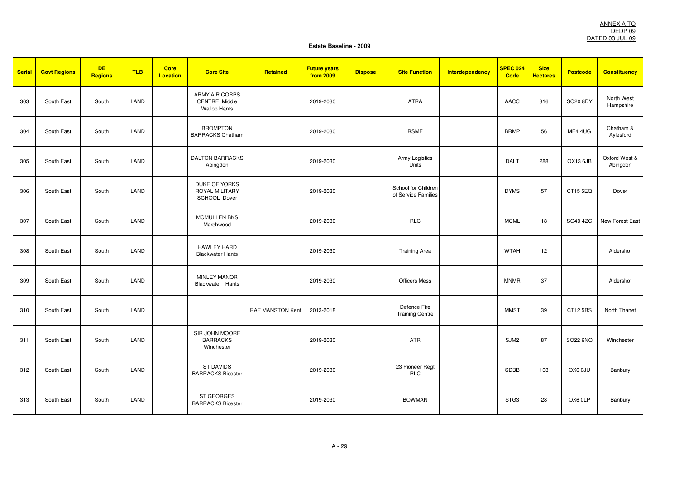| <b>Serial</b> | <b>Govt Regions</b> | <b>DE</b><br><b>Regions</b> | <b>TLB</b> | <b>Core</b><br><b>Location</b> | <b>Core Site</b>                                                     | Retained         | <b>Future years</b><br><b>from 2009</b> | <b>Dispose</b> | <b>Site Function</b>                       | <b>Interdependency</b> | <b>SPEC 024</b><br>Code | <b>Size</b><br><b>Hectares</b> | <b>Postcode</b> | <b>Constituency</b>       |
|---------------|---------------------|-----------------------------|------------|--------------------------------|----------------------------------------------------------------------|------------------|-----------------------------------------|----------------|--------------------------------------------|------------------------|-------------------------|--------------------------------|-----------------|---------------------------|
| 303           | South East          | South                       | LAND       |                                | <b>ARMY AIR CORPS</b><br><b>CENTRE Middle</b><br><b>Wallop Hants</b> |                  | 2019-2030                               |                | <b>ATRA</b>                                |                        | <b>AACC</b>             | 316                            | SO20 8DY        | North West<br>Hampshire   |
| 304           | South East          | South                       | LAND       |                                | <b>BROMPTON</b><br><b>BARRACKS Chatham</b>                           |                  | 2019-2030                               |                | <b>RSME</b>                                |                        | <b>BRMP</b>             | 56                             | ME4 4UG         | Chatham &<br>Aylesford    |
| 305           | South East          | South                       | LAND       |                                | <b>DALTON BARRACKS</b><br>Abingdon                                   |                  | 2019-2030                               |                | Army Logistics<br>Units                    |                        | <b>DALT</b>             | 288                            | OX13 6JB        | Oxford West &<br>Abingdon |
| 306           | South East          | South                       | LAND       |                                | DUKE OF YORKS<br>ROYAL MILITARY<br>SCHOOL Dover                      |                  | 2019-2030                               |                | School for Children<br>of Service Families |                        | <b>DYMS</b>             | 57                             | CT15 5EQ        | Dover                     |
| 307           | South East          | South                       | LAND       |                                | <b>MCMULLEN BKS</b><br>Marchwood                                     |                  | 2019-2030                               |                | <b>RLC</b>                                 |                        | <b>MCML</b>             | 18                             | SO40 4ZG        | New Forest East           |
| 308           | South East          | South                       | LAND       |                                | <b>HAWLEY HARD</b><br><b>Blackwater Hants</b>                        |                  | 2019-2030                               |                | <b>Training Area</b>                       |                        | <b>WTAH</b>             | 12                             |                 | Aldershot                 |
| 309           | South East          | South                       | LAND       |                                | <b>MINLEY MANOR</b><br>Blackwater Hants                              |                  | 2019-2030                               |                | <b>Officers Mess</b>                       |                        | <b>MNMR</b>             | 37                             |                 | Aldershot                 |
| 310           | South East          | South                       | LAND       |                                |                                                                      | RAF MANSTON Kent | 2013-2018                               |                | Defence Fire<br><b>Training Centre</b>     |                        | <b>MMST</b>             | 39                             | CT12 5BS        | North Thanet              |
| 311           | South East          | South                       | LAND       |                                | SIR JOHN MOORE<br><b>BARRACKS</b><br>Winchester                      |                  | 2019-2030                               |                | ATR                                        |                        | SJM2                    | 87                             | SO22 6NQ        | Winchester                |
| 312           | South East          | South                       | LAND       |                                | <b>ST DAVIDS</b><br><b>BARRACKS Bicester</b>                         |                  | 2019-2030                               |                | 23 Pioneer Regt<br><b>RLC</b>              |                        | SDBB                    | 103                            | OX6 0JU         | Banbury                   |
| 313           | South East          | South                       | LAND       |                                | <b>ST GEORGES</b><br><b>BARRACKS Bicester</b>                        |                  | 2019-2030                               |                | <b>BOWMAN</b>                              |                        | STG3                    | 28                             | OX6 0LP         | Banbury                   |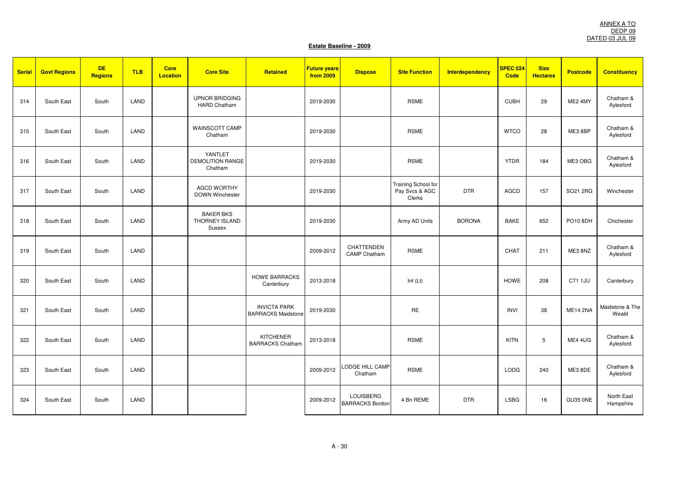| <b>Serial</b> | <b>Govt Regions</b> | <b>DE</b><br><b>Regions</b> | <b>TLB</b> | <b>Core</b><br><b>Location</b> | <b>Core Site</b>                              | Retained                                         | <b>Future years</b><br>from 2009 | <b>Dispose</b>                             | <b>Site Function</b>                            | <b>Interdependency</b> | <b>SPEC 024</b><br><b>Code</b> | <b>Size</b><br><b>Hectares</b> | <b>Postcode</b> | <b>Constituency</b>      |
|---------------|---------------------|-----------------------------|------------|--------------------------------|-----------------------------------------------|--------------------------------------------------|----------------------------------|--------------------------------------------|-------------------------------------------------|------------------------|--------------------------------|--------------------------------|-----------------|--------------------------|
| 314           | South East          | South                       | LAND       |                                | <b>UPNOR BRIDGING</b><br><b>HARD Chatham</b>  |                                                  | 2019-2030                        |                                            | <b>RSME</b>                                     |                        | <b>CUBH</b>                    | 29                             | ME2 4MY         | Chatham &<br>Aylesford   |
| 315           | South East          | South                       | LAND       |                                | WAINSCOTT CAMP<br>Chatham                     |                                                  | 2019-2030                        |                                            | <b>RSME</b>                                     |                        | <b>WTCO</b>                    | 28                             | ME3 8BP         | Chatham &<br>Aylesford   |
| 316           | South East          | South                       | LAND       |                                | YANTLET<br><b>DEMOLITION RANGE</b><br>Chatham |                                                  | 2019-2030                        |                                            | <b>RSME</b>                                     |                        | <b>YTDR</b>                    | 184                            | ME3 OBG         | Chatham &<br>Aylesford   |
| 317           | South East          | South                       | LAND       |                                | <b>AGCD WORTHY</b><br><b>DOWN Winchester</b>  |                                                  | 2019-2030                        |                                            | Training School for<br>Pay Svcs & AGC<br>Clerks | <b>DTR</b>             | <b>AGCD</b>                    | 157                            | SO21 2RG        | Winchester               |
| 318           | South East          | South                       | LAND       |                                | <b>BAKER BKS</b><br>THORNEY ISLAND<br>Sussex  |                                                  | 2019-2030                        |                                            | Army AD Units                                   | <b>BORONA</b>          | <b>BAKE</b>                    | 652                            | PO10 8DH        | Chichester               |
| 319           | South East          | South                       | LAND       |                                |                                               |                                                  | 2009-2012                        | CHATTENDEN<br><b>CAMP Chatham</b>          | <b>RSME</b>                                     |                        | CHAT                           | 211                            | ME3 8NZ         | Chatham &<br>Aylesford   |
| 320           | South East          | South                       | LAND       |                                |                                               | <b>HOWE BARRACKS</b><br>Canterbury               | 2013-2018                        |                                            | Inf $(Lt)$                                      |                        | <b>HOWE</b>                    | 208                            | CT1 1JU         | Canterbury               |
| 321           | South East          | South                       | LAND       |                                |                                               | <b>INVICTA PARK</b><br><b>BARRACKS Maidstone</b> | 2019-2030                        |                                            | <b>RE</b>                                       |                        | <b>INVI</b>                    | 38                             | <b>ME14 2NA</b> | Maidstone & The<br>Weald |
| 322           | South East          | South                       | LAND       |                                |                                               | <b>KITCHENER</b><br><b>BARRACKS Chatham</b>      | 2013-2018                        |                                            | <b>RSME</b>                                     |                        | <b>KITN</b>                    | 5                              | ME4 4UG         | Chatham &<br>Aylesford   |
| 323           | South East          | South                       | LAND       |                                |                                               |                                                  | 2009-2012                        | LODGE HILL CAMP<br>Chatham                 | <b>RSME</b>                                     |                        | <b>LODG</b>                    | 240                            | ME3 8DE         | Chatham &<br>Aylesford   |
| 324           | South East          | South                       | LAND       |                                |                                               |                                                  | 2009-2012                        | <b>LOUISBERG</b><br><b>BARRACKS Bordon</b> | 4 Bn REME                                       | <b>DTR</b>             | <b>LSBG</b>                    | 16                             | GU35 0NE        | North East<br>Hampshire  |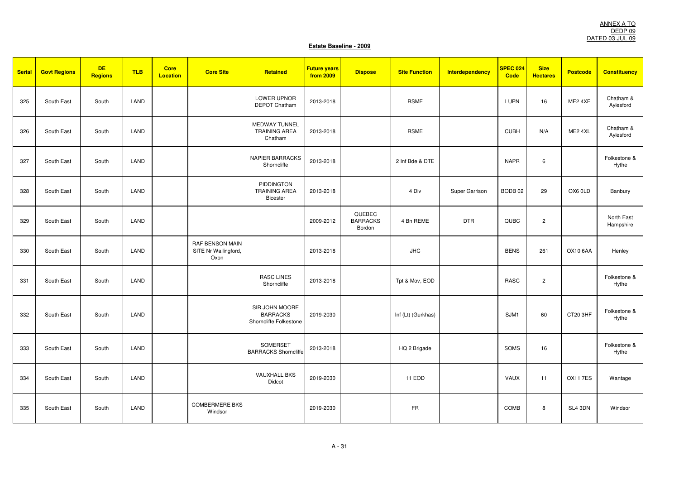| <b>Serial</b> | <b>Govt Regions</b> | <b>DE</b><br><b>Regions</b> | <b>TLB</b> | <b>Core</b><br><b>Location</b> | <b>Core Site</b>                                | Retained                                                    | <b>Future years</b><br>from 2009 | <b>Dispose</b>                      | <b>Site Function</b> | <b>Interdependency</b> | <b>SPEC 024</b><br>Code | <b>Size</b><br><b>Hectares</b> | <b>Postcode</b> | <b>Constituency</b>     |
|---------------|---------------------|-----------------------------|------------|--------------------------------|-------------------------------------------------|-------------------------------------------------------------|----------------------------------|-------------------------------------|----------------------|------------------------|-------------------------|--------------------------------|-----------------|-------------------------|
| 325           | South East          | South                       | LAND       |                                |                                                 | LOWER UPNOR<br><b>DEPOT Chatham</b>                         | 2013-2018                        |                                     | <b>RSME</b>          |                        | LUPN                    | 16                             | ME2 4XE         | Chatham &<br>Aylesford  |
| 326           | South East          | South                       | LAND       |                                |                                                 | <b>MEDWAY TUNNEL</b><br><b>TRAINING AREA</b><br>Chatham     | 2013-2018                        |                                     | <b>RSME</b>          |                        | <b>CUBH</b>             | N/A                            | ME2 4XL         | Chatham &<br>Aylesford  |
| 327           | South East          | South                       | LAND       |                                |                                                 | <b>NAPIER BARRACKS</b><br>Shorncliffe                       | 2013-2018                        |                                     | 2 Inf Bde & DTE      |                        | <b>NAPR</b>             | 6                              |                 | Folkestone &<br>Hythe   |
| 328           | South East          | South                       | LAND       |                                |                                                 | <b>PIDDINGTON</b><br><b>TRAINING AREA</b><br>Bicester       | 2013-2018                        |                                     | 4 Div                | Super Garrison         | BODB <sub>02</sub>      | 29                             | OX6 0LD         | Banbury                 |
| 329           | South East          | South                       | LAND       |                                |                                                 |                                                             | 2009-2012                        | QUEBEC<br><b>BARRACKS</b><br>Bordon | 4 Bn REME            | <b>DTR</b>             | QUBC                    | $\overline{c}$                 |                 | North East<br>Hampshire |
| 330           | South East          | South                       | LAND       |                                | RAF BENSON MAIN<br>SITE Nr Wallingford,<br>Oxon |                                                             | 2013-2018                        |                                     | <b>JHC</b>           |                        | <b>BENS</b>             | 261                            | <b>OX10 6AA</b> | Henley                  |
| 331           | South East          | South                       | LAND       |                                |                                                 | <b>RASC LINES</b><br>Shorncliffe                            | 2013-2018                        |                                     | Tpt & Mov, EOD       |                        | <b>RASC</b>             | $\overline{c}$                 |                 | Folkestone &<br>Hythe   |
| 332           | South East          | South                       | LAND       |                                |                                                 | SIR JOHN MOORE<br><b>BARRACKS</b><br>Shorncliffe Folkestone | 2019-2030                        |                                     | Inf (Lt) (Gurkhas)   |                        | SJM1                    | 60                             | CT20 3HF        | Folkestone &<br>Hythe   |
| 333           | South East          | South                       | LAND       |                                |                                                 | SOMERSET<br><b>BARRACKS Shorncliffe</b>                     | 2013-2018                        |                                     | HQ 2 Brigade         |                        | SOMS                    | 16                             |                 | Folkestone &<br>Hythe   |
| 334           | South East          | South                       | LAND       |                                |                                                 | <b>VAUXHALL BKS</b><br>Didcot                               | 2019-2030                        |                                     | 11 EOD               |                        | VAUX                    | 11                             | <b>OX117ES</b>  | Wantage                 |
| 335           | South East          | South                       | LAND       |                                | <b>COMBERMERE BKS</b><br>Windsor                |                                                             | 2019-2030                        |                                     | <b>FR</b>            |                        | COMB                    | 8                              | SL4 3DN         | Windsor                 |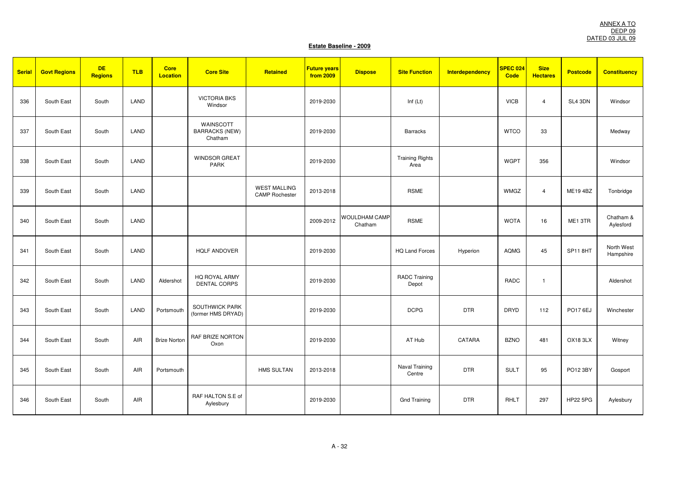| Serial | <b>Govt Regions</b> | <b>DE</b><br><b>Regions</b> | <b>TLB</b> | <b>Core</b><br>Location | <b>Core Site</b>                              | Retained                                     | <b>Future years</b><br><b>from 2009</b> | <b>Dispose</b>           | <b>Site Function</b>           | Interdependency | <b>SPEC 024</b><br><b>Code</b> | <b>Size</b><br><b>Hectares</b> | <b>Postcode</b> | <b>Constituency</b>     |
|--------|---------------------|-----------------------------|------------|-------------------------|-----------------------------------------------|----------------------------------------------|-----------------------------------------|--------------------------|--------------------------------|-----------------|--------------------------------|--------------------------------|-----------------|-------------------------|
| 336    | South East          | South                       | LAND       |                         | <b>VICTORIA BKS</b><br>Windsor                |                                              | 2019-2030                               |                          | Inf $(Lt)$                     |                 | <b>VICB</b>                    | $\overline{4}$                 | SL4 3DN         | Windsor                 |
| 337    | South East          | South                       | LAND       |                         | WAINSCOTT<br><b>BARRACKS (NEW)</b><br>Chatham |                                              | 2019-2030                               |                          | <b>Barracks</b>                |                 | <b>WTCO</b>                    | 33                             |                 | Medway                  |
| 338    | South East          | South                       | LAND       |                         | <b>WINDSOR GREAT</b><br><b>PARK</b>           |                                              | 2019-2030                               |                          | <b>Training Rights</b><br>Area |                 | <b>WGPT</b>                    | 356                            |                 | Windsor                 |
| 339    | South East          | South                       | LAND       |                         |                                               | <b>WEST MALLING</b><br><b>CAMP Rochester</b> | 2013-2018                               |                          | <b>RSME</b>                    |                 | <b>WMGZ</b>                    | $\overline{4}$                 | <b>ME194BZ</b>  | Tonbridge               |
| 340    | South East          | South                       | LAND       |                         |                                               |                                              | 2009-2012                               | WOULDHAM CAMP<br>Chatham | <b>RSME</b>                    |                 | <b>WOTA</b>                    | 16                             | ME1 3TR         | Chatham &<br>Aylesford  |
| 341    | South East          | South                       | LAND       |                         | <b>HQLF ANDOVER</b>                           |                                              | 2019-2030                               |                          | <b>HQ Land Forces</b>          | Hyperion        | <b>AQMG</b>                    | 45                             | SP11 8HT        | North West<br>Hampshire |
| 342    | South East          | South                       | LAND       | Aldershot               | HQ ROYAL ARMY<br><b>DENTAL CORPS</b>          |                                              | 2019-2030                               |                          | <b>RADC Training</b><br>Depot  |                 | RADC                           | $\overline{\mathbf{1}}$        |                 | Aldershot               |
| 343    | South East          | South                       | LAND       | Portsmouth              | SOUTHWICK PARK<br>(former HMS DRYAD)          |                                              | 2019-2030                               |                          | <b>DCPG</b>                    | <b>DTR</b>      | <b>DRYD</b>                    | 112                            | PO17 6EJ        | Winchester              |
| 344    | South East          | South                       | AIR        | <b>Brize Norton</b>     | RAF BRIZE NORTON<br>Oxon                      |                                              | 2019-2030                               |                          | AT Hub                         | CATARA          | <b>BZNO</b>                    | 481                            | OX183LX         | Witney                  |
| 345    | South East          | South                       | <b>AIR</b> | Portsmouth              |                                               | <b>HMS SULTAN</b>                            | 2013-2018                               |                          | Naval Training<br>Centre       | <b>DTR</b>      | <b>SULT</b>                    | 95                             | PO12 3BY        | Gosport                 |
| 346    | South East          | South                       | AIR        |                         | RAF HALTON S.E of<br>Aylesbury                |                                              | 2019-2030                               |                          | <b>Gnd Training</b>            | <b>DTR</b>      | RHLT                           | 297                            | <b>HP22 5PG</b> | Aylesbury               |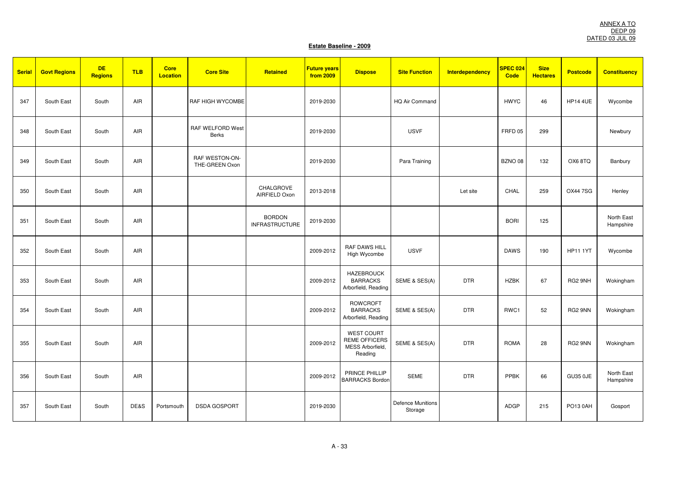| <b>Serial</b> | <b>Govt Regions</b> | <b>DE</b><br>Regions | <b>TLB</b> | <b>Core</b><br><b>Location</b> | <b>Core Site</b>                        | Retained                               | <b>Future years</b><br>from 2009 | <b>Dispose</b>                                                           | <b>Site Function</b>                | <b>Interdependency</b> | <b>SPEC 024</b><br>Code | <b>Size</b><br><b>Hectares</b> | <b>Postcode</b> | <b>Constituency</b>     |
|---------------|---------------------|----------------------|------------|--------------------------------|-----------------------------------------|----------------------------------------|----------------------------------|--------------------------------------------------------------------------|-------------------------------------|------------------------|-------------------------|--------------------------------|-----------------|-------------------------|
| 347           | South East          | South                | AIR        |                                | RAF HIGH WYCOMBE                        |                                        | 2019-2030                        |                                                                          | HQ Air Command                      |                        | <b>HWYC</b>             | 46                             | <b>HP14 4UE</b> | Wycombe                 |
| 348           | South East          | South                | AIR        |                                | RAF WELFORD West<br><b>Berks</b>        |                                        | 2019-2030                        |                                                                          | <b>USVF</b>                         |                        | FRFD <sub>05</sub>      | 299                            |                 | Newbury                 |
| 349           | South East          | South                | AIR        |                                | <b>RAF WESTON-ON-</b><br>THE-GREEN Oxon |                                        | 2019-2030                        |                                                                          | Para Training                       |                        | BZNO 08                 | 132                            | OX68TQ          | Banbury                 |
| 350           | South East          | South                | AIR        |                                |                                         | CHALGROVE<br>AIRFIELD Oxon             | 2013-2018                        |                                                                          |                                     | Let site               | CHAL                    | 259                            | <b>OX447SG</b>  | Henley                  |
| 351           | South East          | South                | AIR        |                                |                                         | <b>BORDON</b><br><b>INFRASTRUCTURE</b> | 2019-2030                        |                                                                          |                                     |                        | <b>BORI</b>             | 125                            |                 | North East<br>Hampshire |
| 352           | South East          | South                | AIR        |                                |                                         |                                        | 2009-2012                        | RAF DAWS HILL<br>High Wycombe                                            | <b>USVF</b>                         |                        | <b>DAWS</b>             | 190                            | <b>HP11 1YT</b> | Wycombe                 |
| 353           | South East          | South                | AIR        |                                |                                         |                                        | 2009-2012                        | <b>HAZEBROUCK</b><br><b>BARRACKS</b><br>Arborfield, Reading              | SEME & SES(A)                       | <b>DTR</b>             | <b>HZBK</b>             | 67                             | RG2 9NH         | Wokingham               |
| 354           | South East          | South                | AIR        |                                |                                         |                                        | 2009-2012                        | <b>ROWCROFT</b><br><b>BARRACKS</b><br>Arborfield, Reading                | SEME & SES(A)                       | <b>DTR</b>             | RWC1                    | 52                             | RG2 9NN         | Wokingham               |
| 355           | South East          | South                | AIR        |                                |                                         |                                        | 2009-2012                        | <b>WEST COURT</b><br><b>REME OFFICERS</b><br>MESS Arborfield,<br>Reading | SEME & SES(A)                       | <b>DTR</b>             | <b>ROMA</b>             | 28                             | RG2 9NN         | Wokingham               |
| 356           | South East          | South                | AIR        |                                |                                         |                                        | 2009-2012                        | PRINCE PHILLIP<br><b>BARRACKS Bordor</b>                                 | <b>SEME</b>                         | <b>DTR</b>             | <b>PPBK</b>             | 66                             | <b>GU35 0JE</b> | North East<br>Hampshire |
| 357           | South East          | South                | DE&S       | Portsmouth                     | <b>DSDA GOSPORT</b>                     |                                        | 2019-2030                        |                                                                          | <b>Defence Munitions</b><br>Storage |                        | ADGP                    | 215                            | PO13 0AH        | Gosport                 |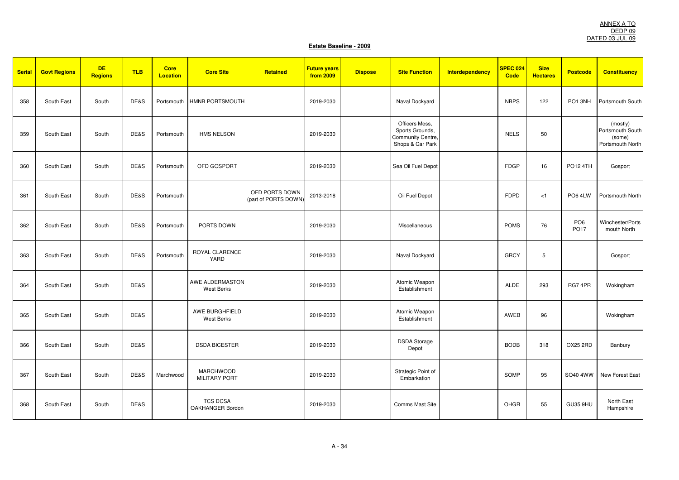| <b>Serial</b> | <b>Govt Regions</b> | <b>DE</b><br><b>Regions</b> | <b>TLB</b> | <b>Core</b><br><b>Location</b> | <b>Core Site</b>                         | Retained                               | <b>Future years</b><br>from 2009 | <b>Dispose</b> | <b>Site Function</b>                                                       | <b>Interdependency</b> | <b>SPEC 024</b><br><b>Code</b> | <b>Size</b><br><b>Hectares</b> | <b>Postcode</b>                | <b>Constituency</b>                                        |
|---------------|---------------------|-----------------------------|------------|--------------------------------|------------------------------------------|----------------------------------------|----------------------------------|----------------|----------------------------------------------------------------------------|------------------------|--------------------------------|--------------------------------|--------------------------------|------------------------------------------------------------|
| 358           | South East          | South                       | DE&S       | Portsmouth                     | HMNB PORTSMOUTH                          |                                        | 2019-2030                        |                | Naval Dockyard                                                             |                        | <b>NBPS</b>                    | 122                            | PO1 3NH                        | Portsmouth South                                           |
| 359           | South East          | South                       | DE&S       | Portsmouth                     | <b>HMS NELSON</b>                        |                                        | 2019-2030                        |                | Officers Mess,<br>Sports Grounds,<br>Community Centre,<br>Shops & Car Park |                        | <b>NELS</b>                    | 50                             |                                | (mostly)<br>Portsmouth South<br>(some)<br>Portsmouth North |
| 360           | South East          | South                       | DE&S       | Portsmouth                     | OFD GOSPORT                              |                                        | 2019-2030                        |                | Sea Oil Fuel Depot                                                         |                        | <b>FDGP</b>                    | 16                             | <b>PO12 4TH</b>                | Gosport                                                    |
| 361           | South East          | South                       | DE&S       | Portsmouth                     |                                          | OFD PORTS DOWN<br>(part of PORTS DOWN) | 2013-2018                        |                | Oil Fuel Depot                                                             |                        | <b>FDPD</b>                    | < 1                            | PO6 4LW                        | Portsmouth North                                           |
| 362           | South East          | South                       | DE&S       | Portsmouth                     | PORTS DOWN                               |                                        | 2019-2030                        |                | Miscellaneous                                                              |                        | <b>POMS</b>                    | 76                             | PO <sub>6</sub><br><b>PO17</b> | Winchester/Ports<br>mouth North                            |
| 363           | South East          | South                       | DE&S       | Portsmouth                     | ROYAL CLARENCE<br>YARD                   |                                        | 2019-2030                        |                | Naval Dockyard                                                             |                        | <b>GRCY</b>                    | 5                              |                                | Gosport                                                    |
| 364           | South East          | South                       | DE&S       |                                | AWE ALDERMASTON<br>West Berks            |                                        | 2019-2030                        |                | Atomic Weapon<br>Establishment                                             |                        | <b>ALDE</b>                    | 293                            | RG7 4PR                        | Wokingham                                                  |
| 365           | South East          | South                       | DE&S       |                                | AWE BURGHFIELD<br><b>West Berks</b>      |                                        | 2019-2030                        |                | Atomic Weapon<br>Establishment                                             |                        | AWEB                           | 96                             |                                | Wokingham                                                  |
| 366           | South East          | South                       | DE&S       |                                | <b>DSDA BICESTER</b>                     |                                        | 2019-2030                        |                | <b>DSDA</b> Storage<br>Depot                                               |                        | <b>BODB</b>                    | 318                            | OX25 2RD                       | Banbury                                                    |
| 367           | South East          | South                       | DE&S       | Marchwood                      | <b>MARCHWOOD</b><br><b>MILITARY PORT</b> |                                        | 2019-2030                        |                | Strategic Point of<br>Embarkation                                          |                        | SOMP                           | 95                             | SO40 4WW                       | New Forest East                                            |
| 368           | South East          | South                       | DE&S       |                                | <b>TCS DCSA</b><br>OAKHANGER Bordon      |                                        | 2019-2030                        |                | <b>Comms Mast Site</b>                                                     |                        | OHGR                           | 55                             | GU35 9HU                       | North East<br>Hampshire                                    |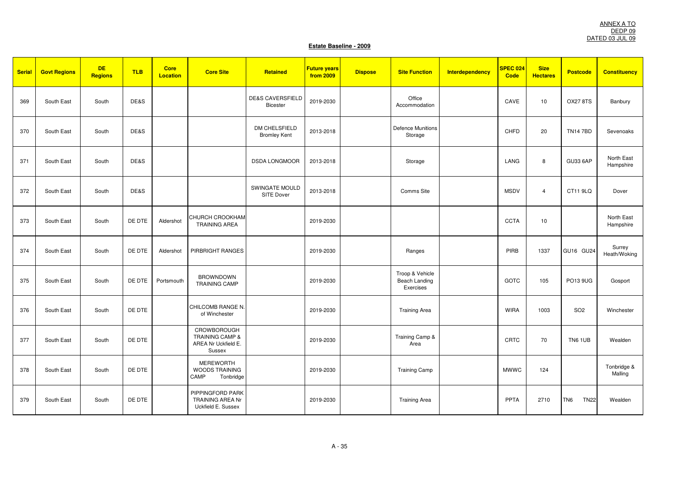| <b>Serial</b> | <b>Govt Regions</b> | <b>DE</b><br><b>Regions</b> | <b>TLB</b> | <b>Core</b><br><b>Location</b> | <b>Core Site</b>                                                           | Retained                                       | <b>Future years</b><br><b>from 2009</b> | <b>Dispose</b> | <b>Site Function</b>                                 | <b>Interdependency</b> | <b>SPEC 024</b><br>Code | <b>Size</b><br><b>Hectares</b> | <b>Postcode</b>                | <b>Constituency</b>     |
|---------------|---------------------|-----------------------------|------------|--------------------------------|----------------------------------------------------------------------------|------------------------------------------------|-----------------------------------------|----------------|------------------------------------------------------|------------------------|-------------------------|--------------------------------|--------------------------------|-------------------------|
| 369           | South East          | South                       | DE&S       |                                |                                                                            | <b>DE&amp;S CAVERSFIELD</b><br><b>Bicester</b> | 2019-2030                               |                | Office<br>Accommodation                              |                        | CAVE                    | 10                             | <b>OX27 8TS</b>                | Banbury                 |
| 370           | South East          | South                       | DE&S       |                                |                                                                            | DM CHELSFIELD<br><b>Bromley Kent</b>           | 2013-2018                               |                | <b>Defence Munitions</b><br>Storage                  |                        | CHFD                    | 20                             | <b>TN147BD</b>                 | Sevenoaks               |
| 371           | South East          | South                       | DE&S       |                                |                                                                            | <b>DSDA LONGMOOR</b>                           | 2013-2018                               |                | Storage                                              |                        | LANG                    | 8                              | <b>GU33 6AP</b>                | North East<br>Hampshire |
| 372           | South East          | South                       | DE&S       |                                |                                                                            | SWINGATE MOULD<br>SITE Dover                   | 2013-2018                               |                | Comms Site                                           |                        | <b>MSDV</b>             | $\overline{4}$                 | CT11 9LQ                       | Dover                   |
| 373           | South East          | South                       | DE DTE     | Aldershot                      | <b>CHURCH CROOKHAM</b><br><b>TRAINING AREA</b>                             |                                                | 2019-2030                               |                |                                                      |                        | <b>CCTA</b>             | 10                             |                                | North East<br>Hampshire |
| 374           | South East          | South                       | DE DTE     | Aldershot                      | PIRBRIGHT RANGES                                                           |                                                | 2019-2030                               |                | Ranges                                               |                        | PIRB                    | 1337                           | GU16 GU24                      | Surrey<br>Heath/Woking  |
| 375           | South East          | South                       | DE DTE     | Portsmouth                     | <b>BROWNDOWN</b><br><b>TRAINING CAMP</b>                                   |                                                | 2019-2030                               |                | Troop & Vehicle<br><b>Beach Landing</b><br>Exercises |                        | GOTC                    | 105                            | PO13 9UG                       | Gosport                 |
| 376           | South East          | South                       | DE DTE     |                                | CHILCOMB RANGE N.<br>of Winchester                                         |                                                | 2019-2030                               |                | <b>Training Area</b>                                 |                        | <b>WIRA</b>             | 1003                           | SO <sub>2</sub>                | Winchester              |
| 377           | South East          | South                       | DE DTE     |                                | CROWBOROUGH<br><b>TRAINING CAMP &amp;</b><br>AREA Nr Uckfield E.<br>Sussex |                                                | 2019-2030                               |                | Training Camp &<br>Area                              |                        | CRTC                    | 70                             | TN6 1UB                        | Wealden                 |
| 378           | South East          | South                       | DE DTE     |                                | <b>MEREWORTH</b><br><b>WOODS TRAINING</b><br>CAMP<br>Tonbridge             |                                                | 2019-2030                               |                | <b>Training Camp</b>                                 |                        | <b>MWWC</b>             | 124                            |                                | Tonbridge &<br>Malling  |
| 379           | South East          | South                       | DE DTE     |                                | PIPPINGFORD PARK<br><b>TRAINING AREA Nr</b><br>Uckfield E. Sussex          |                                                | 2019-2030                               |                | <b>Training Area</b>                                 |                        | PPTA                    | 2710                           | <b>TN22</b><br>TN <sub>6</sub> | Wealden                 |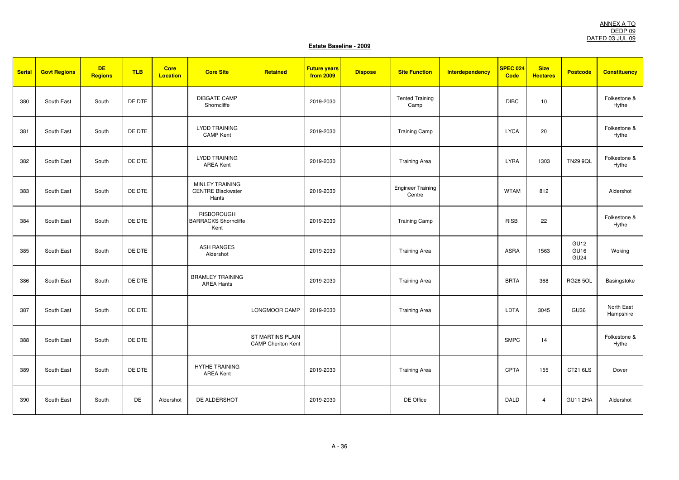| <b>Serial</b> | <b>Govt Regions</b> | <b>DE</b><br><b>Regions</b> | <b>TLB</b> | <b>Core</b><br><b>Location</b> | <b>Core Site</b>                                         | Retained                                      | <b>Future years</b><br>from 2009 | <b>Dispose</b> | <b>Site Function</b>               | <b>Interdependency</b> | <b>SPEC 024</b><br>Code | <b>Size</b><br><b>Hectares</b> | <b>Postcode</b>                  | <b>Constituency</b>     |
|---------------|---------------------|-----------------------------|------------|--------------------------------|----------------------------------------------------------|-----------------------------------------------|----------------------------------|----------------|------------------------------------|------------------------|-------------------------|--------------------------------|----------------------------------|-------------------------|
| 380           | South East          | South                       | DE DTE     |                                | <b>DIBGATE CAMP</b><br>Shorncliffe                       |                                               | 2019-2030                        |                | <b>Tented Training</b><br>Camp     |                        | <b>DIBC</b>             | 10                             |                                  | Folkestone &<br>Hythe   |
| 381           | South East          | South                       | DE DTE     |                                | <b>LYDD TRAINING</b><br><b>CAMP</b> Kent                 |                                               | 2019-2030                        |                | <b>Training Camp</b>               |                        | <b>LYCA</b>             | 20                             |                                  | Folkestone &<br>Hythe   |
| 382           | South East          | South                       | DE DTE     |                                | <b>LYDD TRAINING</b><br><b>AREA Kent</b>                 |                                               | 2019-2030                        |                | <b>Training Area</b>               |                        | <b>LYRA</b>             | 1303                           | <b>TN29 9QL</b>                  | Folkestone &<br>Hythe   |
| 383           | South East          | South                       | DE DTE     |                                | MINLEY TRAINING<br><b>CENTRE Blackwater</b><br>Hants     |                                               | 2019-2030                        |                | <b>Engineer Training</b><br>Centre |                        | <b>WTAM</b>             | 812                            |                                  | Aldershot               |
| 384           | South East          | South                       | DE DTE     |                                | <b>RISBOROUGH</b><br><b>BARRACKS Shorncliffe</b><br>Kent |                                               | 2019-2030                        |                | <b>Training Camp</b>               |                        | <b>RISB</b>             | 22                             |                                  | Folkestone &<br>Hythe   |
| 385           | South East          | South                       | DE DTE     |                                | <b>ASH RANGES</b><br>Aldershot                           |                                               | 2019-2030                        |                | <b>Training Area</b>               |                        | ASRA                    | 1563                           | GU12<br>GU16<br>GU <sub>24</sub> | Woking                  |
| 386           | South East          | South                       | DE DTE     |                                | <b>BRAMLEY TRAINING</b><br><b>AREA Hants</b>             |                                               | 2019-2030                        |                | <b>Training Area</b>               |                        | <b>BRTA</b>             | 368                            | <b>RG26 5OL</b>                  | Basingstoke             |
| 387           | South East          | South                       | DE DTE     |                                |                                                          | LONGMOOR CAMP                                 | 2019-2030                        |                | <b>Training Area</b>               |                        | LDTA                    | 3045                           | GU <sub>36</sub>                 | North East<br>Hampshire |
| 388           | South East          | South                       | DE DTE     |                                |                                                          | ST MARTINS PLAIN<br><b>CAMP Cheriton Kent</b> |                                  |                |                                    |                        | <b>SMPC</b>             | 14                             |                                  | Folkestone &<br>Hythe   |
| 389           | South East          | South                       | DE DTE     |                                | <b>HYTHE TRAINING</b><br><b>AREA Kent</b>                |                                               | 2019-2030                        |                | <b>Training Area</b>               |                        | CPTA                    | 155                            | CT21 6LS                         | Dover                   |
| 390           | South East          | South                       | <b>DE</b>  | Aldershot                      | DE ALDERSHOT                                             |                                               | 2019-2030                        |                | DE Office                          |                        | <b>DALD</b>             | $\overline{4}$                 | GU11 2HA                         | Aldershot               |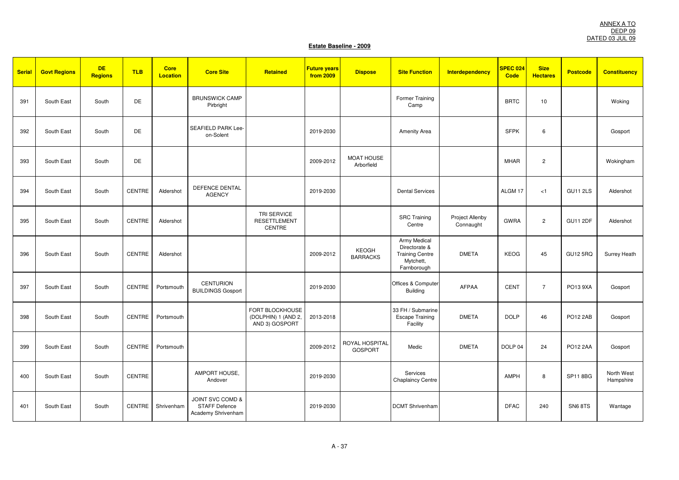| <b>Serial</b> | <b>Govt Regions</b> | <b>DE</b><br><b>Regions</b> | <b>TLB</b>    | <b>Core</b><br><b>Location</b> | <b>Core Site</b>                                               | Retained                                                 | <b>Future years</b><br>from 2009 | <b>Dispose</b>                   | <b>Site Function</b>                                                                | <b>Interdependency</b>       | SPEC 024<br>Code   | <b>Size</b><br><b>Hectares</b> | <b>Postcode</b> | <b>Constituency</b>     |
|---------------|---------------------|-----------------------------|---------------|--------------------------------|----------------------------------------------------------------|----------------------------------------------------------|----------------------------------|----------------------------------|-------------------------------------------------------------------------------------|------------------------------|--------------------|--------------------------------|-----------------|-------------------------|
| 391           | South East          | South                       | DE            |                                | <b>BRUNSWICK CAMP</b><br>Pirbright                             |                                                          |                                  |                                  | Former Training<br>Camp                                                             |                              | <b>BRTC</b>        | 10                             |                 | Woking                  |
| 392           | South East          | South                       | DE            |                                | SEAFIELD PARK Lee-<br>on-Solent                                |                                                          | 2019-2030                        |                                  | <b>Amenity Area</b>                                                                 |                              | <b>SFPK</b>        | 6                              |                 | Gosport                 |
| 393           | South East          | South                       | DE            |                                |                                                                |                                                          | 2009-2012                        | <b>MOAT HOUSE</b><br>Arborfield  |                                                                                     |                              | <b>MHAR</b>        | $\overline{c}$                 |                 | Wokingham               |
| 394           | South East          | South                       | <b>CENTRE</b> | Aldershot                      | DEFENCE DENTAL<br><b>AGENCY</b>                                |                                                          | 2019-2030                        |                                  | <b>Dental Services</b>                                                              |                              | ALGM <sub>17</sub> | < 1                            | <b>GU11 2LS</b> | Aldershot               |
| 395           | South East          | South                       | <b>CENTRE</b> | Aldershot                      |                                                                | <b>TRI SERVICE</b><br><b>RESETTLEMENT</b><br>CENTRE      |                                  |                                  | <b>SRC Training</b><br>Centre                                                       | Project Allenby<br>Connaught | <b>GWRA</b>        | $\overline{c}$                 | <b>GU11 2DF</b> | Aldershot               |
| 396           | South East          | South                       | <b>CENTRE</b> | Aldershot                      |                                                                |                                                          | 2009-2012                        | KEOGH<br><b>BARRACKS</b>         | Army Medical<br>Directorate &<br><b>Training Centre</b><br>Mytchett,<br>Farnborough | <b>DMETA</b>                 | <b>KEOG</b>        | 45                             | <b>GU12 5RQ</b> | Surrey Heath            |
| 397           | South East          | South                       | <b>CENTRE</b> | Portsmouth                     | <b>CENTURION</b><br><b>BUILDINGS Gosport</b>                   |                                                          | 2019-2030                        |                                  | Offices & Computer<br><b>Building</b>                                               | <b>AFPAA</b>                 | <b>CENT</b>        | $\overline{7}$                 | PO13 9XA        | Gosport                 |
| 398           | South East          | South                       | CENTRE        | Portsmouth                     |                                                                | FORT BLOCKHOUSE<br>(DOLPHIN) 1 (AND 2,<br>AND 3) GOSPORT | 2013-2018                        |                                  | 33 FH / Submarine<br><b>Escape Training</b><br>Facility                             | <b>DMETA</b>                 | <b>DOLP</b>        | 46                             | PO12 2AB        | Gosport                 |
| 399           | South East          | South                       | <b>CENTRE</b> | Portsmouth                     |                                                                |                                                          | 2009-2012                        | ROYAL HOSPITAL<br><b>GOSPORT</b> | Medic                                                                               | <b>DMETA</b>                 | DOLP 04            | 24                             | PO12 2AA        | Gosport                 |
| 400           | South East          | South                       | CENTRE        |                                | AMPORT HOUSE,<br>Andover                                       |                                                          | 2019-2030                        |                                  | Services<br><b>Chaplaincy Centre</b>                                                |                              | AMPH               | 8                              | SP11 8BG        | North West<br>Hampshire |
| 401           | South East          | South                       | <b>CENTRE</b> | Shrivenham                     | JOINT SVC COMD &<br><b>STAFF Defence</b><br>Academy Shrivenham |                                                          | 2019-2030                        |                                  | <b>DCMT Shrivenham</b>                                                              |                              | <b>DFAC</b>        | 240                            | SN68TS          | Wantage                 |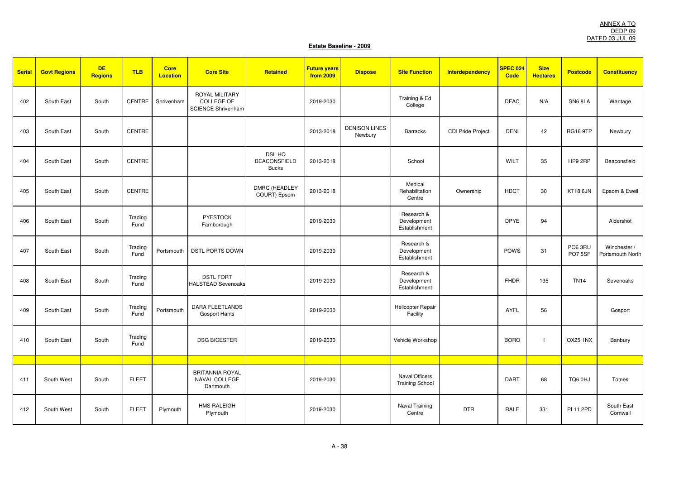| <b>Serial</b> | <b>Govt Regions</b> | <b>DE</b><br><b>Regions</b> | <b>TLB</b>      | <b>Core</b><br><b>Location</b> | <b>Core Site</b>                                                        | Retained                                             | <b>Future years</b><br>from 2009 | <b>Dispose</b>                  | <b>Site Function</b>                            | Interdependency   | SPEC 024<br>Code | <b>Size</b><br><b>Hectares</b> | <b>Postcode</b>  | <b>Constituency</b>              |
|---------------|---------------------|-----------------------------|-----------------|--------------------------------|-------------------------------------------------------------------------|------------------------------------------------------|----------------------------------|---------------------------------|-------------------------------------------------|-------------------|------------------|--------------------------------|------------------|----------------------------------|
| 402           | South East          | South                       | CENTRE          | Shrivenham                     | <b>ROYAL MILITARY</b><br><b>COLLEGE OF</b><br><b>SCIENCE Shrivenham</b> |                                                      | 2019-2030                        |                                 | Training & Ed<br>College                        |                   | <b>DFAC</b>      | N/A                            | SN6 8LA          | Wantage                          |
| 403           | South East          | South                       | <b>CENTRE</b>   |                                |                                                                         |                                                      | 2013-2018                        | <b>DENISON LINES</b><br>Newbury | <b>Barracks</b>                                 | CDI Pride Project | <b>DENI</b>      | 42                             | <b>RG16 9TP</b>  | Newbury                          |
| 404           | South East          | South                       | <b>CENTRE</b>   |                                |                                                                         | <b>DSL HQ</b><br><b>BEACONSFIELD</b><br><b>Bucks</b> | 2013-2018                        |                                 | School                                          |                   | WILT             | 35                             | HP9 2RP          | Beaconsfield                     |
| 405           | South East          | South                       | <b>CENTRE</b>   |                                |                                                                         | <b>DMRC (HEADLEY</b><br>COURT) Epsom                 | 2013-2018                        |                                 | Medical<br>Rehabilitation<br>Centre             | Ownership         | <b>HDCT</b>      | 30                             | <b>KT18 6JN</b>  | Epsom & Ewell                    |
| 406           | South East          | South                       | Trading<br>Fund |                                | <b>PYESTOCK</b><br>Farnborough                                          |                                                      | 2019-2030                        |                                 | Research &<br>Development<br>Establishment      |                   | <b>DPYE</b>      | 94                             |                  | Aldershot                        |
| 407           | South East          | South                       | Trading<br>Fund | Portsmouth                     | <b>DSTL PORTS DOWN</b>                                                  |                                                      | 2019-2030                        |                                 | Research &<br>Development<br>Establishment      |                   | POWS             | 31                             | PO63RU<br>PO75SF | Winchester /<br>Portsmouth North |
| 408           | South East          | South                       | Trading<br>Fund |                                | <b>DSTL FORT</b><br><b>HALSTEAD Sevenoaks</b>                           |                                                      | 2019-2030                        |                                 | Research &<br>Development<br>Establishment      |                   | <b>FHDR</b>      | 135                            | <b>TN14</b>      | Sevenoaks                        |
| 409           | South East          | South                       | Trading<br>Fund | Portsmouth                     | <b>DARA FLEETLANDS</b><br><b>Gosport Hants</b>                          |                                                      | 2019-2030                        |                                 | Helicopter Repair<br>Facility                   |                   | <b>AYFL</b>      | 56                             |                  | Gosport                          |
| 410           | South East          | South                       | Trading<br>Fund |                                | <b>DSG BICESTER</b>                                                     |                                                      | 2019-2030                        |                                 | Vehicle Workshop                                |                   | <b>BORO</b>      | $\overline{1}$                 | <b>OX25 1NX</b>  | Banbury                          |
|               |                     |                             |                 |                                |                                                                         |                                                      |                                  |                                 |                                                 |                   |                  |                                |                  |                                  |
| 411           | South West          | South                       | <b>FLEET</b>    |                                | <b>BRITANNIA ROYAL</b><br>NAVAL COLLEGE<br>Dartmouth                    |                                                      | 2019-2030                        |                                 | <b>Naval Officers</b><br><b>Training School</b> |                   | <b>DART</b>      | 68                             | TQ6 0HJ          | Totnes                           |
| 412           | South West          | South                       | <b>FLEET</b>    | Plymouth                       | <b>HMS RALEIGH</b><br>Plymouth                                          |                                                      | 2019-2030                        |                                 | Naval Training<br>Centre                        | <b>DTR</b>        | RALE             | 331                            | <b>PL11 2PD</b>  | South East<br>Cornwall           |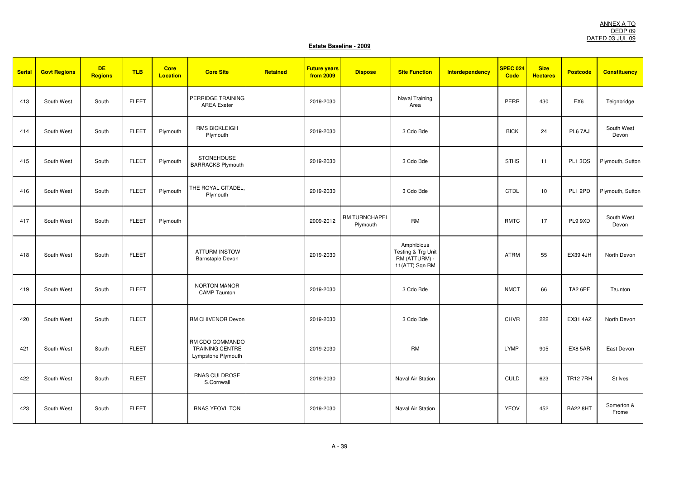| <b>Serial</b> | <b>Govt Regions</b> | <b>DE</b><br><b>Regions</b> | <b>TLB</b>   | <b>Core</b><br><b>Location</b> | <b>Core Site</b>                                                | Retained | <b>Future years</b><br>from 2009 | <b>Dispose</b>            | <b>Site Function</b>                                                | Interdependency | SPEC 024<br>Code | <b>Size</b><br><b>Hectares</b> | <b>Postcode</b>     | <b>Constituency</b> |
|---------------|---------------------|-----------------------------|--------------|--------------------------------|-----------------------------------------------------------------|----------|----------------------------------|---------------------------|---------------------------------------------------------------------|-----------------|------------------|--------------------------------|---------------------|---------------------|
| 413           | South West          | South                       | <b>FLEET</b> |                                | PERRIDGE TRAINING<br><b>AREA</b> Exeter                         |          | 2019-2030                        |                           | Naval Training<br>Area                                              |                 | PERR             | 430                            | EX <sub>6</sub>     | Teignbridge         |
| 414           | South West          | South                       | <b>FLEET</b> | Plymouth                       | <b>RMS BICKLEIGH</b><br>Plymouth                                |          | 2019-2030                        |                           | 3 Cdo Bde                                                           |                 | <b>BICK</b>      | 24                             | PL6 7AJ             | South West<br>Devon |
| 415           | South West          | South                       | <b>FLEET</b> | Plymouth                       | <b>STONEHOUSE</b><br><b>BARRACKS Plymouth</b>                   |          | 2019-2030                        |                           | 3 Cdo Bde                                                           |                 | <b>STHS</b>      | 11                             | <b>PL1 3QS</b>      | Plymouth, Sutton    |
| 416           | South West          | South                       | <b>FLEET</b> | Plymouth                       | THE ROYAL CITADEL,<br>Plymouth                                  |          | 2019-2030                        |                           | 3 Cdo Bde                                                           |                 | <b>CTDL</b>      | 10                             | PL1 2PD             | Plymouth, Sutton    |
| 417           | South West          | South                       | <b>FLEET</b> | Plymouth                       |                                                                 |          | 2009-2012                        | RM TURNCHAPEL<br>Plymouth | <b>RM</b>                                                           |                 | <b>RMTC</b>      | 17                             | PL9 9XD             | South West<br>Devon |
| 418           | South West          | South                       | <b>FLEET</b> |                                | <b>ATTURM INSTOW</b><br>Barnstaple Devon                        |          | 2019-2030                        |                           | Amphibious<br>Testing & Trg Unit<br>RM (ATTURM) -<br>11(ATT) Sqn RM |                 | <b>ATRM</b>      | 55                             | <b>EX39 4JH</b>     | North Devon         |
| 419           | South West          | South                       | <b>FLEET</b> |                                | <b>NORTON MANOR</b><br><b>CAMP</b> Taunton                      |          | 2019-2030                        |                           | 3 Cdo Bde                                                           |                 | <b>NMCT</b>      | 66                             | TA <sub>2</sub> 6PF | Taunton             |
| 420           | South West          | South                       | <b>FLEET</b> |                                | RM CHIVENOR Devon                                               |          | 2019-2030                        |                           | 3 Cdo Bde                                                           |                 | <b>CHVR</b>      | 222                            | EX31 4AZ            | North Devon         |
| 421           | South West          | South                       | <b>FLEET</b> |                                | RM CDO COMMANDO<br><b>TRAINING CENTRE</b><br>Lympstone Plymouth |          | 2019-2030                        |                           | <b>RM</b>                                                           |                 | <b>LYMP</b>      | 905                            | EX8 5AR             | East Devon          |
| 422           | South West          | South                       | <b>FLEET</b> |                                | RNAS CULDROSE<br>S.Cornwall                                     |          | 2019-2030                        |                           | Naval Air Station                                                   |                 | CULD             | 623                            | <b>TR12 7RH</b>     | St Ives             |
| 423           | South West          | South                       | <b>FLEET</b> |                                | <b>RNAS YEOVILTON</b>                                           |          | 2019-2030                        |                           | Naval Air Station                                                   |                 | <b>YEOV</b>      | 452                            | <b>BA22 8HT</b>     | Somerton &<br>Frome |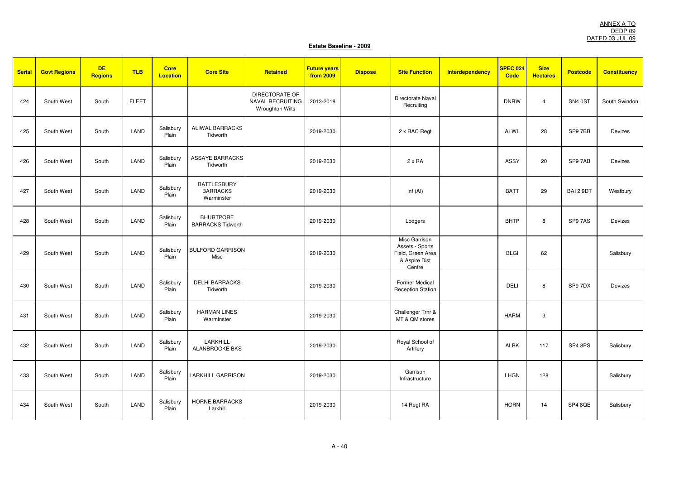| <b>Serial</b> | <b>Govt Regions</b> | <b>DE</b><br><b>Regions</b> | <b>TLB</b>   | <b>Core</b><br><b>Location</b> | <b>Core Site</b>                                    | Retained                                                            | <b>Future years</b><br><b>from 2009</b> | <b>Dispose</b> | <b>Site Function</b>                                                             | <b>Interdependency</b> | <b>SPEC 024</b><br>Code | <b>Size</b><br><b>Hectares</b> | <b>Postcode</b> | <b>Constituency</b> |
|---------------|---------------------|-----------------------------|--------------|--------------------------------|-----------------------------------------------------|---------------------------------------------------------------------|-----------------------------------------|----------------|----------------------------------------------------------------------------------|------------------------|-------------------------|--------------------------------|-----------------|---------------------|
| 424           | South West          | South                       | <b>FLEET</b> |                                |                                                     | <b>DIRECTORATE OF</b><br>NAVAL RECRUITING<br><b>Wroughton Wilts</b> | 2013-2018                               |                | Directorate Naval<br>Recruiting                                                  |                        | <b>DNRW</b>             | $\overline{4}$                 | SN4 0ST         | South Swindon       |
| 425           | South West          | South                       | LAND         | Salisbury<br>Plain             | ALIWAL BARRACKS<br>Tidworth                         |                                                                     | 2019-2030                               |                | 2 x RAC Regt                                                                     |                        | ALWL                    | 28                             | SP97BB          | Devizes             |
| 426           | South West          | South                       | LAND         | Salisbury<br>Plain             | <b>ASSAYE BARRACKS</b><br>Tidworth                  |                                                                     | 2019-2030                               |                | $2 \times RA$                                                                    |                        | ASSY                    | 20                             | SP97AB          | Devizes             |
| 427           | South West          | South                       | LAND         | Salisbury<br>Plain             | <b>BATTLESBURY</b><br><b>BARRACKS</b><br>Warminster |                                                                     | 2019-2030                               |                | Inf $(AI)$                                                                       |                        | <b>BATT</b>             | 29                             | <b>BA12 9DT</b> | Westbury            |
| 428           | South West          | South                       | LAND         | Salisbury<br>Plain             | <b>BHURTPORE</b><br><b>BARRACKS Tidworth</b>        |                                                                     | 2019-2030                               |                | Lodgers                                                                          |                        | <b>BHTP</b>             | 8                              | SP97AS          | Devizes             |
| 429           | South West          | South                       | LAND         | Salisbury<br>Plain             | <b>BULFORD GARRISON</b><br>Misc                     |                                                                     | 2019-2030                               |                | Misc Garrison<br>Assets - Sports<br>Field, Green Area<br>& Aspire Dist<br>Centre |                        | <b>BLGI</b>             | 62                             |                 | Salisbury           |
| 430           | South West          | South                       | LAND         | Salisbury<br>Plain             | <b>DELHI BARRACKS</b><br>Tidworth                   |                                                                     | 2019-2030                               |                | Former Medical<br><b>Reception Station</b>                                       |                        | <b>DELI</b>             | 8                              | SP97DX          | Devizes             |
| 431           | South West          | South                       | LAND         | Salisbury<br>Plain             | <b>HARMAN LINES</b><br>Warminster                   |                                                                     | 2019-2030                               |                | Challenger Trnr &<br>MT & QM stores                                              |                        | <b>HARM</b>             | 3                              |                 |                     |
| 432           | South West          | South                       | LAND         | Salisbury<br>Plain             | LARKHILL<br><b>ALANBROOKE BKS</b>                   |                                                                     | 2019-2030                               |                | Royal School of<br>Artillery                                                     |                        | <b>ALBK</b>             | 117                            | SP4 8PS         | Salisbury           |
| 433           | South West          | South                       | LAND         | Salisbury<br>Plain             | <b>LARKHILL GARRISON</b>                            |                                                                     | 2019-2030                               |                | Garrison<br>Infrastructure                                                       |                        | <b>LHGN</b>             | 128                            |                 | Salisbury           |
| 434           | South West          | South                       | LAND         | Salisbury<br>Plain             | <b>HORNE BARRACKS</b><br>Larkhill                   |                                                                     | 2019-2030                               |                | 14 Regt RA                                                                       |                        | <b>HORN</b>             | 14                             | SP4 8QE         | Salisbury           |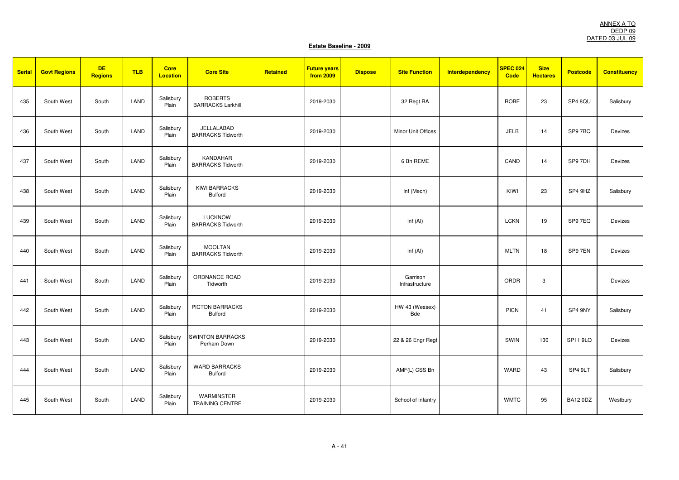| <b>Serial</b> | <b>Govt Regions</b> | <b>DE</b><br><b>Regions</b> | <b>TLB</b> | <b>Core</b><br><b>Location</b> | <b>Core Site</b>                            | Retained | <b>Future years</b><br>from 2009 | <b>Dispose</b> | <b>Site Function</b>       | <b>Interdependency</b> | SPEC 024<br><b>Code</b> | <b>Size</b><br><b>Hectares</b> | <b>Postcode</b> | <b>Constituency</b> |
|---------------|---------------------|-----------------------------|------------|--------------------------------|---------------------------------------------|----------|----------------------------------|----------------|----------------------------|------------------------|-------------------------|--------------------------------|-----------------|---------------------|
| 435           | South West          | South                       | LAND       | Salisbury<br>Plain             | <b>ROBERTS</b><br><b>BARRACKS Larkhill</b>  |          | 2019-2030                        |                | 32 Regt RA                 |                        | ROBE                    | 23                             | SP4 8QU         | Salisbury           |
| 436           | South West          | South                       | LAND       | Salisbury<br>Plain             | JELLALABAD<br><b>BARRACKS Tidworth</b>      |          | 2019-2030                        |                | Minor Unit Offices         |                        | <b>JELB</b>             | 14                             | SP97BQ          | Devizes             |
| 437           | South West          | South                       | LAND       | Salisbury<br>Plain             | <b>KANDAHAR</b><br><b>BARRACKS Tidworth</b> |          | 2019-2030                        |                | 6 Bn REME                  |                        | CAND                    | 14                             | SP9 7DH         | Devizes             |
| 438           | South West          | South                       | LAND       | Salisbury<br>Plain             | <b>KIWI BARRACKS</b><br><b>Bulford</b>      |          | 2019-2030                        |                | Inf (Mech)                 |                        | KIWI                    | 23                             | SP4 9HZ         | Salisbury           |
| 439           | South West          | South                       | LAND       | Salisbury<br>Plain             | <b>LUCKNOW</b><br><b>BARRACKS Tidworth</b>  |          | 2019-2030                        |                | Inf $(AI)$                 |                        | <b>LCKN</b>             | 19                             | SP97EQ          | Devizes             |
| 440           | South West          | South                       | LAND       | Salisbury<br>Plain             | <b>MOOLTAN</b><br><b>BARRACKS Tidworth</b>  |          | 2019-2030                        |                | Inf $(AI)$                 |                        | <b>MLTN</b>             | 18                             | SP9 7EN         | Devizes             |
| 441           | South West          | South                       | LAND       | Salisbury<br>Plain             | ORDNANCE ROAD<br>Tidworth                   |          | 2019-2030                        |                | Garrison<br>Infrastructure |                        | ORDR                    | 3                              |                 | Devizes             |
| 442           | South West          | South                       | LAND       | Salisbury<br>Plain             | PICTON BARRACKS<br><b>Bulford</b>           |          | 2019-2030                        |                | HW 43 (Wessex)<br>Bde      |                        | <b>PICN</b>             | 41                             | SP4 9NY         | Salisbury           |
| 443           | South West          | South                       | LAND       | Salisbury<br>Plain             | <b>SWINTON BARRACKS</b><br>Perham Down      |          | 2019-2030                        |                | 22 & 26 Engr Regt          |                        | SWIN                    | 130                            | <b>SP11 9LQ</b> | Devizes             |
| 444           | South West          | South                       | LAND       | Salisbury<br>Plain             | <b>WARD BARRACKS</b><br><b>Bulford</b>      |          | 2019-2030                        |                | AMF(L) CSS Bn              |                        | <b>WARD</b>             | 43                             | SP4 9LT         | Salisbury           |
| 445           | South West          | South                       | LAND       | Salisbury<br>Plain             | WARMINSTER<br><b>TRAINING CENTRE</b>        |          | 2019-2030                        |                | School of Infantry         |                        | <b>WMTC</b>             | 95                             | <b>BA12 0DZ</b> | Westbury            |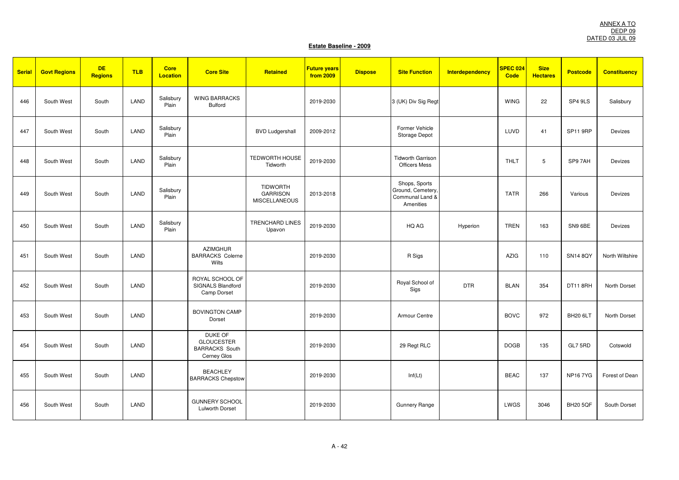| <b>Serial</b> | <b>Govt Regions</b> | <b>DE</b><br><b>Regions</b> | <b>TLB</b> | <b>Core</b><br><b>Location</b> | <b>Core Site</b>                                                     | Retained                                                   | <b>Future years</b><br><b>from 2009</b> | <b>Dispose</b> | <b>Site Function</b>                                               | <b>Interdependency</b> | <b>SPEC 024</b><br>Code | <b>Size</b><br><b>Hectares</b> | <b>Postcode</b> | <b>Constituency</b> |
|---------------|---------------------|-----------------------------|------------|--------------------------------|----------------------------------------------------------------------|------------------------------------------------------------|-----------------------------------------|----------------|--------------------------------------------------------------------|------------------------|-------------------------|--------------------------------|-----------------|---------------------|
| 446           | South West          | South                       | LAND       | Salisbury<br>Plain             | <b>WING BARRACKS</b><br>Bulford                                      |                                                            | 2019-2030                               |                | 3 (UK) Div Sig Regt                                                |                        | <b>WING</b>             | 22                             | SP4 9LS         | Salisbury           |
| 447           | South West          | South                       | LAND       | Salisbury<br>Plain             |                                                                      | <b>BVD Ludgershall</b>                                     | 2009-2012                               |                | Former Vehicle<br>Storage Depot                                    |                        | LUVD                    | 41                             | <b>SP11 9RP</b> | Devizes             |
| 448           | South West          | South                       | LAND       | Salisbury<br>Plain             |                                                                      | TEDWORTH HOUSE<br>Tidworth                                 | 2019-2030                               |                | <b>Tidworth Garrison</b><br><b>Officers Mess</b>                   |                        | <b>THLT</b>             | 5                              | SP97AH          | Devizes             |
| 449           | South West          | South                       | LAND       | Salisbury<br>Plain             |                                                                      | <b>TIDWORTH</b><br><b>GARRISON</b><br><b>MISCELLANEOUS</b> | 2013-2018                               |                | Shops, Sports<br>Ground, Cemetery,<br>Communal Land &<br>Amenities |                        | <b>TATR</b>             | 266                            | Various         | Devizes             |
| 450           | South West          | South                       | LAND       | Salisbury<br>Plain             |                                                                      | <b>TRENCHARD LINES</b><br>Upavon                           | 2019-2030                               |                | HQ AG                                                              | Hyperion               | <b>TREN</b>             | 163                            | SN9 6BE         | <b>Devizes</b>      |
| 451           | South West          | South                       | LAND       |                                | <b>AZIMGHUR</b><br><b>BARRACKS Colerne</b><br>Wilts                  |                                                            | 2019-2030                               |                | R Sigs                                                             |                        | <b>AZIG</b>             | 110                            | <b>SN14 8QY</b> | North Wiltshire     |
| 452           | South West          | South                       | LAND       |                                | ROYAL SCHOOL OF<br>SIGNALS Blandford<br>Camp Dorset                  |                                                            | 2019-2030                               |                | Royal School of<br>Sigs                                            | <b>DTR</b>             | <b>BLAN</b>             | 354                            | DT11 8RH        | North Dorset        |
| 453           | South West          | South                       | LAND       |                                | <b>BOVINGTON CAMP</b><br>Dorset                                      |                                                            | 2019-2030                               |                | Armour Centre                                                      |                        | <b>BOVC</b>             | 972                            | BH20 6LT        | North Dorset        |
| 454           | South West          | South                       | LAND       |                                | DUKE OF<br><b>GLOUCESTER</b><br><b>BARRACKS South</b><br>Cerney Glos |                                                            | 2019-2030                               |                | 29 Regt RLC                                                        |                        | <b>DOGB</b>             | 135                            | GL7 5RD         | Cotswold            |
| 455           | South West          | South                       | LAND       |                                | <b>BEACHLEY</b><br><b>BARRACKS Chepstow</b>                          |                                                            | 2019-2030                               |                | Inf(Lt)                                                            |                        | <b>BEAC</b>             | 137                            | <b>NP167YG</b>  | Forest of Dean      |
| 456           | South West          | South                       | LAND       |                                | <b>GUNNERY SCHOOL</b><br><b>Lulworth Dorset</b>                      |                                                            | 2019-2030                               |                | <b>Gunnery Range</b>                                               |                        | LWGS                    | 3046                           | <b>BH20 5QF</b> | South Dorset        |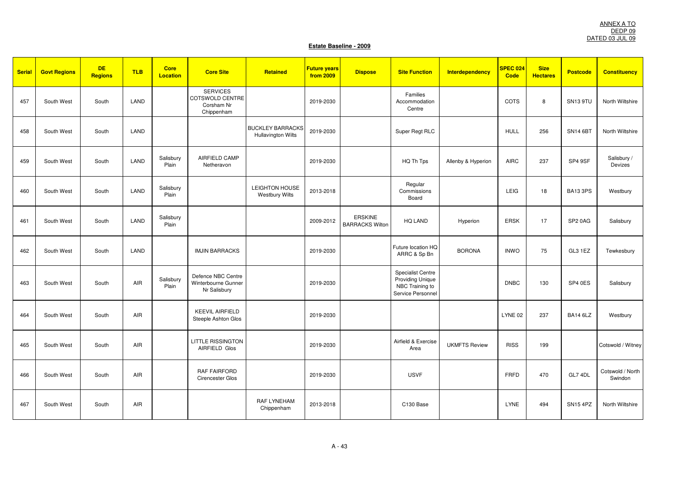| <b>Serial</b> | <b>Govt Regions</b> | <b>DE</b><br><b>Regions</b> | <b>TLB</b> | <b>Core</b><br><b>Location</b> | <b>Core Site</b>                                                      | Retained                                      | <b>Future years</b><br>from 2009 | <b>Dispose</b>                           | <b>Site Function</b>                                                                        | <b>Interdependency</b> | SPEC 024<br><b>Code</b> | <b>Size</b><br><b>Hectares</b> | <b>Postcode</b>     | <b>Constituency</b>         |
|---------------|---------------------|-----------------------------|------------|--------------------------------|-----------------------------------------------------------------------|-----------------------------------------------|----------------------------------|------------------------------------------|---------------------------------------------------------------------------------------------|------------------------|-------------------------|--------------------------------|---------------------|-----------------------------|
| 457           | South West          | South                       | LAND       |                                | <b>SERVICES</b><br><b>COTSWOLD CENTRE</b><br>Corsham Nr<br>Chippenham |                                               | 2019-2030                        |                                          | Families<br>Accommodation<br>Centre                                                         |                        | COTS                    | 8                              | SN13 9TU            | North Wiltshire             |
| 458           | South West          | South                       | LAND       |                                |                                                                       | <b>BUCKLEY BARRACKS</b><br>Hullavington Wilts | 2019-2030                        |                                          | Super Regt RLC                                                                              |                        | <b>HULL</b>             | 256                            | <b>SN14 6BT</b>     | North Wiltshire             |
| 459           | South West          | South                       | LAND       | Salisbury<br>Plain             | AIRFIELD CAMP<br>Netheravon                                           |                                               | 2019-2030                        |                                          | HQ Th Tps                                                                                   | Allenby & Hyperion     | <b>AIRC</b>             | 237                            | SP4 9SF             | Salisbury /<br>Devizes      |
| 460           | South West          | South                       | LAND       | Salisbury<br>Plain             |                                                                       | LEIGHTON HOUSE<br><b>Westbury Wilts</b>       | 2013-2018                        |                                          | Regular<br>Commissions<br>Board                                                             |                        | LEIG                    | 18                             | BA13 3PS            | Westbury                    |
| 461           | South West          | South                       | LAND       | Salisbury<br>Plain             |                                                                       |                                               | 2009-2012                        | <b>ERSKINE</b><br><b>BARRACKS Wilton</b> | HQ LAND                                                                                     | Hyperion               | <b>ERSK</b>             | 17                             | SP <sub>2</sub> 0AG | Salisbury                   |
| 462           | South West          | South                       | LAND       |                                | <b>IMJIN BARRACKS</b>                                                 |                                               | 2019-2030                        |                                          | Future location HQ<br>ARRC & Sp Bn                                                          | <b>BORONA</b>          | <b>INWO</b>             | 75                             | GL3 1EZ             | Tewkesbury                  |
| 463           | South West          | South                       | <b>AIR</b> | Salisbury<br>Plain             | Defence NBC Centre<br>Winterbourne Gunner<br>Nr Salisbury             |                                               | 2019-2030                        |                                          | <b>Specialist Centre</b><br><b>Providing Unique</b><br>NBC Training to<br>Service Personnel |                        | <b>DNBC</b>             | 130                            | SP4 0ES             | Salisbury                   |
| 464           | South West          | South                       | <b>AIR</b> |                                | <b>KEEVIL AIRFIELD</b><br>Steeple Ashton Glos                         |                                               | 2019-2030                        |                                          |                                                                                             |                        | LYNE 02                 | 237                            | <b>BA14 6LZ</b>     | Westbury                    |
| 465           | South West          | South                       | AIR        |                                | <b>LITTLE RISSINGTON</b><br>AIRFIELD Glos                             |                                               | 2019-2030                        |                                          | Airfield & Exercise<br>Area                                                                 | <b>UKMFTS Review</b>   | <b>RISS</b>             | 199                            |                     | Cotswold / Witney           |
| 466           | South West          | South                       | <b>AIR</b> |                                | <b>RAF FAIRFORD</b><br>Cirencester Glos                               |                                               | 2019-2030                        |                                          | <b>USVF</b>                                                                                 |                        | <b>FRFD</b>             | 470                            | GL7 4DL             | Cotswold / North<br>Swindon |
| 467           | South West          | South                       | AIR        |                                |                                                                       | <b>RAF LYNEHAM</b><br>Chippenham              | 2013-2018                        |                                          | C130 Base                                                                                   |                        | <b>LYNE</b>             | 494                            | SN15 4PZ            | North Wiltshire             |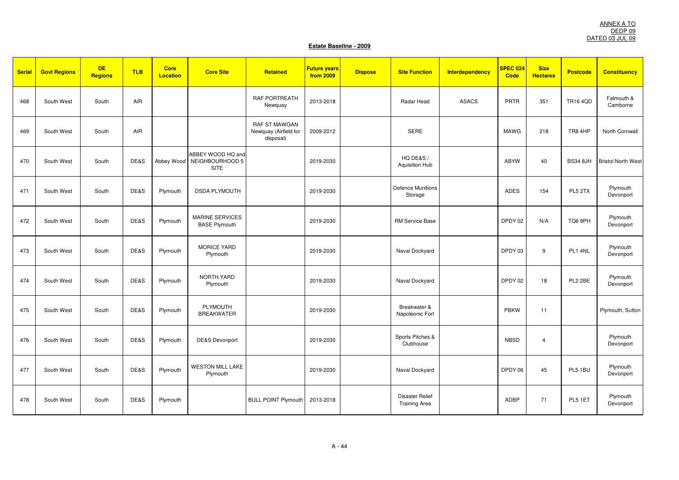| <b>Serial</b> | <b>Govt Regions</b> | <b>DE</b><br><b>Regions</b> | <b>TLB</b> | <b>Core</b><br><b>Location</b> | <b>Core Site</b>                                        | Retained                                                   | <b>Future years</b><br>from 2009 | <b>Dispose</b> | <b>Site Function</b>                    | <b>Interdependency</b> | SPEC 024<br><b>Code</b> | <b>Size</b><br><b>Hectares</b> | <b>Postcode</b> | <b>Constituency</b>       |
|---------------|---------------------|-----------------------------|------------|--------------------------------|---------------------------------------------------------|------------------------------------------------------------|----------------------------------|----------------|-----------------------------------------|------------------------|-------------------------|--------------------------------|-----------------|---------------------------|
| 468           | South West          | South                       | AIR        |                                |                                                         | <b>RAF PORTREATH</b><br>Newquay                            | 2013-2018                        |                | Radar Head                              | <b>ASACS</b>           | PRTR                    | 351                            | <b>TR16 4QD</b> | Falmouth &<br>Camborne    |
| 469           | South West          | South                       | AIR        |                                |                                                         | <b>RAF ST MAWGAN</b><br>Newquay (Airfield for<br>disposal) | 2009-2012                        |                | <b>SERE</b>                             |                        | <b>MAWG</b>             | 218                            | TR8 4HP         | North Cornwall            |
| 470           | South West          | South                       | DE&S       |                                | ABBEY WOOD HQ and<br>Abbey Wood NEIGHBOURHOOD 5<br>SITE |                                                            | 2019-2030                        |                | HQ DE&S /<br>Aquisition Hub             |                        | <b>ABYW</b>             | 40                             | <b>BS34 8JH</b> | <b>Bristol North West</b> |
| 471           | South West          | South                       | DE&S       | Plymouth                       | <b>DSDA PLYMOUTH</b>                                    |                                                            | 2019-2030                        |                | <b>Defence Munitions</b><br>Storage     |                        | ADES                    | 154                            | PL5 2TX         | Plymouth<br>Devonport     |
| 472           | South West          | South                       | DE&S       | Plymouth                       | <b>MARINE SERVICES</b><br><b>BASE Plymouth</b>          |                                                            | 2019-2030                        |                | <b>RM Service Base</b>                  |                        | DPDY 02                 | N/A                            | TQ6 9PH         | Plymouth<br>Devonport     |
| 473           | South West          | South                       | DE&S       | Plymouth                       | <b>MORICE YARD</b><br>Plymouth                          |                                                            | 2019-2030                        |                | Naval Dockyard                          |                        | DPDY 03                 | 9                              | PL1 4NL         | Plymouth<br>Devonport     |
| 474           | South West          | South                       | DE&S       | Plymouth                       | NORTH YARD<br>Plymouth                                  |                                                            | 2019-2030                        |                | Naval Dockyard                          |                        | DPDY 02                 | 18                             | PL2 2BE         | Plymouth<br>Devonport     |
| 475           | South West          | South                       | DE&S       | Plymouth                       | PLYMOUTH<br><b>BREAKWATER</b>                           |                                                            | 2019-2030                        |                | Breakwater &<br>Napoleonic Fort         |                        | <b>PBKW</b>             | 11                             |                 | Plymouth, Sutton          |
| 476           | South West          | South                       | DE&S       | Plymouth                       | <b>DE&amp;S Devonport</b>                               |                                                            | 2019-2030                        |                | Sports Pitches &<br>Clubhouse           |                        | <b>NBSD</b>             | $\overline{4}$                 |                 | Plymouth<br>Devonport     |
| 477           | South West          | South                       | DE&S       | Plymouth                       | <b>WESTON MILL LAKE</b><br>Plymouth                     |                                                            | 2019-2030                        |                | Naval Dockyard                          |                        | DPDY 06                 | 45                             | PL5 1BU         | Plymouth<br>Devonport     |
| 478           | South West          | South                       | DE&S       | Plymouth                       |                                                         | <b>BULL POINT Plymouth</b>                                 | 2013-2018                        |                | Disaster Relief<br><b>Training Area</b> |                        | ADBP                    | 71                             | PL5 1ET         | Plymouth<br>Devonport     |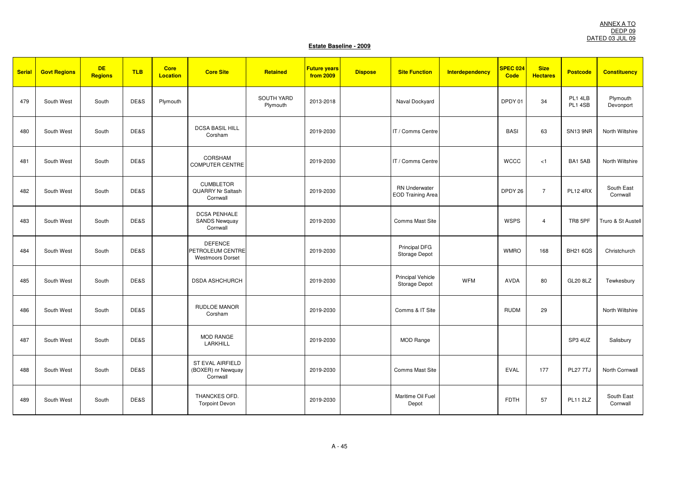| <b>Serial</b> | <b>Govt Regions</b> | <b>DE</b><br><b>Regions</b> | <b>TLB</b> | <b>Core</b><br><b>Location</b> | <b>Core Site</b>                                              | Retained               | <b>Future years</b><br><b>from 2009</b> | <b>Dispose</b> | <b>Site Function</b>                             | <b>Interdependency</b> | <b>SPEC 024</b><br>Code | <b>Size</b><br><b>Hectares</b> | <b>Postcode</b>    | <b>Constituency</b>    |
|---------------|---------------------|-----------------------------|------------|--------------------------------|---------------------------------------------------------------|------------------------|-----------------------------------------|----------------|--------------------------------------------------|------------------------|-------------------------|--------------------------------|--------------------|------------------------|
| 479           | South West          | South                       | DE&S       | Plymouth                       |                                                               | SOUTH YARD<br>Plymouth | 2013-2018                               |                | Naval Dockyard                                   |                        | DPDY 01                 | 34                             | PL1 4LB<br>PL1 4SB | Plymouth<br>Devonport  |
| 480           | South West          | South                       | DE&S       |                                | <b>DCSA BASIL HILL</b><br>Corsham                             |                        | 2019-2030                               |                | IT / Comms Centre                                |                        | <b>BASI</b>             | 63                             | <b>SN13 9NR</b>    | North Wiltshire        |
| 481           | South West          | South                       | DE&S       |                                | CORSHAM<br><b>COMPUTER CENTRE</b>                             |                        | 2019-2030                               |                | IT / Comms Centre                                |                        | <b>WCCC</b>             | < 1                            | BA15AB             | North Wiltshire        |
| 482           | South West          | South                       | DE&S       |                                | <b>CUMBLETOR</b><br><b>QUARRY Nr Saltash</b><br>Cornwall      |                        | 2019-2030                               |                | <b>RN Underwater</b><br><b>EOD Training Area</b> |                        | DPDY 26                 | $\overline{7}$                 | <b>PL12 4RX</b>    | South East<br>Cornwall |
| 483           | South West          | South                       | DE&S       |                                | <b>DCSA PENHALE</b><br><b>SANDS Newquay</b><br>Cornwall       |                        | 2019-2030                               |                | <b>Comms Mast Site</b>                           |                        | <b>WSPS</b>             | $\overline{4}$                 | TR8 5PF            | Truro & St Austell     |
| 484           | South West          | South                       | DE&S       |                                | <b>DEFENCE</b><br>PETROLEUM CENTRE<br><b>Westmoors Dorset</b> |                        | 2019-2030                               |                | Principal DFG<br>Storage Depot                   |                        | <b>WMRO</b>             | 168                            | <b>BH21 6QS</b>    | Christchurch           |
| 485           | South West          | South                       | DE&S       |                                | <b>DSDA ASHCHURCH</b>                                         |                        | 2019-2030                               |                | <b>Principal Vehicle</b><br>Storage Depot        | <b>WFM</b>             | AVDA                    | 80                             | <b>GL20 8LZ</b>    | Tewkesbury             |
| 486           | South West          | South                       | DE&S       |                                | <b>RUDLOE MANOR</b><br>Corsham                                |                        | 2019-2030                               |                | Comms & IT Site                                  |                        | <b>RUDM</b>             | 29                             |                    | North Wiltshire        |
| 487           | South West          | South                       | DE&S       |                                | <b>MOD RANGE</b><br>LARKHILL                                  |                        | 2019-2030                               |                | <b>MOD Range</b>                                 |                        |                         |                                | SP3 4UZ            | Salisbury              |
| 488           | South West          | South                       | DE&S       |                                | ST EVAL AIRFIELD<br>(BOXER) nr Newquay<br>Cornwall            |                        | 2019-2030                               |                | <b>Comms Mast Site</b>                           |                        | <b>EVAL</b>             | 177                            | <b>PL27 7TJ</b>    | North Cornwall         |
| 489           | South West          | South                       | DE&S       |                                | THANCKES OFD.<br><b>Torpoint Devon</b>                        |                        | 2019-2030                               |                | Maritime Oil Fuel<br>Depot                       |                        | <b>FDTH</b>             | 57                             | <b>PL11 2LZ</b>    | South East<br>Cornwall |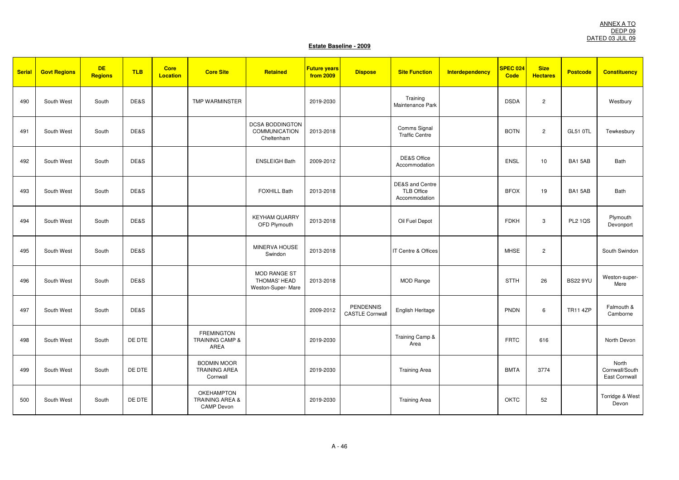| <b>Serial</b> | <b>Govt Regions</b> | <b>DE</b><br><b>Regions</b> | <b>TLB</b> | <b>Core</b><br>Location | <b>Core Site</b>                                              | Retained                                                  | <b>Future years</b><br>from 2009 | <b>Dispose</b>                             | <b>Site Function</b>                                             | Interdependency | SPEC 024<br>Code | <b>Size</b><br><b>Hectares</b> | <b>Postcode</b> | <b>Constituency</b>                      |
|---------------|---------------------|-----------------------------|------------|-------------------------|---------------------------------------------------------------|-----------------------------------------------------------|----------------------------------|--------------------------------------------|------------------------------------------------------------------|-----------------|------------------|--------------------------------|-----------------|------------------------------------------|
| 490           | South West          | South                       | DE&S       |                         | TMP WARMINSTER                                                |                                                           | 2019-2030                        |                                            | Training<br>Maintenance Park                                     |                 | <b>DSDA</b>      | $\overline{2}$                 |                 | Westbury                                 |
| 491           | South West          | South                       | DE&S       |                         |                                                               | <b>DCSA BODDINGTON</b><br>COMMUNICATION<br>Cheltenham     | 2013-2018                        |                                            | Comms Signal<br><b>Traffic Centre</b>                            |                 | <b>BOTN</b>      | $\overline{c}$                 | <b>GL51 0TL</b> | Tewkesbury                               |
| 492           | South West          | South                       | DE&S       |                         |                                                               | <b>ENSLEIGH Bath</b>                                      | 2009-2012                        |                                            | DE&S Office<br>Accommodation                                     |                 | <b>ENSL</b>      | 10                             | BA15AB          | Bath                                     |
| 493           | South West          | South                       | DE&S       |                         |                                                               | <b>FOXHILL Bath</b>                                       | 2013-2018                        |                                            | <b>DE&amp;S</b> and Centre<br><b>TLB Office</b><br>Accommodation |                 | <b>BFOX</b>      | 19                             | BA1 5AB         | Bath                                     |
| 494           | South West          | South                       | DE&S       |                         |                                                               | <b>KEYHAM QUARRY</b><br>OFD Plymouth                      | 2013-2018                        |                                            | Oil Fuel Depot                                                   |                 | <b>FDKH</b>      | 3                              | <b>PL2 1QS</b>  | Plymouth<br>Devonport                    |
| 495           | South West          | South                       | DE&S       |                         |                                                               | MINERVA HOUSE<br>Swindon                                  | 2013-2018                        |                                            | IT Centre & Offices                                              |                 | <b>MHSE</b>      | $\overline{c}$                 |                 | South Swindon                            |
| 496           | South West          | South                       | DE&S       |                         |                                                               | <b>MOD RANGE ST</b><br>THOMAS' HEAD<br>Weston-Super- Mare | 2013-2018                        |                                            | <b>MOD Range</b>                                                 |                 | <b>STTH</b>      | 26                             | <b>BS22 9YU</b> | Weston-super-<br>Mere                    |
| 497           | South West          | South                       | DE&S       |                         |                                                               |                                                           | 2009-2012                        | <b>PENDENNIS</b><br><b>CASTLE Cornwall</b> | English Heritage                                                 |                 | <b>PNDN</b>      | 6                              | <b>TR11 4ZP</b> | Falmouth &<br>Camborne                   |
| 498           | South West          | South                       | DE DTE     |                         | <b>FREMINGTON</b><br>TRAINING CAMP &<br>AREA                  |                                                           | 2019-2030                        |                                            | Training Camp &<br>Area                                          |                 | <b>FRTC</b>      | 616                            |                 | North Devon                              |
| 499           | South West          | South                       | DE DTE     |                         | <b>BODMIN MOOR</b><br><b>TRAINING AREA</b><br>Cornwall        |                                                           | 2019-2030                        |                                            | <b>Training Area</b>                                             |                 | <b>BMTA</b>      | 3774                           |                 | North<br>Cornwall/South<br>East Cornwall |
| 500           | South West          | South                       | DE DTE     |                         | OKEHAMPTON<br><b>TRAINING AREA &amp;</b><br><b>CAMP Devon</b> |                                                           | 2019-2030                        |                                            | <b>Training Area</b>                                             |                 | OKTC             | 52                             |                 | Torridge & West<br>Devon                 |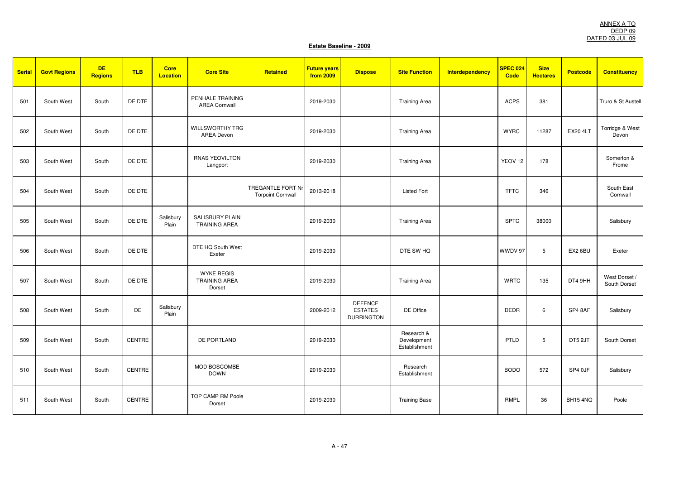| <b>Serial</b> | <b>Govt Regions</b> | <b>DE</b><br><b>Regions</b> | <b>TLB</b>    | <b>Core</b><br><b>Location</b> | <b>Core Site</b>                                    | Retained                                             | <b>Future years</b><br>from 2009 | <b>Dispose</b>                                        | <b>Site Function</b>                       | <b>Interdependency</b> | SPEC 024<br>Code   | <b>Size</b><br><b>Hectares</b> | <b>Postcode</b> | <b>Constituency</b>           |
|---------------|---------------------|-----------------------------|---------------|--------------------------------|-----------------------------------------------------|------------------------------------------------------|----------------------------------|-------------------------------------------------------|--------------------------------------------|------------------------|--------------------|--------------------------------|-----------------|-------------------------------|
| 501           | South West          | South                       | DE DTE        |                                | PENHALE TRAINING<br><b>AREA Cornwall</b>            |                                                      | 2019-2030                        |                                                       | <b>Training Area</b>                       |                        | <b>ACPS</b>        | 381                            |                 | Truro & St Austell            |
| 502           | South West          | South                       | DE DTE        |                                | <b>WILLSWORTHY TRG</b><br><b>AREA Devon</b>         |                                                      | 2019-2030                        |                                                       | <b>Training Area</b>                       |                        | <b>WYRC</b>        | 11287                          | <b>EX20 4LT</b> | Torridge & West<br>Devon      |
| 503           | South West          | South                       | DE DTE        |                                | RNAS YEOVILTON<br>Langport                          |                                                      | 2019-2030                        |                                                       | <b>Training Area</b>                       |                        | YEOV <sub>12</sub> | 178                            |                 | Somerton &<br>Frome           |
| 504           | South West          | South                       | DE DTE        |                                |                                                     | <b>TREGANTLE FORT Nr</b><br><b>Torpoint Cornwall</b> | 2013-2018                        |                                                       | <b>Listed Fort</b>                         |                        | <b>TFTC</b>        | 346                            |                 | South East<br>Cornwall        |
| 505           | South West          | South                       | DE DTE        | Salisbury<br>Plain             | <b>SALISBURY PLAIN</b><br><b>TRAINING AREA</b>      |                                                      | 2019-2030                        |                                                       | <b>Training Area</b>                       |                        | <b>SPTC</b>        | 38000                          |                 | Salisbury                     |
| 506           | South West          | South                       | DE DTE        |                                | DTE HQ South West<br>Exeter                         |                                                      | 2019-2030                        |                                                       | DTE SW HQ                                  |                        | WWDV 97            | 5                              | EX2 6BU         | Exeter                        |
| 507           | South West          | South                       | DE DTE        |                                | <b>WYKE REGIS</b><br><b>TRAINING AREA</b><br>Dorset |                                                      | 2019-2030                        |                                                       | <b>Training Area</b>                       |                        | <b>WRTC</b>        | 135                            | DT4 9HH         | West Dorset /<br>South Dorset |
| 508           | South West          | South                       | DE            | Salisbury<br>Plain             |                                                     |                                                      | 2009-2012                        | <b>DEFENCE</b><br><b>ESTATES</b><br><b>DURRINGTON</b> | DE Office                                  |                        | <b>DEDR</b>        | 6                              | SP4 8AF         | Salisbury                     |
| 509           | South West          | South                       | CENTRE        |                                | DE PORTLAND                                         |                                                      | 2019-2030                        |                                                       | Research &<br>Development<br>Establishment |                        | PTLD               | 5                              | DT5 2JT         | South Dorset                  |
| 510           | South West          | South                       | CENTRE        |                                | MOD BOSCOMBE<br><b>DOWN</b>                         |                                                      | 2019-2030                        |                                                       | Research<br>Establishment                  |                        | <b>BODO</b>        | 572                            | SP4 0JF         | Salisbury                     |
| 511           | South West          | South                       | <b>CENTRE</b> |                                | TOP CAMP RM Poole<br>Dorset                         |                                                      | 2019-2030                        |                                                       | <b>Training Base</b>                       |                        | RMPL               | 36                             | BH154NQ         | Poole                         |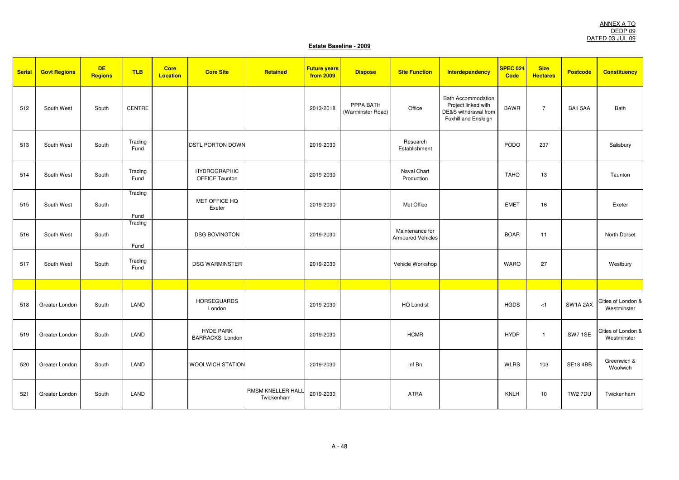ANNEX A TO DEDP 09 DATED 03 JUL 09

| <b>Serial</b> | <b>Govt Regions</b> | <b>DE</b><br>Regions | <b>TLB</b>      | <b>Core</b><br><b>Location</b> | <b>Core Site</b>                             | Retained                        | <b>Future years</b><br>from 2009 | <b>Dispose</b>                 | <b>Site Function</b>                        | <b>Interdependency</b>                                                                           | <b>SPEC 024</b><br><b>Code</b> | <b>Size</b><br><b>Hectares</b> | <b>Postcode</b> | <b>Constituency</b>               |
|---------------|---------------------|----------------------|-----------------|--------------------------------|----------------------------------------------|---------------------------------|----------------------------------|--------------------------------|---------------------------------------------|--------------------------------------------------------------------------------------------------|--------------------------------|--------------------------------|-----------------|-----------------------------------|
| 512           | South West          | South                | CENTRE          |                                |                                              |                                 | 2013-2018                        | PPPA BATH<br>(Warminster Road) | Office                                      | <b>Bath Accommodation</b><br>Project linked with<br>DE&S withdrawal from<br>Foxhill and Ensleigh | <b>BAWR</b>                    | $\overline{7}$                 | BA15AA          | Bath                              |
| 513           | South West          | South                | Trading<br>Fund |                                | <b>DSTL PORTON DOWN</b>                      |                                 | 2019-2030                        |                                | Research<br>Establishment                   |                                                                                                  | <b>PODO</b>                    | 237                            |                 | Salisbury                         |
| 514           | South West          | South                | Trading<br>Fund |                                | <b>HYDROGRAPHIC</b><br><b>OFFICE Taunton</b> |                                 | 2019-2030                        |                                | Naval Chart<br>Production                   |                                                                                                  | <b>TAHO</b>                    | 13                             |                 | Taunton                           |
| 515           | South West          | South                | Trading<br>Fund |                                | MET OFFICE HQ<br>Exeter                      |                                 | 2019-2030                        |                                | Met Office                                  |                                                                                                  | <b>EMET</b>                    | 16                             |                 | Exeter                            |
| 516           | South West          | South                | Trading<br>Fund |                                | <b>DSG BOVINGTON</b>                         |                                 | 2019-2030                        |                                | Maintenance for<br><b>Armoured Vehicles</b> |                                                                                                  | <b>BOAR</b>                    | 11                             |                 | North Dorset                      |
| 517           | South West          | South                | Trading<br>Fund |                                | <b>DSG WARMINSTER</b>                        |                                 | 2019-2030                        |                                | Vehicle Workshop                            |                                                                                                  | <b>WARO</b>                    | 27                             |                 | Westbury                          |
|               |                     |                      |                 |                                |                                              |                                 |                                  |                                |                                             |                                                                                                  |                                |                                |                 |                                   |
| 518           | Greater London      | South                | LAND            |                                | <b>HORSEGUARDS</b><br>London                 |                                 | 2019-2030                        |                                | <b>HQ Londist</b>                           |                                                                                                  | <b>HGDS</b>                    | < 1                            | SW1A 2AX        | Cities of London &<br>Westminster |
| 519           | Greater London      | South                | LAND            |                                | <b>HYDE PARK</b><br><b>BARRACKS London</b>   |                                 | 2019-2030                        |                                | <b>HCMR</b>                                 |                                                                                                  | <b>HYDP</b>                    | $\mathbf{1}$                   | SW71SE          | Cities of London &<br>Westminster |
| 520           | Greater London      | South                | LAND            |                                | <b>WOOLWICH STATION</b>                      |                                 | 2019-2030                        |                                | Inf Bn                                      |                                                                                                  | <b>WLRS</b>                    | 103                            | <b>SE18 4BB</b> | Greenwich &<br>Woolwich           |
| 521           | Greater London      | South                | LAND            |                                |                                              | RMSM KNELLER HALL<br>Twickenham | 2019-2030                        |                                | <b>ATRA</b>                                 |                                                                                                  | <b>KNLH</b>                    | 10                             | TW2 7DU         | Twickenham                        |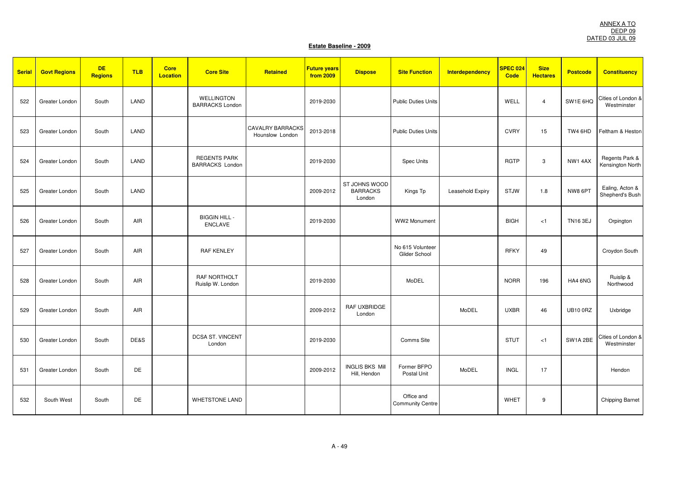| <b>Serial</b> | <b>Govt Regions</b> | <b>DE</b><br><b>Regions</b> | <b>TLB</b> | <b>Core</b><br><b>Location</b> | <b>Core Site</b>                              | Retained                                   | <b>Future years</b><br>from 2009 | <b>Dispose</b>                             | <b>Site Function</b>                  | <b>Interdependency</b> | SPEC 024<br><b>Code</b> | <b>Size</b><br><b>Hectares</b> | <b>Postcode</b> | <b>Constituency</b>                |
|---------------|---------------------|-----------------------------|------------|--------------------------------|-----------------------------------------------|--------------------------------------------|----------------------------------|--------------------------------------------|---------------------------------------|------------------------|-------------------------|--------------------------------|-----------------|------------------------------------|
| 522           | Greater London      | South                       | LAND       |                                | <b>WELLINGTON</b><br><b>BARRACKS London</b>   |                                            | 2019-2030                        |                                            | <b>Public Duties Units</b>            |                        | WELL                    | $\overline{4}$                 | SW1E 6HQ        | Cities of London &<br>Westminster  |
| 523           | Greater London      | South                       | LAND       |                                |                                               | <b>CAVALRY BARRACKS</b><br>Hounslow London | 2013-2018                        |                                            | <b>Public Duties Units</b>            |                        | <b>CVRY</b>             | 15                             | TW4 6HD         | Feltham & Heston                   |
| 524           | Greater London      | South                       | LAND       |                                | <b>REGENTS PARK</b><br><b>BARRACKS London</b> |                                            | 2019-2030                        |                                            | Spec Units                            |                        | <b>RGTP</b>             | 3                              | NW1 4AX         | Regents Park &<br>Kensington North |
| 525           | Greater London      | South                       | LAND       |                                |                                               |                                            | 2009-2012                        | ST JOHNS WOOD<br><b>BARRACKS</b><br>London | Kings Tp                              | Leasehold Expiry       | <b>STJW</b>             | 1.8                            | NW8 6PT         | Ealing, Acton &<br>Shepherd's Bush |
| 526           | Greater London      | South                       | AIR        |                                | <b>BIGGIN HILL -</b><br><b>ENCLAVE</b>        |                                            | 2019-2030                        |                                            | WW2 Monument                          |                        | <b>BIGH</b>             | < 1                            | <b>TN16 3EJ</b> | Orpington                          |
| 527           | Greater London      | South                       | AIR        |                                | <b>RAF KENLEY</b>                             |                                            |                                  |                                            | No 615 Volunteer<br>Glider School     |                        | <b>RFKY</b>             | 49                             |                 | Croydon South                      |
| 528           | Greater London      | South                       | AIR        |                                | RAF NORTHOLT<br>Ruislip W. London             |                                            | 2019-2030                        |                                            | MoDEL                                 |                        | <b>NORR</b>             | 196                            | HA4 6NG         | Ruislip &<br>Northwood             |
| 529           | Greater London      | South                       | <b>AIR</b> |                                |                                               |                                            | 2009-2012                        | <b>RAF UXBRIDGE</b><br>London              |                                       | MoDEL                  | <b>UXBR</b>             | 46                             | <b>UB10 0RZ</b> | Uxbridge                           |
| 530           | Greater London      | South                       | DE&S       |                                | DCSA ST. VINCENT<br>London                    |                                            | 2019-2030                        |                                            | Comms Site                            |                        | <b>STUT</b>             | < 1                            | SW1A 2BE        | Cities of London &<br>Westminster  |
| 531           | Greater London      | South                       | DE         |                                |                                               |                                            | 2009-2012                        | <b>INGLIS BKS Mill</b><br>Hill, Hendon     | Former BFPO<br>Postal Unit            | MoDEL                  | <b>INGL</b>             | 17                             |                 | Hendon                             |
| 532           | South West          | South                       | DE         |                                | <b>WHETSTONE LAND</b>                         |                                            |                                  |                                            | Office and<br><b>Community Centre</b> |                        | WHET                    | 9                              |                 | <b>Chipping Barnet</b>             |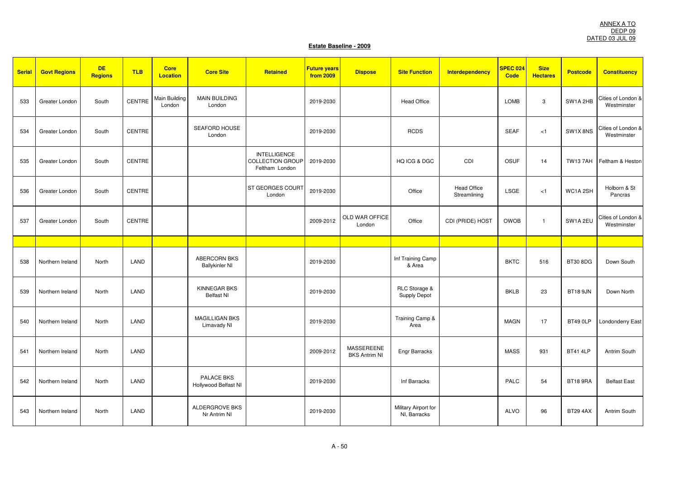| <b>Serial</b> | <b>Govt Regions</b> | <b>DE</b><br>Regions | <b>TLB</b>    | <b>Core</b><br><b>Location</b> | <b>Core Site</b>                         | Retained                                                         | <b>Future years</b><br>from 2009 | <b>Dispose</b>                     | <b>Site Function</b>                 | <b>Interdependency</b>             | SPEC 024<br><b>Code</b> | <b>Size</b><br><b>Hectares</b> | <b>Postcode</b> | <b>Constituency</b>               |
|---------------|---------------------|----------------------|---------------|--------------------------------|------------------------------------------|------------------------------------------------------------------|----------------------------------|------------------------------------|--------------------------------------|------------------------------------|-------------------------|--------------------------------|-----------------|-----------------------------------|
| 533           | Greater London      | South                | CENTRE        | Main Building<br>London        | <b>MAIN BUILDING</b><br>London           |                                                                  | 2019-2030                        |                                    | <b>Head Office</b>                   |                                    | <b>LOMB</b>             | $\mathbf{3}$                   | SW1A 2HB        | Cities of London &<br>Westminster |
| 534           | Greater London      | South                | CENTRE        |                                | SEAFORD HOUSE<br>London                  |                                                                  | 2019-2030                        |                                    | <b>RCDS</b>                          |                                    | <b>SEAF</b>             | < 1                            | SW1X8NS         | Cities of London &<br>Westminster |
| 535           | Greater London      | South                | <b>CENTRE</b> |                                |                                          | <b>INTELLIGENCE</b><br><b>COLLECTION GROUP</b><br>Feltham London | 2019-2030                        |                                    | HQ ICG & DGC                         | CDI                                | OSUF                    | 14                             | <b>TW137AH</b>  | Feltham & Heston                  |
| 536           | Greater London      | South                | <b>CENTRE</b> |                                |                                          | ST GEORGES COURT<br>London                                       | 2019-2030                        |                                    | Office                               | <b>Head Office</b><br>Streamlining | LSGE                    | < 1                            | WC1A 2SH        | Holborn & St<br>Pancras           |
| 537           | Greater London      | South                | <b>CENTRE</b> |                                |                                          |                                                                  | 2009-2012                        | OLD WAR OFFICE<br>London           | Office                               | CDI (PRIDE) HOST                   | <b>OWOB</b>             | $\mathbf{1}$                   | SW1A 2EU        | Cities of London &<br>Westminster |
|               |                     |                      |               |                                |                                          |                                                                  |                                  |                                    |                                      |                                    |                         |                                |                 |                                   |
| 538           | Northern Ireland    | North                | LAND          |                                | ABERCORN BKS<br><b>Ballykinler NI</b>    |                                                                  | 2019-2030                        |                                    | Inf Training Camp<br>& Area          |                                    | <b>BKTC</b>             | 516                            | <b>BT30 8DG</b> | Down South                        |
| 539           | Northern Ireland    | North                | LAND          |                                | <b>KINNEGAR BKS</b><br><b>Belfast NI</b> |                                                                  | 2019-2030                        |                                    | RLC Storage &<br>Supply Depot        |                                    | <b>BKLB</b>             | 23                             | <b>BT18 9JN</b> | Down North                        |
| 540           | Northern Ireland    | North                | LAND          |                                | MAGILLIGAN BKS<br>Limavady NI            |                                                                  | 2019-2030                        |                                    | Training Camp &<br>Area              |                                    | <b>MAGN</b>             | 17                             | BT49 OLP        | <b>Londonderry East</b>           |
| 541           | Northern Ireland    | North                | LAND          |                                |                                          |                                                                  | 2009-2012                        | MASSEREENE<br><b>BKS Antrim NI</b> | Engr Barracks                        |                                    | <b>MASS</b>             | 931                            | <b>BT41 4LP</b> | Antrim South                      |
| 542           | Northern Ireland    | North                | LAND          |                                | PALACE BKS<br>Hollywood Belfast NI       |                                                                  | 2019-2030                        |                                    | Inf Barracks                         |                                    | PALC                    | 54                             | <b>BT18 9RA</b> | <b>Belfast East</b>               |
| 543           | Northern Ireland    | North                | LAND          |                                | <b>ALDERGROVE BKS</b><br>Nr Antrim NI    |                                                                  | 2019-2030                        |                                    | Military Airport for<br>NI, Barracks |                                    | <b>ALVO</b>             | 96                             | <b>BT29 4AX</b> | Antrim South                      |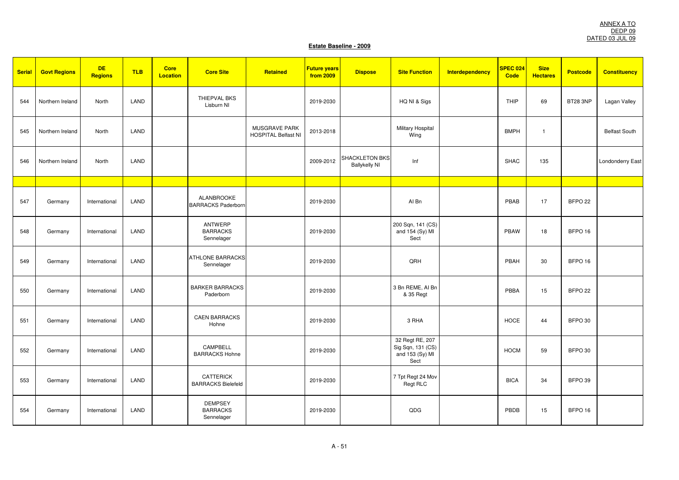| <b>Serial</b> | <b>Govt Regions</b> | <b>DE</b><br><b>Regions</b> | <b>TLB</b> | <b>Core</b><br>Location | <b>Core Site</b>                                | Retained                                           | <b>Future years</b><br>from 2009 | <b>Dispose</b>                                | <b>Site Function</b>                                            | Interdependency | SPEC 024<br>Code | <b>Size</b><br><b>Hectares</b> | <b>Postcode</b>    | <b>Constituency</b>     |
|---------------|---------------------|-----------------------------|------------|-------------------------|-------------------------------------------------|----------------------------------------------------|----------------------------------|-----------------------------------------------|-----------------------------------------------------------------|-----------------|------------------|--------------------------------|--------------------|-------------------------|
| 544           | Northern Ireland    | North                       | LAND       |                         | THIEPVAL BKS<br>Lisburn NI                      |                                                    | 2019-2030                        |                                               | HQ NI & Sigs                                                    |                 | THIP             | 69                             | <b>BT28 3NP</b>    | Lagan Valley            |
| 545           | Northern Ireland    | North                       | LAND       |                         |                                                 | <b>MUSGRAVE PARK</b><br><b>HOSPITAL Belfast NI</b> | 2013-2018                        |                                               | <b>Military Hospital</b><br>Wing                                |                 | <b>BMPH</b>      | -1                             |                    | <b>Belfast South</b>    |
| 546           | Northern Ireland    | North                       | LAND       |                         |                                                 |                                                    | 2009-2012                        | <b>SHACKLETON BKS</b><br><b>Ballykelly NI</b> | Inf                                                             |                 | <b>SHAC</b>      | 135                            |                    | <b>Londonderry East</b> |
|               |                     |                             |            |                         |                                                 |                                                    |                                  |                                               |                                                                 |                 |                  |                                |                    |                         |
| 547           | Germany             | International               | LAND       |                         | <b>ALANBROOKE</b><br><b>BARRACKS Paderborn</b>  |                                                    | 2019-2030                        |                                               | Al Bn                                                           |                 | PBAB             | 17                             | BFPO <sub>22</sub> |                         |
| 548           | Germany             | International               | LAND       |                         | <b>ANTWERP</b><br><b>BARRACKS</b><br>Sennelager |                                                    | 2019-2030                        |                                               | 200 Sqn, 141 (CS)<br>and 154 (Sy) MI<br>Sect                    |                 | PBAW             | 18                             | BFPO <sub>16</sub> |                         |
| 549           | Germany             | International               | LAND       |                         | <b>ATHLONE BARRACKS</b><br>Sennelager           |                                                    | 2019-2030                        |                                               | QRH                                                             |                 | PBAH             | 30                             | BFPO <sub>16</sub> |                         |
| 550           | Germany             | International               | LAND       |                         | <b>BARKER BARRACKS</b><br>Paderborn             |                                                    | 2019-2030                        |                                               | 3 Bn REME, AI Bn<br>& 35 Regt                                   |                 | PBBA             | 15                             | BFPO <sub>22</sub> |                         |
| 551           | Germany             | International               | LAND       |                         | <b>CAEN BARRACKS</b><br>Hohne                   |                                                    | 2019-2030                        |                                               | 3 RHA                                                           |                 | <b>HOCE</b>      | 44                             | BFPO 30            |                         |
| 552           | Germany             | International               | LAND       |                         | CAMPBELL<br><b>BARRACKS Hohne</b>               |                                                    | 2019-2030                        |                                               | 32 Regt RE, 207<br>Sig Sqn, 131 (CS)<br>and 153 (Sy) MI<br>Sect |                 | <b>HOCM</b>      | 59                             | BFPO 30            |                         |
| 553           | Germany             | International               | LAND       |                         | <b>CATTERICK</b><br><b>BARRACKS Bielefeld</b>   |                                                    | 2019-2030                        |                                               | 7 Tpt Regt 24 Mov<br>Regt RLC                                   |                 | <b>BICA</b>      | 34                             | BFPO 39            |                         |
| 554           | Germany             | International               | LAND       |                         | <b>DEMPSEY</b><br><b>BARRACKS</b><br>Sennelager |                                                    | 2019-2030                        |                                               | QDG                                                             |                 | PBDB             | 15                             | BFPO <sub>16</sub> |                         |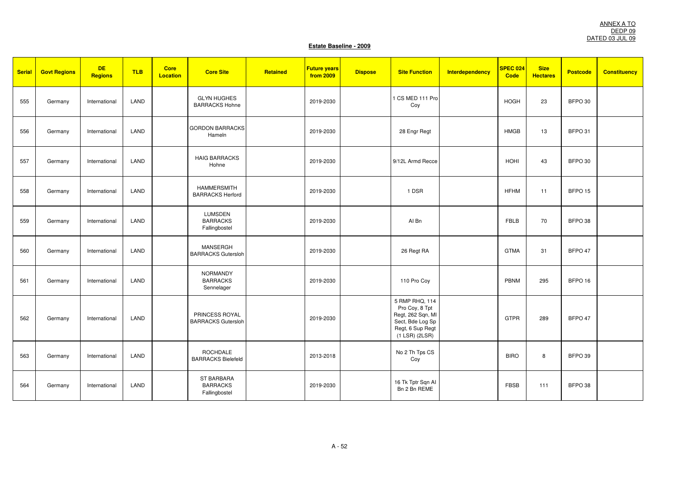| <b>Serial</b> | <b>Govt Regions</b> | <b>DE</b><br><b>Regions</b> | <b>TLB</b> | Core<br><b>Location</b> | <b>Core Site</b>                                      | Retained | <b>Future years</b><br>from 2009 | <b>Dispose</b> | <b>Site Function</b>                                                                                                   | <b>Interdependency</b> | <b>SPEC 024</b><br><b>Code</b> | <b>Size</b><br><b>Hectares</b> | <b>Postcode</b>    | <b>Constituency</b> |
|---------------|---------------------|-----------------------------|------------|-------------------------|-------------------------------------------------------|----------|----------------------------------|----------------|------------------------------------------------------------------------------------------------------------------------|------------------------|--------------------------------|--------------------------------|--------------------|---------------------|
| 555           | Germany             | International               | LAND       |                         | <b>GLYN HUGHES</b><br><b>BARRACKS Hohne</b>           |          | 2019-2030                        |                | 1 CS MED 111 Pro<br>Coy                                                                                                |                        | <b>HOGH</b>                    | 23                             | BFPO 30            |                     |
| 556           | Germany             | International               | LAND       |                         | <b>GORDON BARRACKS</b><br>Hameln                      |          | 2019-2030                        |                | 28 Engr Regt                                                                                                           |                        | <b>HMGB</b>                    | 13                             | BFPO 31            |                     |
| 557           | Germany             | International               | LAND       |                         | <b>HAIG BARRACKS</b><br>Hohne                         |          | 2019-2030                        |                | 9/12L Armd Recce                                                                                                       |                        | <b>HOHI</b>                    | 43                             | BFPO 30            |                     |
| 558           | Germany             | International               | LAND       |                         | <b>HAMMERSMITH</b><br><b>BARRACKS Herford</b>         |          | 2019-2030                        |                | 1 DSR                                                                                                                  |                        | <b>HFHM</b>                    | 11                             | BFPO <sub>15</sub> |                     |
| 559           | Germany             | International               | LAND       |                         | <b>LUMSDEN</b><br><b>BARRACKS</b><br>Fallingbostel    |          | 2019-2030                        |                | Al Bn                                                                                                                  |                        | <b>FBLB</b>                    | 70                             | BFPO 38            |                     |
| 560           | Germany             | International               | LAND       |                         | <b>MANSERGH</b><br><b>BARRACKS Gutersloh</b>          |          | 2019-2030                        |                | 26 Regt RA                                                                                                             |                        | <b>GTMA</b>                    | 31                             | BFPO 47            |                     |
| 561           | Germany             | International               | LAND       |                         | <b>NORMANDY</b><br><b>BARRACKS</b><br>Sennelager      |          | 2019-2030                        |                | 110 Pro Coy                                                                                                            |                        | PBNM                           | 295                            | BFPO <sub>16</sub> |                     |
| 562           | Germany             | International               | LAND       |                         | PRINCESS ROYAL<br><b>BARRACKS Gutersloh</b>           |          | 2019-2030                        |                | 5 RMP RHQ, 114<br>Pro Coy, 8 Tpt<br>Regt, 262 Sqn, MI<br>Sect, Bde Log Sp<br>Regt, 6 Sup Regt<br>$(1$ LSR $)$ $(2LSR)$ |                        | GTPR                           | 289                            | BFPO 47            |                     |
| 563           | Germany             | International               | LAND       |                         | ROCHDALE<br><b>BARRACKS Bielefeld</b>                 |          | 2013-2018                        |                | No 2 Th Tps CS<br>Coy                                                                                                  |                        | <b>BIRO</b>                    | 8                              | BFPO 39            |                     |
| 564           | Germany             | International               | LAND       |                         | <b>ST BARBARA</b><br><b>BARRACKS</b><br>Fallingbostel |          | 2019-2030                        |                | 16 Tk Tptr Sqn Al<br>Bn 2 Bn REME                                                                                      |                        | <b>FBSB</b>                    | 111                            | BFPO 38            |                     |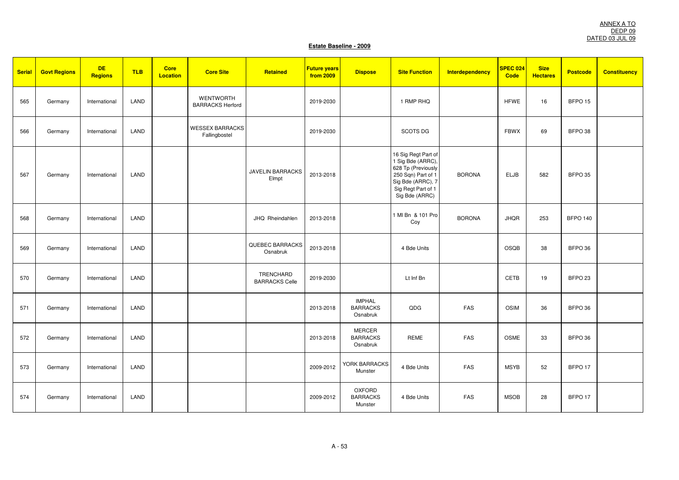| <b>Serial</b> | <b>Govt Regions</b> | <b>DE</b><br>Regions | <b>TLB</b> | <b>Core</b><br><b>Location</b> | <b>Core Site</b>                            | Retained                           | <b>Future years</b><br>from 2009 | <b>Dispose</b>                               | <b>Site Function</b>                                                                                                                              | <b>Interdependency</b> | SPEC 024<br><b>Code</b> | <b>Size</b><br><b>Hectares</b> | <b>Postcode</b>    | <b>Constituency</b> |
|---------------|---------------------|----------------------|------------|--------------------------------|---------------------------------------------|------------------------------------|----------------------------------|----------------------------------------------|---------------------------------------------------------------------------------------------------------------------------------------------------|------------------------|-------------------------|--------------------------------|--------------------|---------------------|
| 565           | Germany             | International        | LAND       |                                | <b>WENTWORTH</b><br><b>BARRACKS Herford</b> |                                    | 2019-2030                        |                                              | 1 RMP RHQ                                                                                                                                         |                        | <b>HFWE</b>             | 16                             | BFPO <sub>15</sub> |                     |
| 566           | Germany             | International        | LAND       |                                | <b>WESSEX BARRACKS</b><br>Fallingbostel     |                                    | 2019-2030                        |                                              | <b>SCOTS DG</b>                                                                                                                                   |                        | <b>FBWX</b>             | 69                             | BFPO 38            |                     |
| 567           | Germany             | International        | LAND       |                                |                                             | <b>JAVELIN BARRACKS</b><br>Elmpt   | 2013-2018                        |                                              | 16 Sig Regt Part of<br>1 Sig Bde (ARRC),<br>628 Tp (Previously<br>250 Sqn) Part of 1<br>Sig Bde (ARRC), 7<br>Sig Regt Part of 1<br>Sig Bde (ARRC) | <b>BORONA</b>          | ELJB                    | 582                            | BFPO 35            |                     |
| 568           | Germany             | International        | LAND       |                                |                                             | JHQ Rheindahlen                    | 2013-2018                        |                                              | 1 MI Bn & 101 Pro<br>Coy                                                                                                                          | <b>BORONA</b>          | <b>JHQR</b>             | 253                            | <b>BFPO 140</b>    |                     |
| 569           | Germany             | International        | LAND       |                                |                                             | <b>QUEBEC BARRACKS</b><br>Osnabruk | 2013-2018                        |                                              | 4 Bde Units                                                                                                                                       |                        | OSQB                    | 38                             | BFPO 36            |                     |
| 570           | Germany             | International        | LAND       |                                |                                             | TRENCHARD<br><b>BARRACKS Celle</b> | 2019-2030                        |                                              | Lt Inf Bn                                                                                                                                         |                        | <b>CETB</b>             | 19                             | BFPO <sub>23</sub> |                     |
| 571           | Germany             | International        | LAND       |                                |                                             |                                    | 2013-2018                        | <b>IMPHAL</b><br><b>BARRACKS</b><br>Osnabruk | QDG                                                                                                                                               | <b>FAS</b>             | OSIM                    | 36                             | BFPO 36            |                     |
| 572           | Germany             | International        | LAND       |                                |                                             |                                    | 2013-2018                        | <b>MERCER</b><br><b>BARRACKS</b><br>Osnabruk | <b>REME</b>                                                                                                                                       | <b>FAS</b>             | <b>OSME</b>             | 33                             | BFPO 36            |                     |
| 573           | Germany             | International        | LAND       |                                |                                             |                                    | 2009-2012                        | YORK BARRACKS<br>Munster                     | 4 Bde Units                                                                                                                                       | FAS                    | <b>MSYB</b>             | 52                             | BFPO <sub>17</sub> |                     |
| 574           | Germany             | International        | LAND       |                                |                                             |                                    | 2009-2012                        | <b>OXFORD</b><br><b>BARRACKS</b><br>Munster  | 4 Bde Units                                                                                                                                       | FAS                    | <b>MSOB</b>             | 28                             | BFPO <sub>17</sub> |                     |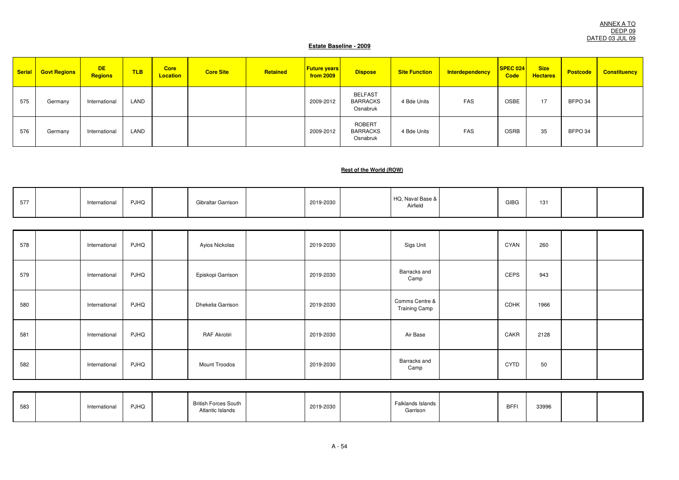ANNEX A TO DEDP 09 DATED 03 JUL 09

### **Estate Baseline - 2009**

| <b>Serial</b> | <b>Govt Regions</b> | <b>DE</b><br><b>Regions</b> | <b>TLB</b> | <b>Core</b><br><b>Location</b> | <b>Core Site</b> | Retained | <b>Future years</b><br>from 2009 | <b>Dispose</b>                                | <b>Site Function</b> | Interdependency | <b>SPEC 024</b><br>Code | <b>Size</b><br><b>Hectares</b> | <b>Postcode</b> | <b>Constituency</b> |
|---------------|---------------------|-----------------------------|------------|--------------------------------|------------------|----------|----------------------------------|-----------------------------------------------|----------------------|-----------------|-------------------------|--------------------------------|-----------------|---------------------|
| 575           | Germany             | International               | LAND       |                                |                  |          | 2009-2012                        | <b>BELFAST</b><br><b>BARRACKS</b><br>Osnabruk | 4 Bde Units          | FAS             | OSBE                    | 17                             | BFPO 34         |                     |
| 576           | Germany             | International               | LAND       |                                |                  |          | 2009-2012                        | <b>ROBERT</b><br><b>BARRACKS</b><br>Osnabruk  | 4 Bde Units          | FAS             | <b>OSRB</b>             | 35                             | BFPO 34         |                     |

#### **Rest of the World (ROW)**

| $- - -$<br>∽<br>، ، ن | International | <b>PJHQ</b> | Gibraltar Garrison | 2019-2030 | HQ, Naval Base &<br>Airfield | <b>GIBG</b> | 131 |  |
|-----------------------|---------------|-------------|--------------------|-----------|------------------------------|-------------|-----|--|
|                       |               |             |                    |           |                              |             |     |  |

| 578 | International | <b>PJHQ</b> | Ayios Nickolas      | 2019-2030 | Sigs Unit                              | CYAN        | 260  |  |
|-----|---------------|-------------|---------------------|-----------|----------------------------------------|-------------|------|--|
| 579 | International | <b>PJHQ</b> | Episkopi Garrison   | 2019-2030 | Barracks and<br>Camp                   | CEPS        | 943  |  |
| 580 | International | <b>PJHQ</b> | Dhekelia Garrison   | 2019-2030 | Comms Centre &<br><b>Training Camp</b> | <b>CDHK</b> | 1966 |  |
| 581 | International | <b>PJHQ</b> | <b>RAF Akrotiri</b> | 2019-2030 | Air Base                               | CAKR        | 2128 |  |
| 582 | International | <b>PJHQ</b> | Mount Troodos       | 2019-2030 | Barracks and<br>Camp                   | <b>CYTD</b> | 50   |  |

| 583<br>ິບບວ | Internationa | <b>PJHQ</b> | <b>British Forces South</b><br>Atlantic Islands | 2019-2030 | Falklands Island<br>Garrison<br>$\cdots$ | <b>BFF</b> | 33996 |  |
|-------------|--------------|-------------|-------------------------------------------------|-----------|------------------------------------------|------------|-------|--|
|             |              |             |                                                 |           |                                          |            |       |  |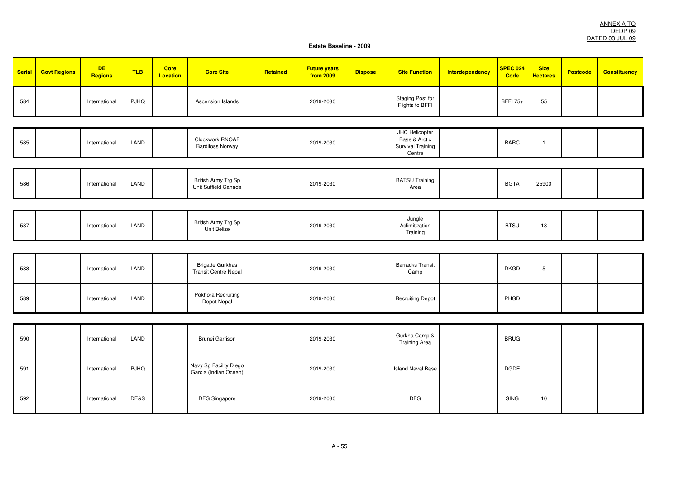| <b>Serial</b> | <b>Govt Regions</b> | <b>DE</b><br>Regions | <b>TLB</b>  | Core<br><b>Location</b> | <b>Core Site</b>                                      | Retained | <b>Future years</b><br>from 2009 | <b>Dispose</b> | <b>Site Function</b>                                           | Interdependency | SPEC 024<br>Code | <b>Size</b><br><b>Hectares</b> | <b>Postcode</b> | <b>Constituency</b> |
|---------------|---------------------|----------------------|-------------|-------------------------|-------------------------------------------------------|----------|----------------------------------|----------------|----------------------------------------------------------------|-----------------|------------------|--------------------------------|-----------------|---------------------|
| 584           |                     | International        | <b>PJHQ</b> |                         | Ascension Islands                                     |          | 2019-2030                        |                | Staging Post for<br>Flights to BFFI                            |                 | <b>BFFI75+</b>   | 55                             |                 |                     |
|               |                     |                      |             |                         |                                                       |          |                                  |                |                                                                |                 |                  |                                |                 |                     |
| 585           |                     | International        | LAND        |                         | Clockwork RNOAF<br><b>Bardifoss Norway</b>            |          | 2019-2030                        |                | JHC Helicopter<br>Base & Arctic<br>Survival Training<br>Centre |                 | <b>BARC</b>      | $\overline{1}$                 |                 |                     |
|               |                     |                      |             |                         |                                                       |          |                                  |                |                                                                |                 |                  |                                |                 |                     |
| 586           |                     | International        | LAND        |                         | British Army Trg Sp<br>Unit Suffield Canada           |          | 2019-2030                        |                | <b>BATSU Training</b><br>Area                                  |                 | <b>BGTA</b>      | 25900                          |                 |                     |
|               |                     |                      |             |                         |                                                       |          |                                  |                |                                                                |                 |                  |                                |                 |                     |
| 587           |                     | International        | LAND        |                         | British Army Trg Sp<br>Unit Belize                    |          | 2019-2030                        |                | Jungle<br>Aclimitization<br>Training                           |                 | <b>BTSU</b>      | 18                             |                 |                     |
|               |                     |                      |             |                         |                                                       |          |                                  |                |                                                                |                 |                  |                                |                 |                     |
| 588           |                     | International        | LAND        |                         | <b>Brigade Gurkhas</b><br><b>Transit Centre Nepal</b> |          | 2019-2030                        |                | <b>Barracks Transit</b><br>Camp                                |                 | <b>DKGD</b>      | $\sqrt{5}$                     |                 |                     |
| 589           |                     | International        | LAND        |                         | Pokhora Recruiting<br>Depot Nepal                     |          | 2019-2030                        |                | <b>Recruiting Depot</b>                                        |                 | PHGD             |                                |                 |                     |
|               |                     |                      |             |                         |                                                       |          |                                  |                |                                                                |                 |                  |                                |                 |                     |
| 590           |                     | International        | LAND        |                         | <b>Brunei Garrison</b>                                |          | 2019-2030                        |                | Gurkha Camp &<br><b>Training Area</b>                          |                 | <b>BRUG</b>      |                                |                 |                     |
| 591           |                     | International        | <b>PJHQ</b> |                         | Navy Sp Facility Diego<br>Garcia (Indian Ocean)       |          | 2019-2030                        |                | <b>Island Naval Base</b>                                       |                 | <b>DGDE</b>      |                                |                 |                     |
| 592           |                     | International        | DE&S        |                         | <b>DFG Singapore</b>                                  |          | 2019-2030                        |                | <b>DFG</b>                                                     |                 | <b>SING</b>      | 10                             |                 |                     |